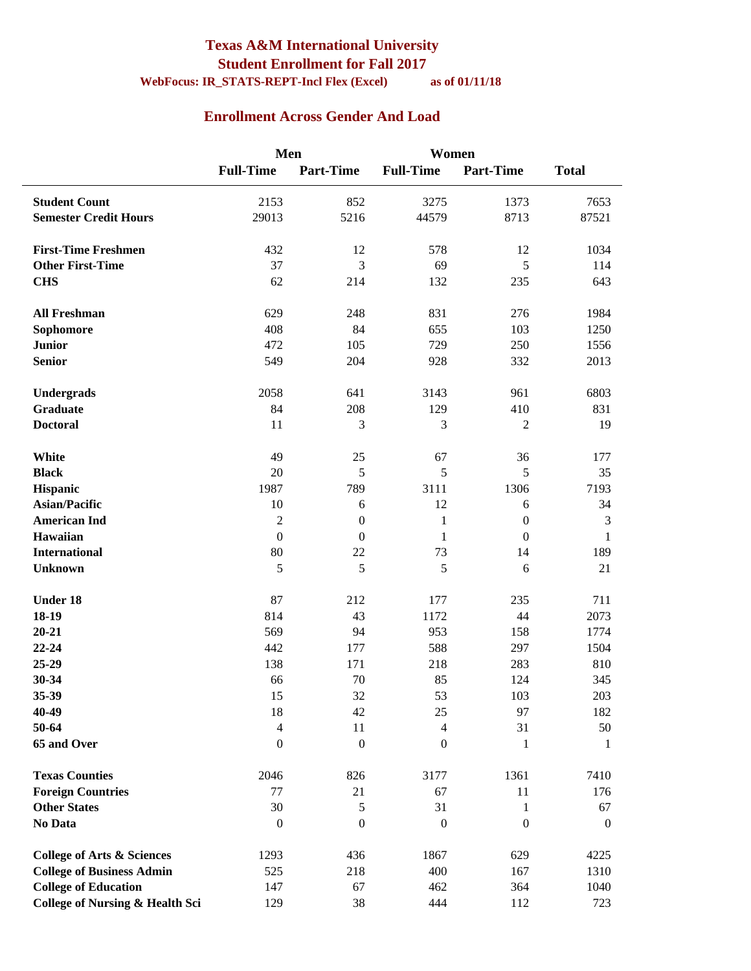#### **Texas A&M International University Student Enrollment for Fall 2017 WebFocus: IR\_STATS-REPT-Incl Flex (Excel) as of 01/11/18**

#### **Enrollment Across Gender And Load**

|                                            | Men                  |                  | Women                |                  |                             |
|--------------------------------------------|----------------------|------------------|----------------------|------------------|-----------------------------|
|                                            | <b>Full-Time</b>     | <b>Part-Time</b> | <b>Full-Time</b>     | <b>Part-Time</b> | <b>Total</b>                |
| <b>Student Count</b>                       | 2153                 | 852              | 3275                 | 1373             | 7653                        |
| <b>Semester Credit Hours</b>               | 29013                | 5216             | 44579                | 8713             | 87521                       |
| <b>First-Time Freshmen</b>                 | 432                  | 12               | 578                  | 12               | 1034                        |
| <b>Other First-Time</b>                    | 37                   | 3                | 69                   | 5                | 114                         |
| <b>CHS</b>                                 | 62                   | 214              | 132                  | 235              | 643                         |
| <b>All Freshman</b>                        | 629                  | 248              | 831                  | 276              | 1984                        |
| <b>Sophomore</b>                           | 408                  | 84               | 655                  | 103              | 1250                        |
| <b>Junior</b>                              | 472                  | 105              | 729                  | 250              | 1556                        |
| <b>Senior</b>                              | 549                  | 204              | 928                  | 332              | 2013                        |
| Undergrads                                 | 2058                 | 641              | 3143                 | 961              | 6803                        |
| <b>Graduate</b>                            | 84                   | 208              | 129                  | 410              | 831                         |
| <b>Doctoral</b>                            | 11                   | 3                | 3                    | $\overline{2}$   | 19                          |
| White                                      | 49                   | 25               | 67                   | 36               | 177                         |
| <b>Black</b>                               | 20                   | 5                | 5                    | 5                | 35                          |
| Hispanic                                   | 1987                 | 789              | 3111                 | 1306             | 7193                        |
| <b>Asian/Pacific</b>                       | 10                   | 6                | 12                   | 6                | 34                          |
| <b>American Ind</b>                        | $\sqrt{2}$           | $\boldsymbol{0}$ | $\mathbf{1}$         | $\boldsymbol{0}$ | $\ensuremath{\mathfrak{Z}}$ |
| Hawaiian                                   | $\boldsymbol{0}$     | $\mathbf{0}$     | $\mathbf{1}$         | $\mathbf{0}$     | $\mathbf{1}$                |
| <b>International</b>                       | 80                   | 22               | 73                   | 14               | 189                         |
| <b>Unknown</b>                             | 5                    | 5                | 5                    | 6                | 21                          |
| Under 18                                   | 87                   | 212              | 177                  | 235              | 711                         |
| 18-19                                      | 814                  | 43               | 1172                 | 44               | 2073                        |
| $20 - 21$                                  | 569                  | 94               | 953                  | 158              | 1774                        |
| 22-24                                      | 442                  | 177              | 588                  | 297              | 1504                        |
| 25-29                                      | 138                  | 171              | 218                  | 283              | 810                         |
| 30-34                                      | 66                   | 70               | 85                   | 124              | 345                         |
| 35-39                                      | 15                   | 32               | 53                   | 103              | $203\,$                     |
| 40-49<br>50-64                             | 18<br>$\overline{4}$ | 42<br>11         | 25<br>$\overline{4}$ | 97<br>31         | 182<br>50                   |
| 65 and Over                                | $\boldsymbol{0}$     | $\boldsymbol{0}$ | $\mathbf{0}$         | 1                | 1                           |
| <b>Texas Counties</b>                      | 2046                 | 826              | 3177                 | 1361             | 7410                        |
| <b>Foreign Countries</b>                   | 77                   | 21               | 67                   | 11               | 176                         |
| <b>Other States</b>                        | 30                   | $\sqrt{5}$       | 31                   | 1                | 67                          |
| No Data                                    | $\boldsymbol{0}$     | $\boldsymbol{0}$ | $\boldsymbol{0}$     | $\boldsymbol{0}$ | $\boldsymbol{0}$            |
| <b>College of Arts &amp; Sciences</b>      | 1293                 | 436              | 1867                 | 629              | 4225                        |
| <b>College of Business Admin</b>           | 525                  | 218              | 400                  | 167              | 1310                        |
| <b>College of Education</b>                | 147                  | 67               | 462                  | 364              | 1040                        |
| <b>College of Nursing &amp; Health Sci</b> | 129                  | 38               | 444                  | 112              | 723                         |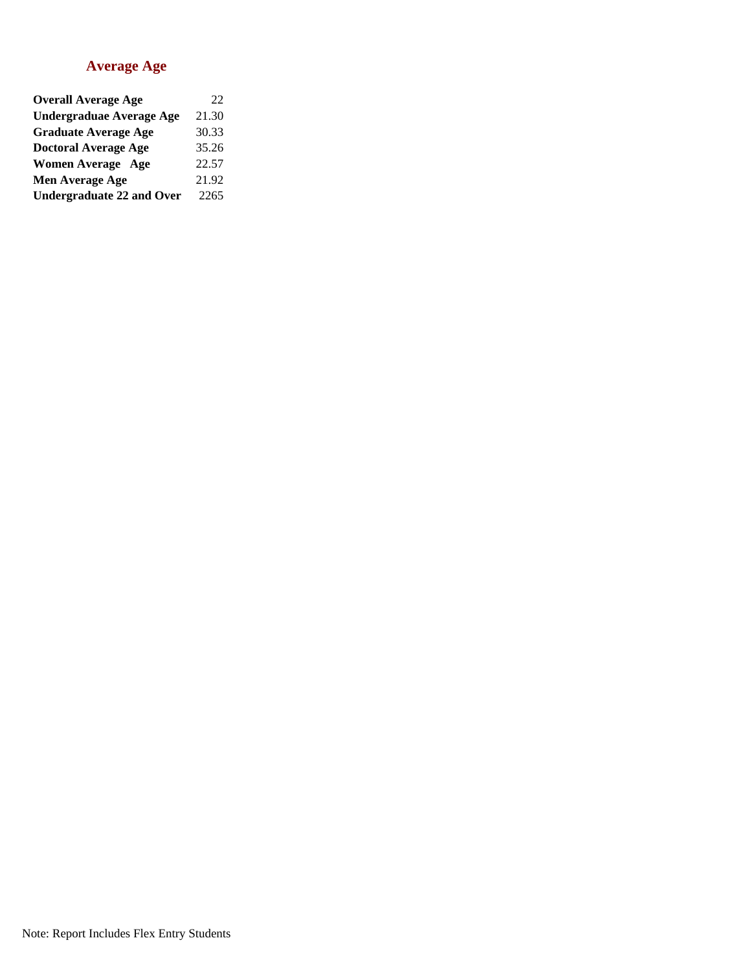#### **Average Age**

| <b>Overall Average Age</b>       | 22    |
|----------------------------------|-------|
| <b>Undergraduae Average Age</b>  | 21.30 |
| <b>Graduate Average Age</b>      | 30.33 |
| <b>Doctoral Average Age</b>      | 35.26 |
| <b>Women Average Age</b>         | 22.57 |
| Men Average Age                  | 21.92 |
| <b>Undergraduate 22 and Over</b> | 2265  |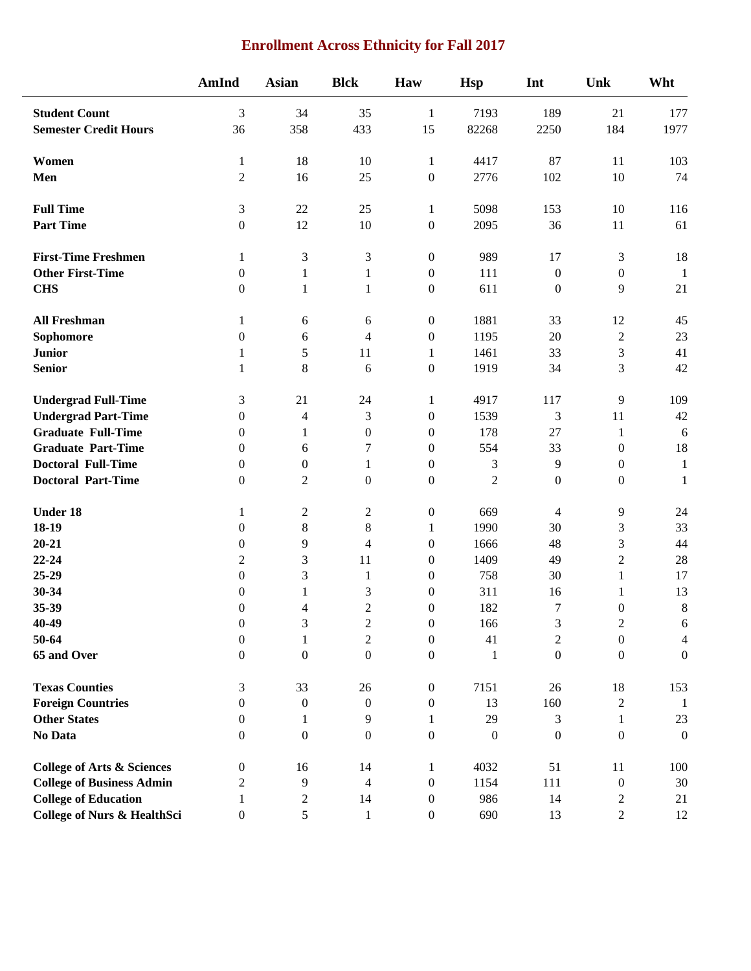### **Enrollment Across Ethnicity for Fall 2017**

|                                        | AmInd            | <b>Asian</b>     | <b>Blck</b>      | Haw              | <b>Hsp</b>       | Int              | Unk              | Wht              |
|----------------------------------------|------------------|------------------|------------------|------------------|------------------|------------------|------------------|------------------|
| <b>Student Count</b>                   | 3                | 34               | 35               | $\mathbf{1}$     | 7193             | 189              | 21               | 177              |
| <b>Semester Credit Hours</b>           | 36               | 358              | 433              | 15               | 82268            | 2250             | 184              | 1977             |
| Women                                  | 1                | 18               | 10               | $\mathbf{1}$     | 4417             | 87               | 11               | 103              |
| Men                                    | $\overline{2}$   | 16               | 25               | $\boldsymbol{0}$ | 2776             | 102              | 10               | 74               |
| <b>Full Time</b>                       | $\mathfrak{Z}$   | $22\,$           | 25               | $\mathbf{1}$     | 5098             | 153              | 10               | 116              |
| <b>Part Time</b>                       | $\boldsymbol{0}$ | 12               | 10               | $\boldsymbol{0}$ | 2095             | 36               | 11               | 61               |
| <b>First-Time Freshmen</b>             | 1                | 3                | 3                | $\boldsymbol{0}$ | 989              | 17               | 3                | 18               |
| <b>Other First-Time</b>                | $\mathbf{0}$     | 1                | 1                | $\boldsymbol{0}$ | 111              | $\boldsymbol{0}$ | $\boldsymbol{0}$ | $\mathbf{1}$     |
| <b>CHS</b>                             | $\boldsymbol{0}$ | $\mathbf{1}$     | $\mathbf{1}$     | $\boldsymbol{0}$ | 611              | $\boldsymbol{0}$ | 9                | 21               |
| <b>All Freshman</b>                    | 1                | 6                | 6                | $\boldsymbol{0}$ | 1881             | 33               | 12               | 45               |
| Sophomore                              | $\boldsymbol{0}$ | 6                | $\overline{4}$   | $\boldsymbol{0}$ | 1195             | 20               | $\sqrt{2}$       | 23               |
| <b>Junior</b>                          | $\mathbf{1}$     | 5                | 11               | $\mathbf{1}$     | 1461             | 33               | 3                | 41               |
| <b>Senior</b>                          | $\mathbf{1}$     | $\,8\,$          | 6                | $\boldsymbol{0}$ | 1919             | 34               | 3                | 42               |
| <b>Undergrad Full-Time</b>             | 3                | 21               | 24               | $\mathbf{1}$     | 4917             | 117              | 9                | 109              |
| <b>Undergrad Part-Time</b>             | $\boldsymbol{0}$ | $\overline{4}$   | 3                | $\boldsymbol{0}$ | 1539             | 3                | 11               | 42               |
| <b>Graduate Full-Time</b>              | $\mathbf{0}$     | 1                | $\boldsymbol{0}$ | $\boldsymbol{0}$ | 178              | 27               | $\mathbf{1}$     | 6                |
| <b>Graduate Part-Time</b>              | $\theta$         | 6                | 7                | $\boldsymbol{0}$ | 554              | 33               | $\boldsymbol{0}$ | 18               |
| <b>Doctoral Full-Time</b>              | $\theta$         | $\boldsymbol{0}$ | 1                | $\boldsymbol{0}$ | 3                | 9                | $\boldsymbol{0}$ | $\mathbf{1}$     |
| <b>Doctoral Part-Time</b>              | $\boldsymbol{0}$ | $\mathfrak{2}$   | $\boldsymbol{0}$ | $\boldsymbol{0}$ | $\overline{2}$   | $\boldsymbol{0}$ | $\boldsymbol{0}$ | $\mathbf{1}$     |
| <b>Under 18</b>                        | 1                | $\sqrt{2}$       | $\overline{c}$   | $\boldsymbol{0}$ | 669              | 4                | 9                | 24               |
| 18-19                                  | $\boldsymbol{0}$ | $8\,$            | $8\,$            | $\mathbf{1}$     | 1990             | 30               | 3                | 33               |
| $20 - 21$                              | $\mathbf{0}$     | 9                | $\overline{4}$   | $\boldsymbol{0}$ | 1666             | 48               | 3                | 44               |
| 22-24                                  | 2                | 3                | 11               | $\boldsymbol{0}$ | 1409             | 49               | $\overline{2}$   | 28               |
| $25-29$                                | $\boldsymbol{0}$ | 3                | $\mathbf{1}$     | $\boldsymbol{0}$ | 758              | 30               | 1                | 17               |
| 30-34                                  | $\mathbf{0}$     | 1                | 3                | $\boldsymbol{0}$ | 311              | 16               | $\mathbf{1}$     | 13               |
| 35-39                                  | $\boldsymbol{0}$ | 4                | $\overline{c}$   | 0                | 182              | $\overline{7}$   | $\boldsymbol{0}$ | 8                |
| 40-49                                  | $\boldsymbol{0}$ | 3                | $\overline{c}$   | $\boldsymbol{0}$ | 166              | $\mathfrak 3$    | $\sqrt{2}$       | 6                |
| 50-64                                  | $\boldsymbol{0}$ | 1                | $\boldsymbol{2}$ | $\boldsymbol{0}$ | 41               | $\overline{c}$   | $\boldsymbol{0}$ | $\overline{4}$   |
| 65 and Over                            | $\boldsymbol{0}$ | $\boldsymbol{0}$ | $\boldsymbol{0}$ | $\boldsymbol{0}$ | $\mathbf{1}$     | $\boldsymbol{0}$ | $\boldsymbol{0}$ | $\boldsymbol{0}$ |
| <b>Texas Counties</b>                  | $\mathfrak{Z}$   | 33               | 26               | $\boldsymbol{0}$ | 7151             | 26               | 18               | 153              |
| <b>Foreign Countries</b>               | $\boldsymbol{0}$ | $\boldsymbol{0}$ | $\boldsymbol{0}$ | $\boldsymbol{0}$ | 13               | 160              | $\overline{c}$   | -1               |
| <b>Other States</b>                    | $\boldsymbol{0}$ | 1                | 9                | 1                | 29               | 3                | 1                | 23               |
| No Data                                | $\mathbf{0}$     | $\mathbf{0}$     | $\mathbf{0}$     | $\boldsymbol{0}$ | $\boldsymbol{0}$ | $\boldsymbol{0}$ | $\boldsymbol{0}$ | $\boldsymbol{0}$ |
| <b>College of Arts &amp; Sciences</b>  | $\boldsymbol{0}$ | 16               | 14               | 1                | 4032             | 51               | 11               | 100              |
| <b>College of Business Admin</b>       | $\overline{2}$   | 9                | $\overline{4}$   | $\boldsymbol{0}$ | 1154             | 111              | $\boldsymbol{0}$ | 30               |
| <b>College of Education</b>            | 1                | $\overline{c}$   | 14               | $\boldsymbol{0}$ | 986              | 14               | $\overline{c}$   | 21               |
| <b>College of Nurs &amp; HealthSci</b> | $\boldsymbol{0}$ | 5                | $\mathbf{1}$     | $\boldsymbol{0}$ | 690              | 13               | $\overline{2}$   | 12               |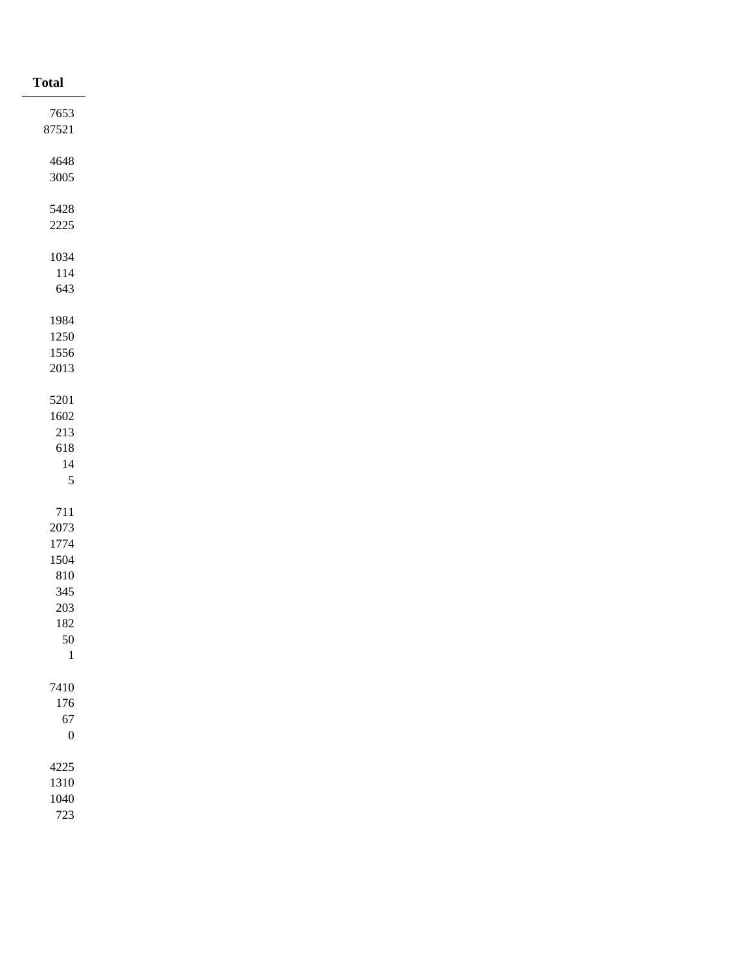| <b>Total</b>     |
|------------------|
| 7653             |
| 87521            |
|                  |
| 4648<br>$3005\,$ |
|                  |
| 5428             |
| $2225\,$         |
| 1034             |
| $114\,$          |
| 643              |
|                  |
| 1984             |
| 1250<br>1556     |
| $2013\,$         |
|                  |
| 5201             |
| 1602             |
| $213\,$          |
| 618<br>$14\,$    |
| $\sqrt{5}$       |
|                  |
| $711\,$          |
| 2073             |
| 1774             |
| 1504<br>$810\,$  |
| $345\,$          |
| $203\,$          |
| $182\,$          |
| $50\,$           |
| $\overline{1}$   |
| 7410             |
| $176\,$          |
| 67               |
| $\boldsymbol{0}$ |
| 4225             |
| 1310             |
| 1040             |
| 723              |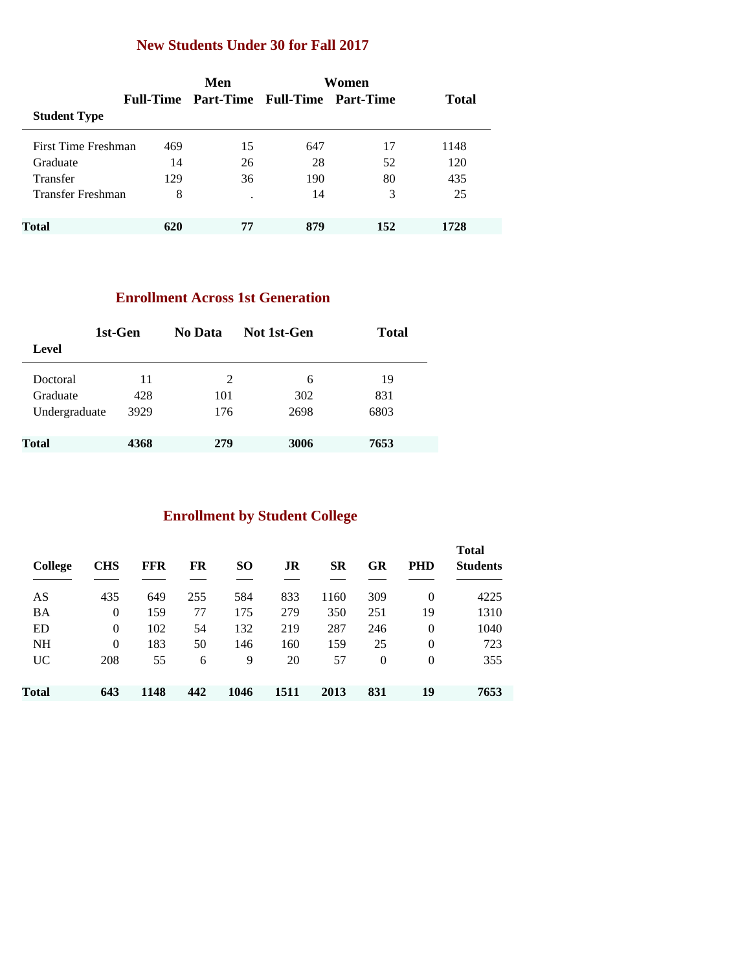### **New Students Under 30 for Fall 2017**

|                     |     | Men                                     | Women |     |              |  |
|---------------------|-----|-----------------------------------------|-------|-----|--------------|--|
|                     |     | Full-Time Part-Time Full-Time Part-Time |       |     | <b>Total</b> |  |
| <b>Student Type</b> |     |                                         |       |     |              |  |
| First Time Freshman | 469 | 15                                      | 647   | 17  | 1148         |  |
| Graduate            | 14  | 26                                      | 28    | 52  | 120          |  |
| Transfer            | 129 | 36                                      | 190   | 80  | 435          |  |
| Transfer Freshman   | 8   | ٠                                       | 14    | 3   | 25           |  |
| <b>Total</b>        | 620 | 77                                      | 879   | 152 | 1728         |  |

### **Enrollment Across 1st Generation**

| 1st-Gen       |      | No Data | Not 1st-Gen | <b>Total</b> |
|---------------|------|---------|-------------|--------------|
| Level         |      |         |             |              |
| Doctoral      | 11   | 2       | 6           | 19           |
| Graduate      | 428  | 101     | 302         | 831          |
| Undergraduate | 3929 | 176     | 2698        | 6803         |
| <b>Total</b>  | 4368 | 279     | 3006        | 7653         |

# **Enrollment by Student College**

| College   | <b>CHS</b>     | <b>FFR</b> | FR  | SO.  | JR   | <b>SR</b> | GR       | <b>PHD</b> | <b>Total</b><br><b>Students</b> |
|-----------|----------------|------------|-----|------|------|-----------|----------|------------|---------------------------------|
| AS        | 435            | 649        | 255 | 584  | 833  | 1160      | 309      | $\theta$   | 4225                            |
| <b>BA</b> | 0              | 159        | 77  | 175  | 279  | 350       | 251      | 19         | 1310                            |
| ED        | $\theta$       | 102        | 54  | 132  | 219  | 287       | 246      | $\theta$   | 1040                            |
| <b>NH</b> | $\overline{0}$ | 183        | 50  | 146  | 160  | 159       | 25       | $\theta$   | 723                             |
| <b>UC</b> | 208            | 55         | 6   | 9    | 20   | 57        | $\theta$ | $\theta$   | 355                             |
| Total     | 643            | 1148       | 442 | 1046 | 1511 | 2013      | 831      | 19         | 7653                            |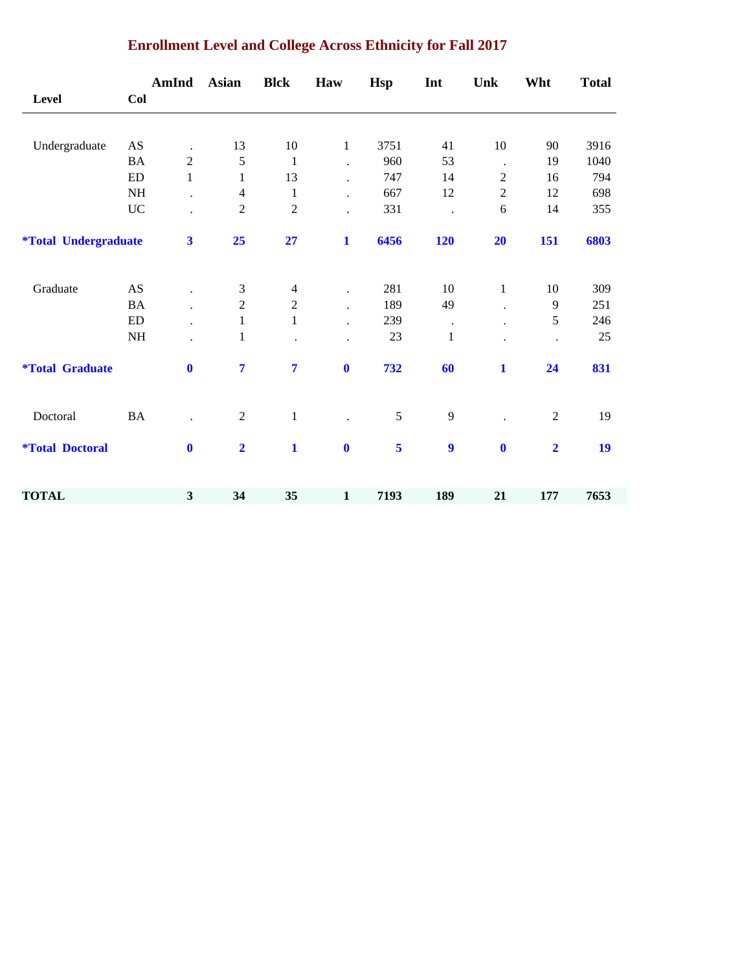|                                    |           | AmInd                   | <b>Asian</b>   | <b>Blck</b>    | Haw                  | Hsp  | Int              | Unk            | Wht            | <b>Total</b> |
|------------------------------------|-----------|-------------------------|----------------|----------------|----------------------|------|------------------|----------------|----------------|--------------|
| <b>Level</b>                       | Col       |                         |                |                |                      |      |                  |                |                |              |
| Undergraduate                      | AS        | $\ddot{\phantom{0}}$    | 13             | $10\,$         | $\mathbf{1}$         | 3751 | 41               | $10\,$         | 90             | 3916         |
|                                    | <b>BA</b> | $\boldsymbol{2}$        | 5              | $\mathbf{1}$   |                      | 960  | 53               | $\cdot$        | 19             | 1040         |
|                                    | <b>ED</b> | $\mathbf{1}$            | $\mathbf{1}$   | 13             | $\ddot{\phantom{0}}$ | 747  | 14               | $\overline{c}$ | 16             | 794          |
|                                    | NH        |                         | $\overline{4}$ | $\mathbf{1}$   |                      | 667  | 12               | $\overline{c}$ | 12             | 698          |
|                                    | $\rm UC$  |                         | $\overline{2}$ | $\sqrt{2}$     |                      | 331  |                  | 6              | 14             | 355          |
| <i><b>*Total Undergraduate</b></i> |           | $\overline{\mathbf{3}}$ | 25             | 27             | $\mathbf{1}$         | 6456 | <b>120</b>       | 20             | 151            | 6803         |
| Graduate                           | AS        |                         | 3              | $\overline{4}$ | $\ddot{\phantom{0}}$ | 281  | 10               | $\mathbf{1}$   | 10             | 309          |
|                                    | <b>BA</b> | $\ddot{\phantom{a}}$    | $\overline{2}$ | $\sqrt{2}$     |                      | 189  | 49               |                | 9              | 251          |
|                                    | ED        |                         | $\mathbf{1}$   | $\mathbf{1}$   |                      | 239  | $\bullet$        |                | 5              | 246          |
|                                    | $\rm{NH}$ |                         | $\mathbf{1}$   |                |                      | 23   | $\mathbf{1}$     |                |                | $25\,$       |
| <i><b>*Total Graduate</b></i>      |           | $\mathbf{0}$            | $\overline{7}$ | $\overline{7}$ | $\bf{0}$             | 732  | 60               | 1              | 24             | 831          |
| Doctoral                           | <b>BA</b> |                         | $\overline{2}$ | $\mathbf 1$    |                      | 5    | 9                |                | $\overline{2}$ | 19           |
| <i><b>*Total Doctoral</b></i>      |           | $\mathbf{0}$            | $\overline{2}$ | $\mathbf{1}$   | $\mathbf{0}$         | 5    | $\boldsymbol{9}$ | $\bf{0}$       | $\overline{2}$ | 19           |
| <b>TOTAL</b>                       |           | 3                       | 34             | 35             | $\mathbf{1}$         | 7193 | 189              | 21             | 177            | 7653         |

### **Enrollment Level and College Across Ethnicity for Fall 2017**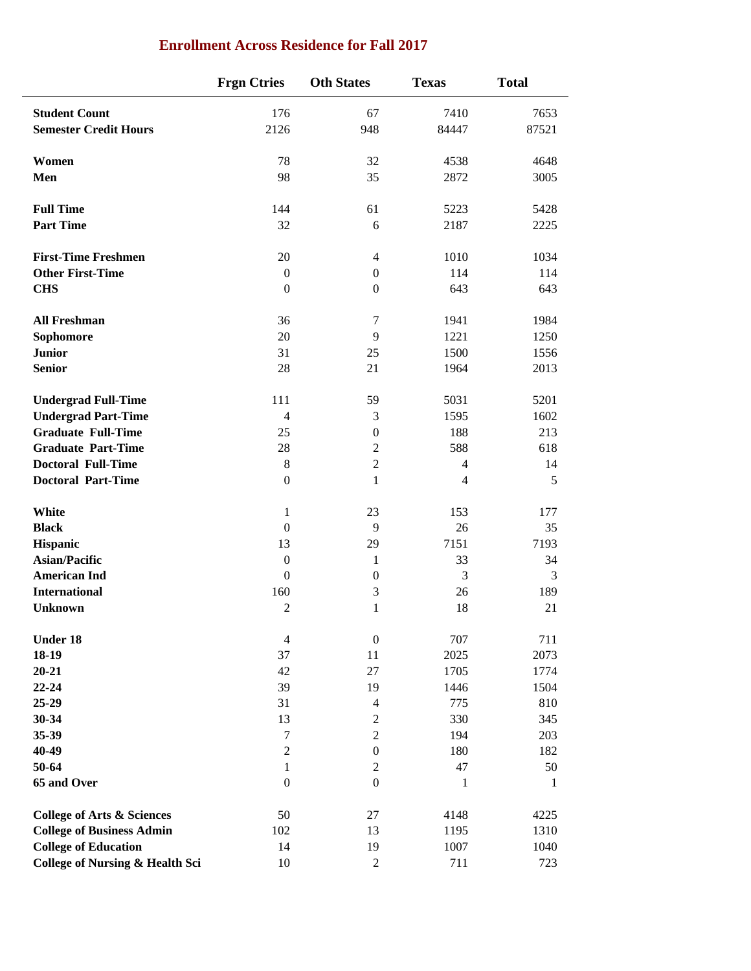|                                            | <b>Frgn Ctries</b> | <b>Oth States</b> | <b>Texas</b>   | <b>Total</b> |
|--------------------------------------------|--------------------|-------------------|----------------|--------------|
| <b>Student Count</b>                       | 176                | 67                | 7410           | 7653         |
| <b>Semester Credit Hours</b>               | 2126               | 948               | 84447          | 87521        |
| Women                                      | 78                 | 32                | 4538           | 4648         |
| Men                                        | 98                 | 35                | 2872           | 3005         |
| <b>Full Time</b>                           | 144                | 61                | 5223           | 5428         |
| <b>Part Time</b>                           | 32                 | 6                 | 2187           | 2225         |
| <b>First-Time Freshmen</b>                 | $20\,$             | $\overline{4}$    | 1010           | 1034         |
| <b>Other First-Time</b>                    | $\boldsymbol{0}$   | $\boldsymbol{0}$  | 114            | 114          |
| <b>CHS</b>                                 | $\mathbf{0}$       | $\boldsymbol{0}$  | 643            | 643          |
| <b>All Freshman</b>                        | 36                 | 7                 | 1941           | 1984         |
| Sophomore                                  | 20                 | $\overline{9}$    | 1221           | 1250         |
| <b>Junior</b>                              | 31                 | 25                | 1500           | 1556         |
| <b>Senior</b>                              | 28                 | 21                | 1964           | 2013         |
| <b>Undergrad Full-Time</b>                 | 111                | 59                | 5031           | 5201         |
| <b>Undergrad Part-Time</b>                 | $\overline{4}$     | 3                 | 1595           | 1602         |
| <b>Graduate Full-Time</b>                  | 25                 | $\boldsymbol{0}$  | 188            | 213          |
| <b>Graduate Part-Time</b>                  | 28                 | $\mathbf{2}$      | 588            | 618          |
| <b>Doctoral Full-Time</b>                  | $\,8\,$            | $\sqrt{2}$        | $\overline{4}$ | 14           |
| <b>Doctoral Part-Time</b>                  | $\boldsymbol{0}$   | $\mathbf{1}$      | $\overline{4}$ | 5            |
| White                                      | 1                  | 23                | 153            | 177          |
| <b>Black</b>                               | $\boldsymbol{0}$   | $\overline{9}$    | 26             | 35           |
| Hispanic                                   | 13                 | 29                | 7151           | 7193         |
| <b>Asian/Pacific</b>                       | $\boldsymbol{0}$   | 1                 | 33             | 34           |
| <b>American Ind</b>                        | $\boldsymbol{0}$   | $\boldsymbol{0}$  | 3              | 3            |
| <b>International</b>                       | 160                | 3                 | 26             | 189          |
| <b>Unknown</b>                             | 2                  | 1                 | 18             | 21           |
| <b>Under 18</b>                            | $\overline{4}$     | $\boldsymbol{0}$  | 707            | 711          |
| 18-19                                      | 37                 | 11                | 2025           | 2073         |
| $20 - 21$                                  | 42                 | 27                | 1705           | 1774         |
| $22 - 24$                                  | 39                 | 19                | 1446           | 1504         |
| 25-29                                      | 31                 | $\overline{4}$    | 775            | 810          |
| $30 - 34$                                  | 13                 | $\overline{2}$    | 330            | 345          |
| 35-39                                      | $\boldsymbol{7}$   | $\sqrt{2}$        | 194            | 203          |
| 40-49                                      | $\sqrt{2}$         | $\boldsymbol{0}$  | 180            | 182          |
| 50-64                                      | $\mathbf{1}$       | $\sqrt{2}$        | 47             | $50\,$       |
| 65 and Over                                | $\boldsymbol{0}$   | $\boldsymbol{0}$  | $\mathbf{1}$   | 1            |
| <b>College of Arts &amp; Sciences</b>      | 50                 | 27                | 4148           | 4225         |
| <b>College of Business Admin</b>           | 102                | 13                | 1195           | 1310         |
| <b>College of Education</b>                | 14                 | 19                | 1007           | 1040         |
| <b>College of Nursing &amp; Health Sci</b> | 10                 | $\boldsymbol{2}$  | 711            | 723          |

### **Enrollment Across Residence for Fall 2017**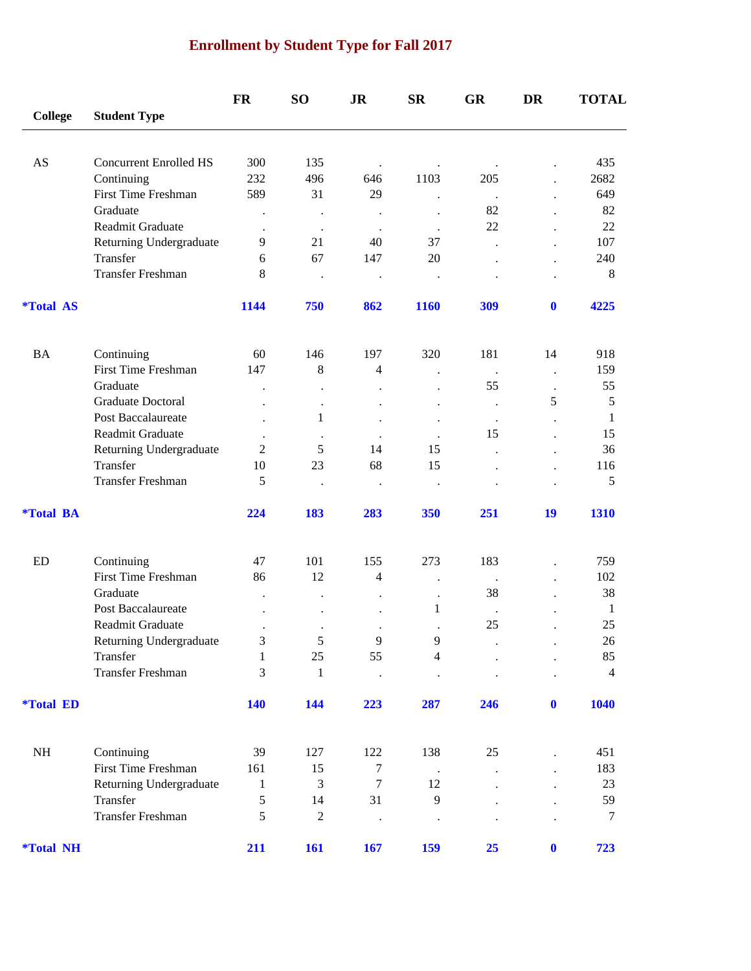# **Enrollment by Student Type for Fall 2017**

|                         |                                          | <b>FR</b>      | SO <sub>1</sub>      | <b>JR</b>            | $S_{\rm R}$          | <b>GR</b>            | DR                   | <b>TOTAL</b>   |
|-------------------------|------------------------------------------|----------------|----------------------|----------------------|----------------------|----------------------|----------------------|----------------|
| <b>College</b>          | <b>Student Type</b>                      |                |                      |                      |                      |                      |                      |                |
|                         |                                          |                |                      |                      |                      |                      |                      |                |
| AS                      | <b>Concurrent Enrolled HS</b>            | 300            | 135                  | $\bullet$            | $\bullet$            |                      |                      | 435            |
|                         | Continuing<br><b>First Time Freshman</b> | 232            | 496                  | 646                  | 1103                 | 205                  |                      | 2682           |
|                         | Graduate                                 | 589            | 31                   | 29                   |                      | $\ddot{\phantom{a}}$ |                      | 649            |
|                         | Readmit Graduate                         |                |                      | $\bullet$            |                      | 82<br>22             |                      | 82<br>22       |
|                         |                                          |                | $\bullet$            | $\ddot{\phantom{a}}$ | $\bullet$            |                      |                      |                |
|                         | Returning Undergraduate                  | 9              | 21                   | 40                   | 37                   |                      |                      | 107            |
|                         | Transfer                                 | 6              | 67                   | 147                  | 20                   |                      |                      | 240            |
|                         | Transfer Freshman                        | 8              | $\bullet$            | $\bullet$            | $\cdot$              |                      |                      | $\,8\,$        |
| <i><b>*Total AS</b></i> |                                          | 1144           | 750                  | 862                  | 1160                 | 309                  | $\mathbf 0$          | 4225           |
| <b>BA</b>               | Continuing                               | 60             | 146                  | 197                  | 320                  | 181                  | 14                   | 918            |
|                         | <b>First Time Freshman</b>               | 147            | $\,8\,$              | $\overline{4}$       | $\ddot{\phantom{a}}$ | $\ddot{\phantom{1}}$ | $\ddot{\phantom{a}}$ | 159            |
|                         | Graduate                                 |                | $\cdot$              |                      | $\ddot{\phantom{0}}$ | 55                   | $\cdot$              | 55             |
|                         | Graduate Doctoral                        |                |                      |                      | $\ddot{\phantom{0}}$ |                      | 5                    | $\mathfrak s$  |
|                         | Post Baccalaureate                       |                | 1                    |                      | $\ddot{\phantom{0}}$ | $\cdot$              |                      | 1              |
|                         | Readmit Graduate                         |                |                      |                      |                      | 15                   |                      | 15             |
|                         | Returning Undergraduate                  | $\overline{2}$ | 5                    | 14                   | 15                   |                      |                      | 36             |
|                         | Transfer                                 | 10             | 23                   | 68                   | 15                   |                      |                      | 116            |
|                         | Transfer Freshman                        | 5              | $\ddot{\phantom{0}}$ |                      | $\bullet$            |                      |                      | 5              |
| <i><b>*Total BA</b></i> |                                          | 224            | 183                  | 283                  | 350                  | 251                  | 19                   | 1310           |
|                         |                                          |                |                      |                      |                      |                      |                      |                |
| ED                      | Continuing                               | 47             | 101                  | 155                  | 273                  | 183                  |                      | 759            |
|                         | First Time Freshman                      | 86             | 12                   | 4                    | $\cdot$              | $\ddot{\phantom{a}}$ |                      | 102            |
|                         | Graduate                                 |                |                      |                      |                      | 38                   |                      | 38             |
|                         | Post Baccalaureate                       |                |                      |                      | 1                    |                      |                      | $\mathbf{1}$   |
|                         | Readmit Graduate                         |                |                      |                      |                      | 25                   |                      | 25             |
|                         | Returning Undergraduate                  | 3              | $\sqrt{5}$           | $\overline{9}$       | 9                    |                      |                      | $26\,$         |
|                         | Transfer                                 | 1              | 25                   | 55                   | 4                    |                      |                      | 85             |
|                         | Transfer Freshman                        | 3              | $\mathbf{1}$         | $\ddot{\phantom{a}}$ | $\bullet$            |                      |                      | $\overline{4}$ |
| <i><b>*Total ED</b></i> |                                          | <b>140</b>     | 144                  | 223                  | 287                  | 246                  | $\boldsymbol{0}$     | 1040           |
| NH                      | Continuing                               | 39             | 127                  | 122                  | 138                  | 25                   |                      | 451            |
|                         | First Time Freshman                      | 161            | 15                   | $\tau$               |                      |                      |                      | 183            |
|                         | Returning Undergraduate                  | $\mathbf{1}$   | 3                    | $\tau$               | $\blacksquare$<br>12 |                      |                      | 23             |
|                         | Transfer                                 | 5              | 14                   | 31                   | $\mathbf{9}$         |                      |                      | 59             |
|                         | Transfer Freshman                        | 5              | $\sqrt{2}$           | $\ddot{\phantom{0}}$ | $\cdot$              |                      |                      | 7              |
| <i><b>*Total NH</b></i> |                                          | 211            | 161                  | 167                  | 159                  | 25                   | $\boldsymbol{0}$     | 723            |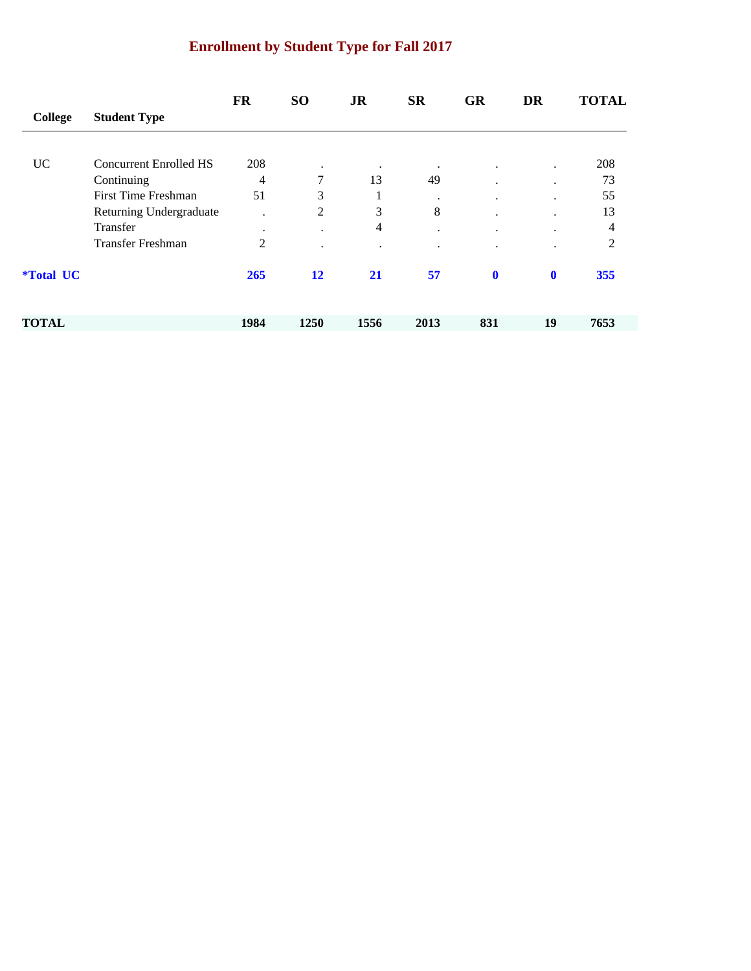# **Enrollment by Student Type for Fall 2017**

|                         |                               | <b>FR</b> | <b>SO</b> | <b>JR</b> | <b>SR</b> | <b>GR</b>            | <b>DR</b>   | <b>TOTAL</b>   |
|-------------------------|-------------------------------|-----------|-----------|-----------|-----------|----------------------|-------------|----------------|
| College                 | <b>Student Type</b>           |           |           |           |           |                      |             |                |
|                         |                               |           |           |           |           |                      |             |                |
| <b>UC</b>               | <b>Concurrent Enrolled HS</b> | 208       | ٠         | $\bullet$ | $\cdot$   | $\cdot$              | $\bullet$   | 208            |
|                         | Continuing                    | 4         | 7         | 13        | 49        | ٠                    | $\cdot$     | 73             |
|                         | First Time Freshman           | 51        | 3         | $\bf{r}$  | $\cdot$   | $\ddot{\phantom{0}}$ | ٠           | 55             |
|                         | Returning Undergraduate       | $\cdot$   | 2         | 3         | 8         | ٠                    | $\bullet$   | 13             |
|                         | Transfer                      | $\bullet$ | $\cdot$   | 4         | $\cdot$   | $\cdot$              | $\cdot$     | $\overline{4}$ |
|                         | <b>Transfer Freshman</b>      | 2         | $\bullet$ | $\cdot$   | $\cdot$   | ٠                    | $\bullet$   | $\overline{2}$ |
| <i><b>*Total UC</b></i> |                               | 265       | 12        | 21        | 57        | $\mathbf 0$          | $\mathbf 0$ | 355            |
| <b>TOTAL</b>            |                               | 1984      | 1250      | 1556      | 2013      | 831                  | 19          | 7653           |
|                         |                               |           |           |           |           |                      |             |                |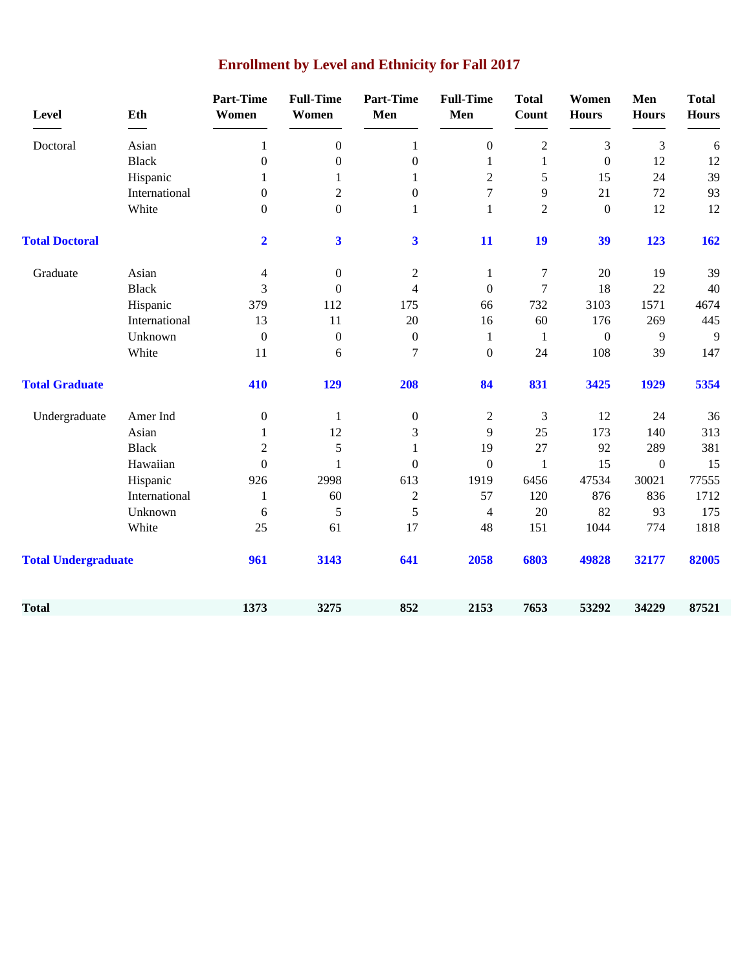| <b>Level</b>               | Eth           | <b>Part-Time</b><br>Women | <b>Full-Time</b><br>Women | <b>Part-Time</b><br>Men | <b>Full-Time</b><br>Men  | <b>Total</b><br><b>Count</b> | Women<br><b>Hours</b> | Men<br><b>Hours</b> | <b>Total</b><br><b>Hours</b> |
|----------------------------|---------------|---------------------------|---------------------------|-------------------------|--------------------------|------------------------------|-----------------------|---------------------|------------------------------|
| Doctoral                   | Asian         | 1                         | $\boldsymbol{0}$          | $\mathbf{1}$            | $\boldsymbol{0}$         | $\overline{2}$               | 3                     | 3                   | 6                            |
|                            | <b>Black</b>  | $\boldsymbol{0}$          | $\boldsymbol{0}$          | $\boldsymbol{0}$        | $\mathbf{1}$             | $\mathbf{1}$                 | $\boldsymbol{0}$      | 12                  | 12                           |
|                            | Hispanic      | 1                         | 1                         | $\mathbf{1}$            | $\overline{c}$           | 5                            | 15                    | 24                  | 39                           |
|                            | International | $\boldsymbol{0}$          | $\boldsymbol{2}$          | $\boldsymbol{0}$        | 7                        | 9                            | 21                    | $72\,$              | 93                           |
|                            | White         | $\overline{0}$            | $\boldsymbol{0}$          | $\mathbf{1}$            | $\mathbf{1}$             | $\overline{2}$               | $\boldsymbol{0}$      | 12                  | 12                           |
| <b>Total Doctoral</b>      |               | $\mathbf{2}$              | $\overline{\mathbf{3}}$   | $\overline{\mathbf{3}}$ | 11                       | 19                           | 39                    | 123                 | 162                          |
| Graduate                   | Asian         | 4                         | $\boldsymbol{0}$          | $\boldsymbol{2}$        | $\mathbf{1}$             | $\tau$                       | 20                    | 19                  | 39                           |
|                            | <b>Black</b>  | 3                         | $\boldsymbol{0}$          | $\overline{4}$          | $\boldsymbol{0}$         | $\tau$                       | 18                    | 22                  | 40                           |
|                            | Hispanic      | 379                       | 112                       | 175                     | 66                       | 732                          | 3103                  | 1571                | 4674                         |
|                            | International | 13                        | 11                        | 20                      | 16                       | 60                           | 176                   | 269                 | 445                          |
|                            | Unknown       | $\boldsymbol{0}$          | $\boldsymbol{0}$          | $\boldsymbol{0}$        | $\mathbf{1}$             | 1                            | $\boldsymbol{0}$      | 9                   | 9                            |
|                            | White         | 11                        | 6                         | $\tau$                  | $\boldsymbol{0}$         | 24                           | 108                   | 39                  | 147                          |
| <b>Total Graduate</b>      |               | 410                       | 129                       | 208                     | 84                       | 831                          | 3425                  | 1929                | 5354                         |
| Undergraduate              | Amer Ind      | $\boldsymbol{0}$          | $\mathbf{1}$              | $\boldsymbol{0}$        | $\overline{c}$           | 3                            | 12                    | 24                  | 36                           |
|                            | Asian         | $\mathbf{1}$              | 12                        | 3                       | 9                        | 25                           | 173                   | 140                 | 313                          |
|                            | <b>Black</b>  | $\overline{2}$            | 5                         | $\mathbf{1}$            | 19                       | 27                           | 92                    | 289                 | 381                          |
|                            | Hawaiian      | $\boldsymbol{0}$          | 1                         | $\boldsymbol{0}$        | $\boldsymbol{0}$         | $\mathbf{1}$                 | 15                    | $\boldsymbol{0}$    | 15                           |
|                            | Hispanic      | 926                       | 2998                      | 613                     | 1919                     | 6456                         | 47534                 | 30021               | 77555                        |
|                            | International | $\mathbf{1}$              | 60                        | $\boldsymbol{2}$        | 57                       | 120                          | 876                   | 836                 | 1712                         |
|                            | Unknown       | 6                         | 5                         | 5                       | $\overline{\mathcal{A}}$ | 20                           | 82                    | 93                  | 175                          |
|                            | White         | 25                        | 61                        | 17                      | 48                       | 151                          | 1044                  | 774                 | 1818                         |
| <b>Total Undergraduate</b> |               | 961                       | 3143                      | 641                     | 2058                     | 6803                         | 49828                 | 32177               | 82005                        |
| <b>Total</b>               |               | 1373                      | 3275                      | 852                     | 2153                     | 7653                         | 53292                 | 34229               | 87521                        |

# **Enrollment by Level and Ethnicity for Fall 2017**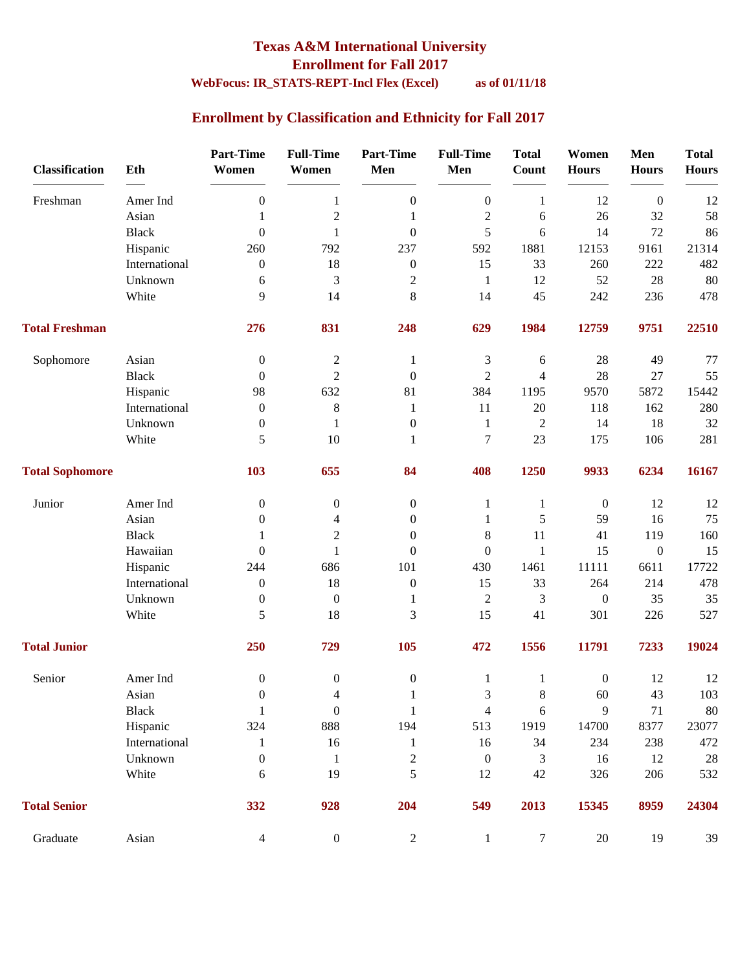#### **Texas A&M International University Enrollment for Fall 2017 WebFocus: IR\_STATS-REPT-Incl Flex (Excel) as of 01/11/18**

### **Enrollment by Classification and Ethnicity for Fall 2017**

| <b>Classification</b>  | Eth           | <b>Part-Time</b><br>Women | <b>Full-Time</b><br>Women | <b>Part-Time</b><br>Men | <b>Full-Time</b><br>Men | <b>Total</b><br><b>Count</b> | Women<br><b>Hours</b> | Men<br><b>Hours</b> | <b>Total</b><br><b>Hours</b> |
|------------------------|---------------|---------------------------|---------------------------|-------------------------|-------------------------|------------------------------|-----------------------|---------------------|------------------------------|
| Freshman               | Amer Ind      | $\boldsymbol{0}$          | 1                         | $\boldsymbol{0}$        | $\boldsymbol{0}$        | 1                            | 12                    | $\boldsymbol{0}$    | 12                           |
|                        | Asian         | 1                         | $\overline{2}$            | 1                       | $\overline{c}$          | 6                            | 26                    | 32                  | 58                           |
|                        | <b>Black</b>  | $\mathbf{0}$              | $\mathbf{1}$              | $\boldsymbol{0}$        | 5                       | 6                            | 14                    | 72                  | 86                           |
|                        | Hispanic      | 260                       | 792                       | 237                     | 592                     | 1881                         | 12153                 | 9161                | 21314                        |
|                        | International | $\boldsymbol{0}$          | 18                        | $\boldsymbol{0}$        | 15                      | 33                           | 260                   | 222                 | 482                          |
|                        | Unknown       | 6                         | 3                         | $\mathbf{2}$            | $\mathbf{1}$            | 12                           | 52                    | 28                  | 80                           |
|                        | White         | 9                         | 14                        | 8                       | 14                      | 45                           | 242                   | 236                 | 478                          |
| <b>Total Freshman</b>  |               | 276                       | 831                       | 248                     | 629                     | 1984                         | 12759                 | 9751                | 22510                        |
| Sophomore              | Asian         | $\mathbf{0}$              | $\overline{c}$            | 1                       | 3                       | 6                            | 28                    | 49                  | 77                           |
|                        | <b>Black</b>  | $\theta$                  | $\overline{2}$            | $\boldsymbol{0}$        | $\overline{2}$          | 4                            | 28                    | 27                  | 55                           |
|                        | Hispanic      | 98                        | 632                       | 81                      | 384                     | 1195                         | 9570                  | 5872                | 15442                        |
|                        | International | $\boldsymbol{0}$          | $\,8$                     | 1                       | 11                      | 20                           | 118                   | 162                 | 280                          |
|                        | Unknown       | $\boldsymbol{0}$          | 1                         | $\boldsymbol{0}$        | $\mathbf{1}$            | $\overline{c}$               | 14                    | 18                  | 32                           |
|                        | White         | 5                         | 10                        | 1                       | $\tau$                  | 23                           | 175                   | 106                 | 281                          |
| <b>Total Sophomore</b> |               | 103                       | 655                       | 84                      | 408                     | 1250                         | 9933                  | 6234                | 16167                        |
| Junior                 | Amer Ind      | $\boldsymbol{0}$          | $\boldsymbol{0}$          | $\boldsymbol{0}$        | 1                       | $\mathbf{1}$                 | $\boldsymbol{0}$      | 12                  | 12                           |
|                        | Asian         | 0                         | 4                         | $\boldsymbol{0}$        | 1                       | 5                            | 59                    | 16                  | 75                           |
|                        | <b>Black</b>  | 1                         | $\overline{2}$            | $\theta$                | $\,8\,$                 | 11                           | 41                    | 119                 | 160                          |
|                        | Hawaiian      | $\mathbf{0}$              | 1                         | $\theta$                | $\theta$                | $\mathbf{1}$                 | 15                    | $\boldsymbol{0}$    | 15                           |
|                        | Hispanic      | 244                       | 686                       | 101                     | 430                     | 1461                         | 11111                 | 6611                | 17722                        |
|                        | International | $\boldsymbol{0}$          | 18                        | $\boldsymbol{0}$        | 15                      | 33                           | 264                   | 214                 | 478                          |
|                        | Unknown       | $\boldsymbol{0}$          | $\boldsymbol{0}$          | 1                       | $\boldsymbol{2}$        | 3                            | $\boldsymbol{0}$      | 35                  | 35                           |
|                        | White         | 5                         | 18                        | 3                       | 15                      | 41                           | 301                   | 226                 | 527                          |
| <b>Total Junior</b>    |               | 250                       | 729                       | 105                     | 472                     | 1556                         | 11791                 | 7233                | 19024                        |
| Senior                 | Amer Ind      | $\boldsymbol{0}$          | $\boldsymbol{0}$          | $\boldsymbol{0}$        | 1                       | $\mathbf{1}$                 | $\boldsymbol{0}$      | 12                  | 12                           |
|                        | Asian         | $\boldsymbol{0}$          | $\overline{\mathbf{4}}$   | $\mathbf{1}$            | 3                       | $\,8\,$                      | $60\,$                | 43                  | 103                          |
|                        | <b>Black</b>  | 1                         | $\boldsymbol{0}$          | 1                       | $\overline{4}$          | 6                            | 9                     | 71                  | $80\,$                       |
|                        | Hispanic      | 324                       | 888                       | 194                     | 513                     | 1919                         | 14700                 | 8377                | 23077                        |
|                        | International | 1                         | 16                        | $\mathbf{1}$            | 16                      | 34                           | 234                   | 238                 | 472                          |
|                        | Unknown       | $\boldsymbol{0}$          | $\mathbf{1}$              | $\boldsymbol{2}$        | $\boldsymbol{0}$        | 3                            | 16                    | 12                  | $28\,$                       |
|                        | White         | 6                         | 19                        | 5                       | 12                      | 42                           | 326                   | 206                 | 532                          |
| <b>Total Senior</b>    |               | 332                       | 928                       | 204                     | 549                     | 2013                         | 15345                 | 8959                | 24304                        |
| Graduate               | Asian         | $\overline{4}$            | $\boldsymbol{0}$          | $\overline{2}$          | $\mathbf{1}$            | $\tau$                       | $20\,$                | 19                  | 39                           |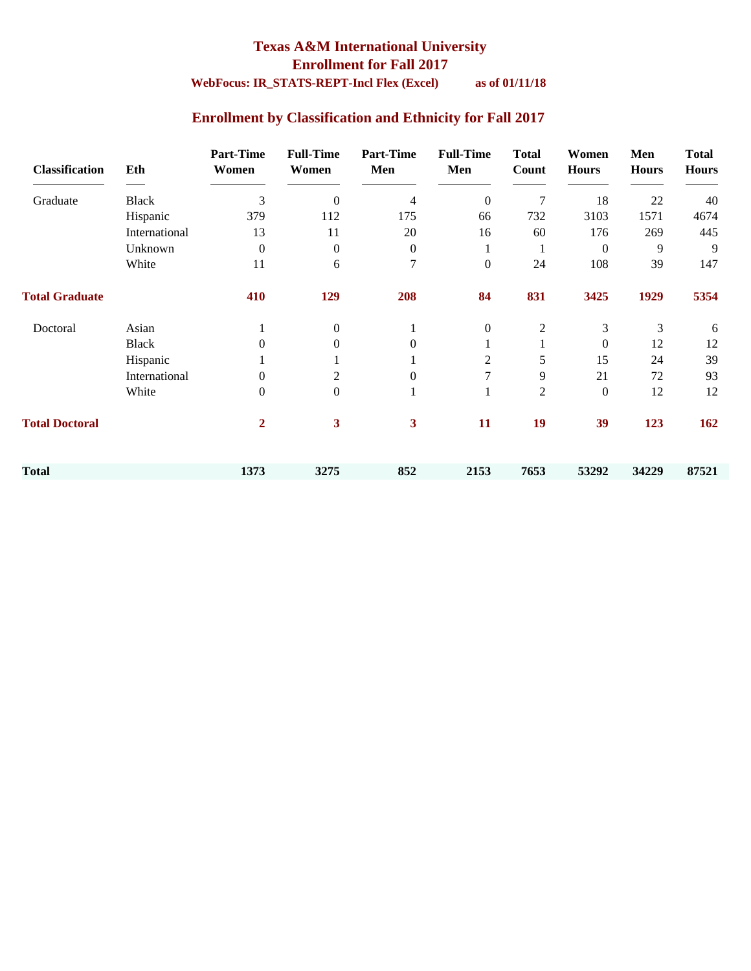### **Texas A&M International University Enrollment for Fall 2017 WebFocus: IR\_STATS-REPT-Incl Flex (Excel) as of 01/11/18**

### **Enrollment by Classification and Ethnicity for Fall 2017**

| <b>Classification</b> | Eth           | <b>Part-Time</b><br>Women | <b>Full-Time</b><br>Women | <b>Part-Time</b><br>Men | <b>Full-Time</b><br>Men | <b>Total</b><br>Count | Women<br><b>Hours</b> | Men<br><b>Hours</b> | <b>Total</b><br><b>Hours</b> |
|-----------------------|---------------|---------------------------|---------------------------|-------------------------|-------------------------|-----------------------|-----------------------|---------------------|------------------------------|
| Graduate              | <b>Black</b>  | 3                         | $\theta$                  | 4                       | $\mathbf{0}$            | 7                     | 18                    | 22                  | 40                           |
|                       | Hispanic      | 379                       | 112                       | 175                     | 66                      | 732                   | 3103                  | 1571                | 4674                         |
|                       | International | 13                        | 11                        | 20                      | 16                      | 60                    | 176                   | 269                 | 445                          |
|                       | Unknown       | $\Omega$                  | $\boldsymbol{0}$          | $\overline{0}$          |                         | 1                     | $\overline{0}$        | 9                   | 9                            |
|                       | White         | 11                        | 6                         | 7                       | $\boldsymbol{0}$        | 24                    | 108                   | 39                  | 147                          |
| <b>Total Graduate</b> |               | 410                       | 129                       | 208                     | 84                      | 831                   | 3425                  | 1929                | 5354                         |
| Doctoral              | Asian         |                           | $\overline{0}$            |                         | $\boldsymbol{0}$        | 2                     | 3                     | 3                   | 6                            |
|                       | <b>Black</b>  | 0                         | $\Omega$                  | $\Omega$                |                         |                       | $\boldsymbol{0}$      | 12                  | 12                           |
|                       | Hispanic      |                           |                           |                         | 2                       | 5                     | 15                    | 24                  | 39                           |
|                       | International | $\Omega$                  | 2                         | $\mathbf{0}$            | 7                       | 9                     | 21                    | 72                  | 93                           |
|                       | White         | $\Omega$                  | $\boldsymbol{0}$          | 1                       |                         | $\overline{2}$        | $\boldsymbol{0}$      | 12                  | 12                           |
| <b>Total Doctoral</b> |               | $\mathbf{2}$              | 3                         | $\mathbf{3}$            | 11                      | 19                    | 39                    | 123                 | 162                          |
| <b>Total</b>          |               | 1373                      | 3275                      | 852                     | 2153                    | 7653                  | 53292                 | 34229               | 87521                        |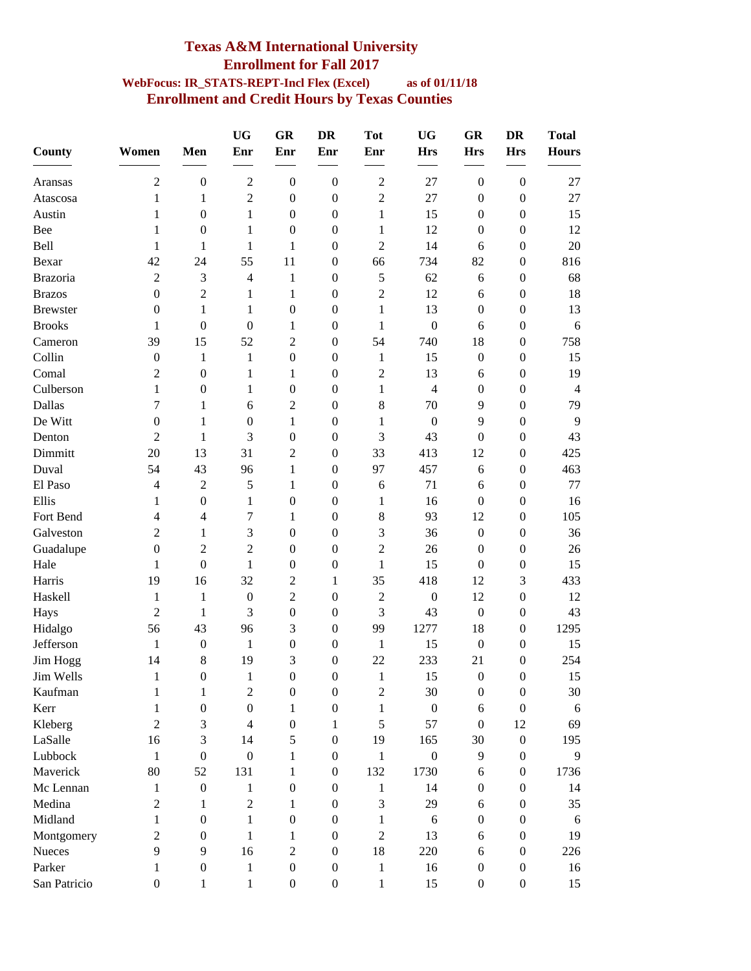#### **Texas A&M International University Enrollment for Fall 2017 WebFocus: IR\_STATS-REPT-Incl Flex (Excel) as of 01/11/18 Enrollment and Credit Hours by Texas Counties**

| County          | Women            | Men                      | <b>UG</b><br>Enr                                             | GR<br>Enr        | <b>DR</b><br>Enr | <b>Tot</b><br>Enr                                            | <b>UG</b><br><b>Hrs</b> | GR<br><b>Hrs</b> | <b>DR</b><br><b>Hrs</b> | <b>Total</b><br><b>Hours</b> |
|-----------------|------------------|--------------------------|--------------------------------------------------------------|------------------|------------------|--------------------------------------------------------------|-------------------------|------------------|-------------------------|------------------------------|
| Aransas         | 2                | $\boldsymbol{0}$         | $\mathfrak{2}% =\mathfrak{2}\left( \mathfrak{2}\right) ^{2}$ | $\boldsymbol{0}$ | $\boldsymbol{0}$ | $\overline{2}$                                               | 27                      | $\boldsymbol{0}$ | $\boldsymbol{0}$        | 27                           |
| Atascosa        | 1                | 1                        | $\overline{2}$                                               | $\boldsymbol{0}$ | $\boldsymbol{0}$ | $\overline{2}$                                               | 27                      | $\boldsymbol{0}$ | $\boldsymbol{0}$        | 27                           |
| Austin          | 1                | $\boldsymbol{0}$         | 1                                                            | $\boldsymbol{0}$ | $\boldsymbol{0}$ | 1                                                            | 15                      | $\boldsymbol{0}$ | $\mathbf{0}$            | 15                           |
| Bee             | 1                | $\boldsymbol{0}$         | 1                                                            | $\boldsymbol{0}$ | $\boldsymbol{0}$ | $\mathbf{1}$                                                 | 12                      | $\boldsymbol{0}$ | $\boldsymbol{0}$        | 12                           |
| Bell            | 1                | 1                        | 1                                                            | 1                | $\boldsymbol{0}$ | $\overline{2}$                                               | 14                      | 6                | $\boldsymbol{0}$        | 20                           |
| Bexar           | 42               | 24                       | 55                                                           | 11               | $\theta$         | 66                                                           | 734                     | 82               | $\boldsymbol{0}$        | 816                          |
| Brazoria        | $\overline{c}$   | 3                        | 4                                                            | 1                | $\boldsymbol{0}$ | $\mathfrak s$                                                | 62                      | 6                | $\boldsymbol{0}$        | 68                           |
| <b>Brazos</b>   | $\boldsymbol{0}$ | $\overline{2}$           | 1                                                            | 1                | $\boldsymbol{0}$ | $\overline{2}$                                               | 12                      | 6                | $\boldsymbol{0}$        | 18                           |
| <b>Brewster</b> | $\overline{0}$   | 1                        | $\mathbf{1}$                                                 | 0                | $\boldsymbol{0}$ | $\mathbf{1}$                                                 | 13                      | $\boldsymbol{0}$ | $\boldsymbol{0}$        | 13                           |
| <b>Brooks</b>   | 1                | $\boldsymbol{0}$         | $\boldsymbol{0}$                                             | $\mathbf{1}$     | $\boldsymbol{0}$ | 1                                                            | $\boldsymbol{0}$        | 6                | $\boldsymbol{0}$        | 6                            |
| Cameron         | 39               | 15                       | 52                                                           | $\overline{2}$   | $\boldsymbol{0}$ | 54                                                           | 740                     | 18               | $\boldsymbol{0}$        | 758                          |
| Collin          | $\overline{0}$   | 1                        | 1                                                            | $\boldsymbol{0}$ | $\mathbf{0}$     | 1                                                            | 15                      | $\boldsymbol{0}$ | $\boldsymbol{0}$        | 15                           |
| Comal           | 2                | $\overline{0}$           | 1                                                            | 1                | $\mathbf{0}$     | $\mathfrak{2}% =\mathfrak{2}\left( \mathfrak{2}\right) ^{2}$ | 13                      | 6                | $\boldsymbol{0}$        | 19                           |
| Culberson       | 1                | $\boldsymbol{0}$         | 1                                                            | $\boldsymbol{0}$ | $\boldsymbol{0}$ | 1                                                            | 4                       | $\theta$         | $\boldsymbol{0}$        | $\overline{4}$               |
| Dallas          | 7                | 1                        | 6                                                            | $\overline{2}$   | $\mathbf{0}$     | $8\,$                                                        | 70                      | 9                | $\boldsymbol{0}$        | 79                           |
| De Witt         | $\boldsymbol{0}$ | 1                        | $\boldsymbol{0}$                                             | $\mathbf{1}$     | $\boldsymbol{0}$ | 1                                                            | $\boldsymbol{0}$        | 9                | $\boldsymbol{0}$        | 9                            |
| Denton          | $\overline{c}$   | 1                        | 3                                                            | $\boldsymbol{0}$ | $\boldsymbol{0}$ | 3                                                            | 43                      | $\boldsymbol{0}$ | $\boldsymbol{0}$        | 43                           |
| Dimmitt         | 20               | 13                       | 31                                                           | $\overline{2}$   | $\mathbf{0}$     | 33                                                           | 413                     | 12               | $\boldsymbol{0}$        | 425                          |
| Duval           | 54               | 43                       | 96                                                           | 1                | $\boldsymbol{0}$ | 97                                                           | 457                     | 6                | $\boldsymbol{0}$        | 463                          |
| El Paso         | 4                | $\overline{2}$           | 5                                                            | 1                | $\boldsymbol{0}$ | 6                                                            | 71                      | 6                | $\boldsymbol{0}$        | 77                           |
| Ellis           | 1                | $\boldsymbol{0}$         | 1                                                            | 0                | $\boldsymbol{0}$ | 1                                                            | 16                      | $\boldsymbol{0}$ | $\boldsymbol{0}$        | 16                           |
| Fort Bend       | 4                | $\overline{\mathcal{L}}$ | 7                                                            | $\mathbf{1}$     | $\boldsymbol{0}$ | $8\,$                                                        | 93                      | 12               | $\boldsymbol{0}$        | 105                          |
| Galveston       | $\overline{c}$   | 1                        | 3                                                            | $\boldsymbol{0}$ | $\boldsymbol{0}$ | $\mathfrak{Z}$                                               | 36                      | $\boldsymbol{0}$ | $\boldsymbol{0}$        | 36                           |
| Guadalupe       | $\boldsymbol{0}$ | $\overline{2}$           | $\overline{2}$                                               | $\mathbf{0}$     | $\mathbf{0}$     | $\overline{2}$                                               | 26                      | $\mathbf{0}$     | $\boldsymbol{0}$        | 26                           |
| Hale            | 1                | $\boldsymbol{0}$         | 1                                                            | $\boldsymbol{0}$ | $\boldsymbol{0}$ | $\mathbf{1}$                                                 | 15                      | $\mathbf{0}$     | $\boldsymbol{0}$        | 15                           |
| Harris          | 19               | 16                       | 32                                                           | $\overline{2}$   | 1                | 35                                                           | 418                     | 12               | 3                       | 433                          |
| Haskell         | 1                | $\mathbf{1}$             | $\boldsymbol{0}$                                             | $\overline{2}$   | $\boldsymbol{0}$ | $\overline{2}$                                               | $\boldsymbol{0}$        | 12               | $\boldsymbol{0}$        | 12                           |
| Hays            | $\overline{c}$   | $\mathbf{1}$             | $\mathfrak{Z}$                                               | $\boldsymbol{0}$ | $\boldsymbol{0}$ | $\mathfrak{Z}$                                               | 43                      | $\boldsymbol{0}$ | $\boldsymbol{0}$        | 43                           |
| Hidalgo         | 56               | 43                       | 96                                                           | 3                | $\boldsymbol{0}$ | 99                                                           | 1277                    | 18               | $\boldsymbol{0}$        | 1295                         |
| Jefferson       | 1                | $\boldsymbol{0}$         | $\mathbf{1}$                                                 | $\boldsymbol{0}$ | $\theta$         | 1                                                            | 15                      | $\boldsymbol{0}$ | 0                       | 15                           |
| Jim Hogg        | 14               | 8                        | 19                                                           | 3                | $\theta$         | 22                                                           | 233                     | 21               | $\boldsymbol{0}$        | 254                          |
| Jim Wells       | 1                | 0                        | $\overline{1}$                                               | $\Omega$         | $\Omega$         | 1                                                            | 15                      | $\Omega$         | $\Omega$                | 15                           |
| Kaufman         | 1                | 1                        | $\sqrt{2}$                                                   | $\boldsymbol{0}$ | $\boldsymbol{0}$ | $\mathfrak 2$                                                | 30                      | $\boldsymbol{0}$ | $\boldsymbol{0}$        | 30                           |
| Kerr            | 1                | $\boldsymbol{0}$         | $\boldsymbol{0}$                                             | $\mathbf{1}$     | $\boldsymbol{0}$ | $\mathbf{1}$                                                 | $\boldsymbol{0}$        | $\epsilon$       | $\boldsymbol{0}$        | 6                            |
| Kleberg         | $\overline{2}$   | 3                        | $\overline{4}$                                               | $\boldsymbol{0}$ | 1                | $\mathfrak s$                                                | 57                      | $\boldsymbol{0}$ | 12                      | 69                           |
| LaSalle         | 16               | 3                        | 14                                                           | 5                | $\boldsymbol{0}$ | 19                                                           | 165                     | 30               | $\boldsymbol{0}$        | 195                          |
| Lubbock         | $\mathbf{1}$     | $\boldsymbol{0}$         | $\boldsymbol{0}$                                             | 1                | $\boldsymbol{0}$ | $\mathbf{1}$                                                 | $\boldsymbol{0}$        | 9                | $\boldsymbol{0}$        | 9                            |
| Maverick        | 80               | 52                       | 131                                                          | 1                | $\boldsymbol{0}$ | 132                                                          | 1730                    | 6                | $\boldsymbol{0}$        | 1736                         |
| Mc Lennan       | 1                | $\boldsymbol{0}$         | $\mathbf{1}$                                                 | $\boldsymbol{0}$ | $\boldsymbol{0}$ | $\mathbf{1}$                                                 | 14                      | $\boldsymbol{0}$ | $\mathbf{0}$            | 14                           |
| Medina          | $\overline{c}$   | 1                        | $\sqrt{2}$                                                   | $\mathbf{1}$     | $\boldsymbol{0}$ | 3                                                            | 29                      | 6                | $\boldsymbol{0}$        | 35                           |
| Midland         | 1                | $\boldsymbol{0}$         | $\mathbf{1}$                                                 | $\boldsymbol{0}$ | $\boldsymbol{0}$ | 1                                                            | $\sqrt{6}$              | $\boldsymbol{0}$ | $\boldsymbol{0}$        | 6                            |
| Montgomery      | 2                | $\boldsymbol{0}$         | 1                                                            | 1                | $\mathbf{0}$     | $\overline{2}$                                               | 13                      | 6                | $\mathbf{0}$            | 19                           |
| Nueces          | 9                | 9                        | 16                                                           | $\mathfrak{2}$   | $\mathbf{0}$     | 18                                                           | 220                     | 6                | $\boldsymbol{0}$        | 226                          |
| Parker          | 1                | $\boldsymbol{0}$         | $\mathbf{1}$                                                 | $\boldsymbol{0}$ | $\boldsymbol{0}$ | $\mathbf{1}$                                                 | 16                      | $\boldsymbol{0}$ | $\boldsymbol{0}$        | 16                           |
| San Patricio    | $\boldsymbol{0}$ | $\mathbf{1}$             | $\,1$                                                        | $\boldsymbol{0}$ | $\boldsymbol{0}$ | $\mathbf{1}$                                                 | 15                      | $\boldsymbol{0}$ | $\boldsymbol{0}$        | 15                           |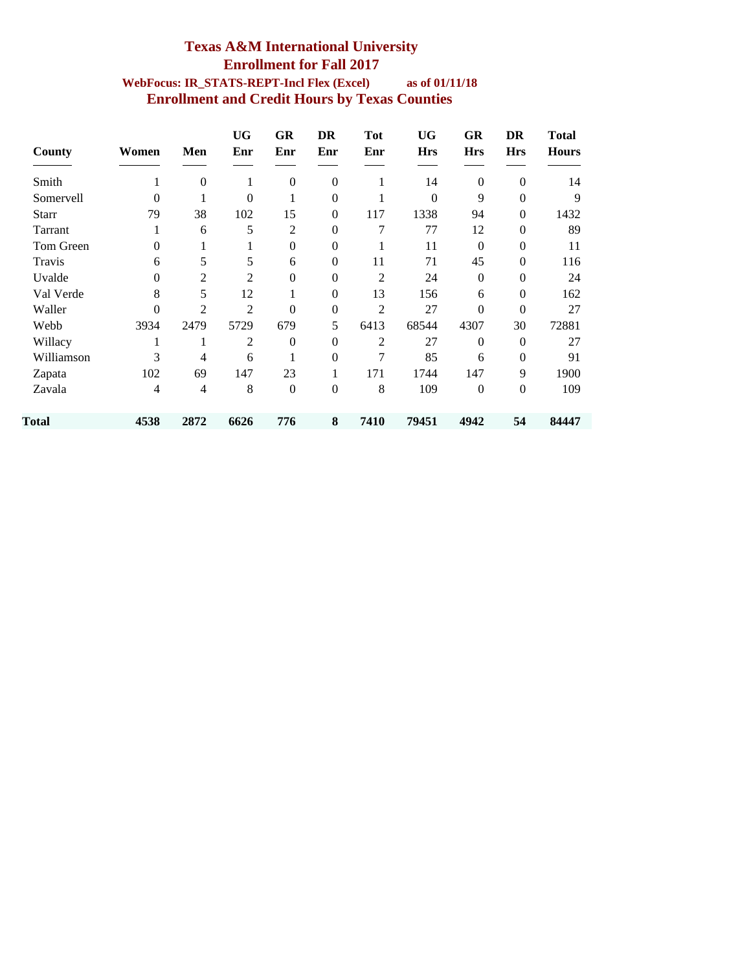#### **Texas A&M International University Enrollment for Fall 2017 WebFocus: IR\_STATS-REPT-Incl Flex (Excel) as of 01/11/18 Enrollment and Credit Hours by Texas Counties**

| County       | Women    | Men      | <b>UG</b><br>Enr | GR<br>Enr        | DR<br>Enr        | <b>Tot</b><br>Enr | <b>UG</b><br><b>Hrs</b> | GR<br><b>Hrs</b> | DR<br><b>Hrs</b> | Total<br><b>Hours</b> |
|--------------|----------|----------|------------------|------------------|------------------|-------------------|-------------------------|------------------|------------------|-----------------------|
| Smith        |          | $\theta$ | 1                | $\mathbf{0}$     | $\mathbf{0}$     | 1                 | 14                      | $\mathbf{0}$     | $\theta$         | 14                    |
| Somervell    | 0        |          | 0                |                  | $\mathbf{0}$     |                   | $\theta$                | 9                | $\mathbf{0}$     | 9                     |
| <b>Starr</b> | 79       | 38       | 102              | 15               | $\boldsymbol{0}$ | 117               | 1338                    | 94               | $\mathbf{0}$     | 1432                  |
| Tarrant      | 1        | 6        | 5                | $\overline{2}$   | $\Omega$         | 7                 | 77                      | 12               | $\overline{0}$   | 89                    |
| Tom Green    | $\theta$ |          |                  | $\boldsymbol{0}$ | $\boldsymbol{0}$ | 1                 | 11                      | $\Omega$         | $\boldsymbol{0}$ | 11                    |
| Travis       | 6        | 5        | 5                | 6                | $\Omega$         | 11                | 71                      | 45               | $\mathbf{0}$     | 116                   |
| Uvalde       | $\theta$ | 2        | 2                | $\mathbf{0}$     | $\theta$         | 2                 | 24                      | $\Omega$         | $\mathbf{0}$     | 24                    |
| Val Verde    | 8        | 5        | 12               |                  | $\mathbf{0}$     | 13                | 156                     | 6                | $\boldsymbol{0}$ | 162                   |
| Waller       | $\theta$ | 2        | $\overline{2}$   | $\boldsymbol{0}$ | $\boldsymbol{0}$ | $\overline{2}$    | 27                      | $\theta$         | $\overline{0}$   | 27                    |
| Webb         | 3934     | 2479     | 5729             | 679              | 5                | 6413              | 68544                   | 4307             | 30               | 72881                 |
| Willacy      |          |          | 2                | $\Omega$         | $\Omega$         | $\overline{2}$    | 27                      | $\Omega$         | $\mathbf{0}$     | 27                    |
| Williamson   | 3        | 4        | 6                | 1                | $\theta$         | 7                 | 85                      | 6                | $\mathbf{0}$     | 91                    |
| Zapata       | 102      | 69       | 147              | 23               |                  | 171               | 1744                    | 147              | 9                | 1900                  |
| Zavala       | 4        | 4        | 8                | $\boldsymbol{0}$ | $\boldsymbol{0}$ | 8                 | 109                     | $\mathbf{0}$     | $\boldsymbol{0}$ | 109                   |
| Total        | 4538     | 2872     | 6626             | 776              | 8                | 7410              | 79451                   | 4942             | 54               | 84447                 |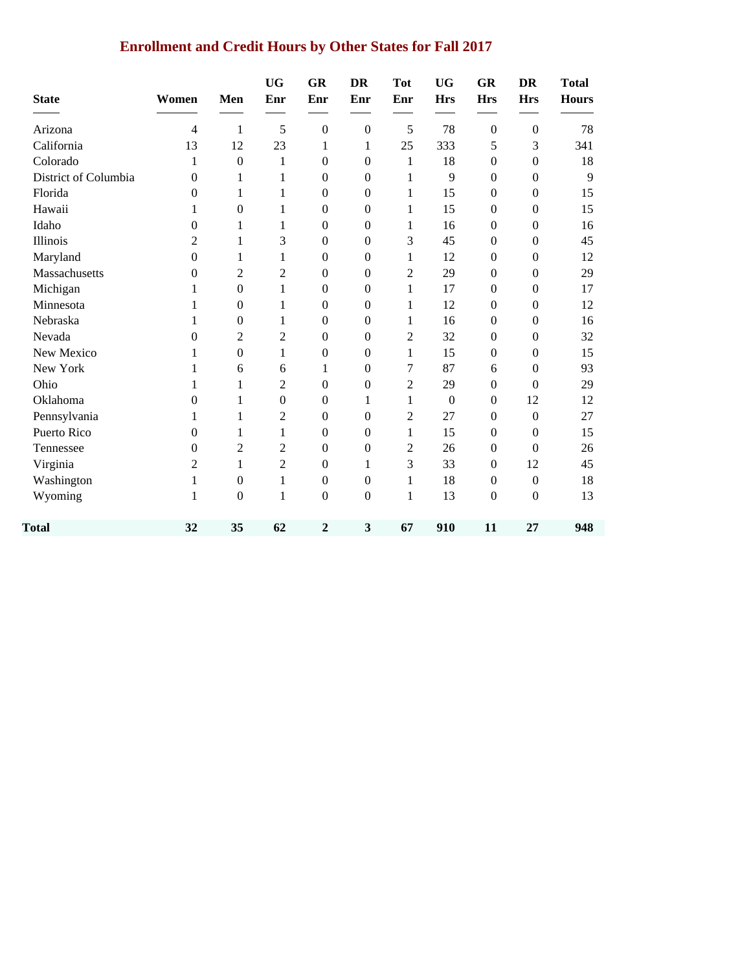# **Enrollment and Credit Hours by Other States for Fall 2017**

| <b>State</b>         | Women            | Men              | <b>UG</b><br>Enr | GR<br>Enr        | <b>DR</b><br>Enr        | <b>Tot</b><br>Enr | <b>UG</b><br><b>Hrs</b> | GR<br><b>Hrs</b> | <b>DR</b><br><b>Hrs</b> | <b>Total</b><br><b>Hours</b> |
|----------------------|------------------|------------------|------------------|------------------|-------------------------|-------------------|-------------------------|------------------|-------------------------|------------------------------|
| Arizona              | $\overline{4}$   | 1                | 5                | $\overline{0}$   | $\mathbf{0}$            | 5                 | 78                      | $\boldsymbol{0}$ | $\mathbf{0}$            | 78                           |
| California           | 13               | 12               | 23               | 1                | 1                       | 25                | 333                     | 5                | 3                       | 341                          |
| Colorado             | 1                | $\boldsymbol{0}$ | 1                | $\mathbf{0}$     | $\boldsymbol{0}$        | 1                 | 18                      | $\boldsymbol{0}$ | $\boldsymbol{0}$        | 18                           |
| District of Columbia | $\overline{0}$   | 1                | 1                | $\mathbf{0}$     | $\boldsymbol{0}$        | 1                 | 9                       | $\boldsymbol{0}$ | $\boldsymbol{0}$        | 9                            |
| Florida              | $\overline{0}$   | 1                | 1                | $\Omega$         | $\Omega$                | 1                 | 15                      | $\Omega$         | $\boldsymbol{0}$        | 15                           |
| Hawaii               | 1                | $\boldsymbol{0}$ | 1                | $\mathbf{0}$     | $\boldsymbol{0}$        | 1                 | 15                      | $\mathbf{0}$     | $\boldsymbol{0}$        | 15                           |
| Idaho                | 0                | 1                | 1                | $\boldsymbol{0}$ | $\boldsymbol{0}$        | 1                 | 16                      | $\boldsymbol{0}$ | $\boldsymbol{0}$        | 16                           |
| Illinois             | $\overline{2}$   | 1                | 3                | $\overline{0}$   | $\boldsymbol{0}$        | 3                 | 45                      | $\mathbf{0}$     | $\mathbf{0}$            | 45                           |
| Maryland             | $\boldsymbol{0}$ | 1                | 1                | $\mathbf{0}$     | $\mathbf{0}$            | 1                 | 12                      | $\Omega$         | $\boldsymbol{0}$        | 12                           |
| Massachusetts        | $\overline{0}$   | $\overline{c}$   | $\overline{c}$   | $\mathbf{0}$     | $\boldsymbol{0}$        | $\overline{2}$    | 29                      | $\boldsymbol{0}$ | $\boldsymbol{0}$        | 29                           |
| Michigan             | 1                | $\boldsymbol{0}$ | 1                | $\mathbf{0}$     | $\boldsymbol{0}$        | 1                 | 17                      | $\mathbf{0}$     | $\boldsymbol{0}$        | 17                           |
| Minnesota            | 1                | $\boldsymbol{0}$ | 1                | $\theta$         | $\boldsymbol{0}$        | 1                 | 12                      | $\Omega$         | $\boldsymbol{0}$        | 12                           |
| Nebraska             | 1                | $\boldsymbol{0}$ | 1                | $\overline{0}$   | $\boldsymbol{0}$        | 1                 | 16                      | $\mathbf{0}$     | $\boldsymbol{0}$        | 16                           |
| Nevada               | $\overline{0}$   | $\overline{c}$   | $\overline{c}$   | $\mathbf{0}$     | $\boldsymbol{0}$        | $\overline{2}$    | 32                      | $\boldsymbol{0}$ | $\boldsymbol{0}$        | 32                           |
| New Mexico           | 1                | $\overline{0}$   | 1                | $\mathbf{0}$     | $\boldsymbol{0}$        | 1                 | 15                      | $\boldsymbol{0}$ | $\mathbf{0}$            | 15                           |
| New York             | 1                | 6                | 6                | 1                | $\mathbf{0}$            | 7                 | 87                      | 6                | $\boldsymbol{0}$        | 93                           |
| Ohio                 | 1                | 1                | $\overline{c}$   | $\mathbf{0}$     | $\boldsymbol{0}$        | $\overline{2}$    | 29                      | $\mathbf{0}$     | $\boldsymbol{0}$        | 29                           |
| Oklahoma             | 0                | 1                | $\mathbf{0}$     | $\mathbf{0}$     | 1                       | 1                 | $\boldsymbol{0}$        | $\mathbf{0}$     | 12                      | 12                           |
| Pennsylvania         | 1                | 1                | $\overline{c}$   | $\theta$         | $\boldsymbol{0}$        | $\overline{2}$    | 27                      | $\Omega$         | $\boldsymbol{0}$        | 27                           |
| Puerto Rico          | 0                | 1                | 1                | $\mathbf{0}$     | $\mathbf{0}$            | 1                 | 15                      | $\Omega$         | $\boldsymbol{0}$        | 15                           |
| Tennessee            | $\overline{0}$   | $\overline{c}$   | $\overline{2}$   | $\mathbf{0}$     | $\boldsymbol{0}$        | $\overline{2}$    | 26                      | $\boldsymbol{0}$ | $\boldsymbol{0}$        | 26                           |
| Virginia             | $\overline{2}$   | 1                | $\overline{2}$   | $\mathbf{0}$     | 1                       | 3                 | 33                      | $\boldsymbol{0}$ | 12                      | 45                           |
| Washington           | 1                | $\boldsymbol{0}$ | 1                | $\theta$         | $\boldsymbol{0}$        | 1                 | 18                      | $\Omega$         | $\boldsymbol{0}$        | 18                           |
| Wyoming              | 1                | $\boldsymbol{0}$ | 1                | $\mathbf{0}$     | $\boldsymbol{0}$        | 1                 | 13                      | $\boldsymbol{0}$ | $\boldsymbol{0}$        | 13                           |
| Total                | 32               | 35               | 62               | $\overline{2}$   | $\overline{\mathbf{3}}$ | 67                | 910                     | 11               | 27                      | 948                          |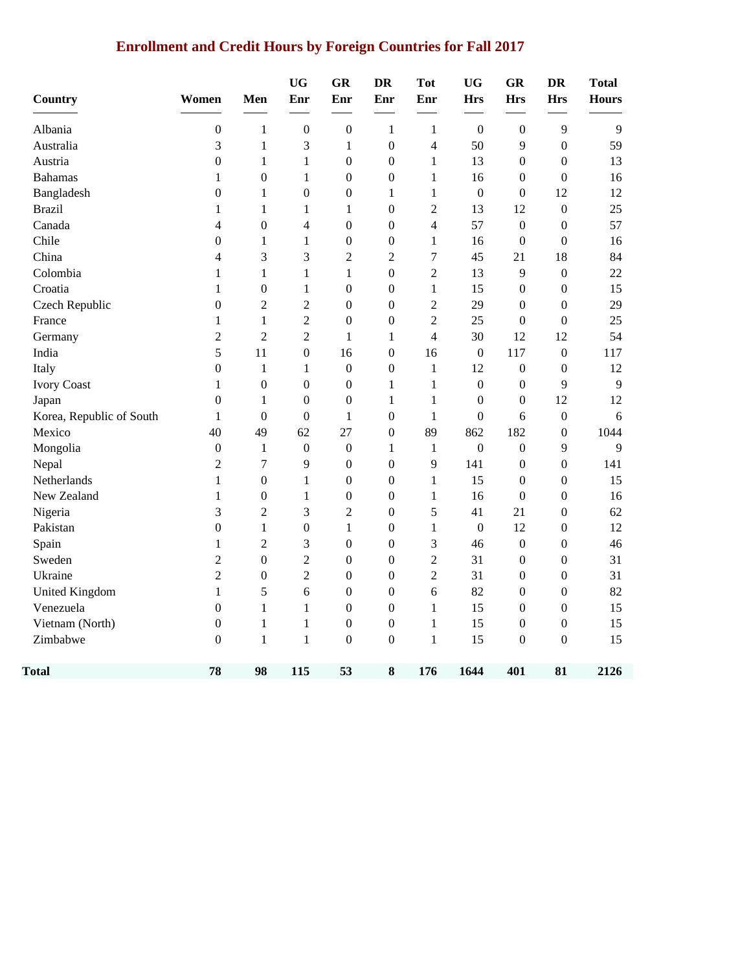# **Enrollment and Credit Hours by Foreign Countries for Fall 2017**

| <b>Country</b>           | Women            | Men              | <b>UG</b><br>Enr | GR<br>Enr        | <b>DR</b><br>Enr | <b>Tot</b><br>Enr | <b>UG</b><br><b>Hrs</b> | <b>GR</b><br><b>Hrs</b> | <b>DR</b><br><b>Hrs</b> | <b>Total</b><br><b>Hours</b> |
|--------------------------|------------------|------------------|------------------|------------------|------------------|-------------------|-------------------------|-------------------------|-------------------------|------------------------------|
| Albania                  | $\boldsymbol{0}$ | $\mathbf{1}$     | $\boldsymbol{0}$ | $\boldsymbol{0}$ | $\mathbf{1}$     | 1                 | $\mathbf{0}$            | $\boldsymbol{0}$        | 9                       | 9                            |
| Australia                | 3                | $\mathbf{1}$     | 3                | $\,1$            | $\boldsymbol{0}$ | $\overline{4}$    | 50                      | 9                       | $\boldsymbol{0}$        | 59                           |
| Austria                  | $\boldsymbol{0}$ | $\mathbf{1}$     | $\mathbf{1}$     | $\boldsymbol{0}$ | $\boldsymbol{0}$ | $\mathbf{1}$      | 13                      | $\boldsymbol{0}$        | $\boldsymbol{0}$        | 13                           |
| <b>Bahamas</b>           | $\mathbf{1}$     | $\boldsymbol{0}$ | $\mathbf{1}$     | $\boldsymbol{0}$ | $\boldsymbol{0}$ | $\mathbf{1}$      | 16                      | $\boldsymbol{0}$        | $\boldsymbol{0}$        | 16                           |
| Bangladesh               | $\boldsymbol{0}$ | $\mathbf{1}$     | $\boldsymbol{0}$ | $\boldsymbol{0}$ | $\mathbf{1}$     | 1                 | $\boldsymbol{0}$        | $\boldsymbol{0}$        | 12                      | 12                           |
| <b>Brazil</b>            | 1                | $\mathbf{1}$     | $\mathbf{1}$     | 1                | $\boldsymbol{0}$ | $\overline{2}$    | 13                      | 12                      | $\mathbf{0}$            | 25                           |
| Canada                   | 4                | $\boldsymbol{0}$ | 4                | $\boldsymbol{0}$ | $\boldsymbol{0}$ | $\overline{4}$    | 57                      | $\boldsymbol{0}$        | $\boldsymbol{0}$        | 57                           |
| Chile                    | $\boldsymbol{0}$ | $\mathbf{1}$     | $\mathbf{1}$     | $\boldsymbol{0}$ | $\boldsymbol{0}$ | $\mathbf{1}$      | 16                      | $\boldsymbol{0}$        | $\boldsymbol{0}$        | 16                           |
| China                    | $\overline{4}$   | 3                | 3                | $\overline{c}$   | $\overline{2}$   | $\overline{7}$    | 45                      | 21                      | 18                      | 84                           |
| Colombia                 | $\mathbf{1}$     | $\mathbf{1}$     | $\mathbf{1}$     | $\,1$            | $\boldsymbol{0}$ | $\overline{2}$    | 13                      | 9                       | $\boldsymbol{0}$        | 22                           |
| Croatia                  | $\mathbf{1}$     | $\boldsymbol{0}$ | $\mathbf{1}$     | $\boldsymbol{0}$ | $\boldsymbol{0}$ | $\mathbf{1}$      | 15                      | $\boldsymbol{0}$        | $\boldsymbol{0}$        | 15                           |
| Czech Republic           | $\boldsymbol{0}$ | $\overline{2}$   | $\overline{2}$   | $\boldsymbol{0}$ | $\boldsymbol{0}$ | $\overline{2}$    | 29                      | $\boldsymbol{0}$        | $\boldsymbol{0}$        | 29                           |
| France                   | $\mathbf{1}$     | $\mathbf{1}$     | $\overline{c}$   | $\boldsymbol{0}$ | $\boldsymbol{0}$ | $\overline{2}$    | 25                      | $\boldsymbol{0}$        | $\boldsymbol{0}$        | 25                           |
| Germany                  | $\overline{2}$   | $\overline{2}$   | $\overline{2}$   | 1                | $\mathbf{1}$     | 4                 | 30                      | 12                      | 12                      | 54                           |
| India                    | 5                | 11               | $\boldsymbol{0}$ | 16               | $\boldsymbol{0}$ | 16                | $\boldsymbol{0}$        | 117                     | $\boldsymbol{0}$        | 117                          |
| Italy                    | $\boldsymbol{0}$ | $\mathbf{1}$     | $\mathbf{1}$     | $\boldsymbol{0}$ | $\boldsymbol{0}$ | 1                 | 12                      | $\boldsymbol{0}$        | $\mathbf{0}$            | 12                           |
| <b>Ivory Coast</b>       | $\mathbf{1}$     | $\mathbf{0}$     | $\boldsymbol{0}$ | $\boldsymbol{0}$ | $\mathbf{1}$     | $\mathbf{1}$      | $\mathbf{0}$            | $\boldsymbol{0}$        | 9                       | 9                            |
| Japan                    | $\mathbf{0}$     | 1                | $\boldsymbol{0}$ | $\boldsymbol{0}$ | $\mathbf{1}$     | 1                 | $\overline{0}$          | $\boldsymbol{0}$        | 12                      | 12                           |
| Korea, Republic of South | 1                | $\boldsymbol{0}$ | $\boldsymbol{0}$ | $\,1$            | $\boldsymbol{0}$ | $\mathbf{1}$      | $\boldsymbol{0}$        | 6                       | $\boldsymbol{0}$        | 6                            |
| Mexico                   | 40               | 49               | 62               | 27               | $\boldsymbol{0}$ | 89                | 862                     | 182                     | $\boldsymbol{0}$        | 1044                         |
| Mongolia                 | $\boldsymbol{0}$ | 1                | $\boldsymbol{0}$ | $\boldsymbol{0}$ | $\mathbf{1}$     | $\mathbf{1}$      | $\boldsymbol{0}$        | $\boldsymbol{0}$        | 9                       | 9                            |
| Nepal                    | $\overline{2}$   | 7                | 9                | $\boldsymbol{0}$ | $\boldsymbol{0}$ | 9                 | 141                     | $\boldsymbol{0}$        | $\boldsymbol{0}$        | 141                          |
| Netherlands              | $\mathbf{1}$     | $\boldsymbol{0}$ | $\mathbf{1}$     | $\boldsymbol{0}$ | $\boldsymbol{0}$ | $\mathbf{1}$      | 15                      | $\boldsymbol{0}$        | $\boldsymbol{0}$        | 15                           |
| New Zealand              | $\mathbf{1}$     | $\boldsymbol{0}$ | $\mathbf{1}$     | $\boldsymbol{0}$ | $\boldsymbol{0}$ | 1                 | 16                      | $\boldsymbol{0}$        | $\boldsymbol{0}$        | 16                           |
| Nigeria                  | 3                | $\overline{2}$   | 3                | $\overline{c}$   | $\boldsymbol{0}$ | 5                 | 41                      | 21                      | $\boldsymbol{0}$        | 62                           |
| Pakistan                 | $\boldsymbol{0}$ | $\mathbf{1}$     | $\boldsymbol{0}$ | $\,1\,$          | $\boldsymbol{0}$ | $\mathbf{1}$      | $\boldsymbol{0}$        | 12                      | $\boldsymbol{0}$        | 12                           |
| Spain                    | $\mathbf{1}$     | $\overline{2}$   | 3                | $\boldsymbol{0}$ | $\boldsymbol{0}$ | 3                 | 46                      | $\boldsymbol{0}$        | $\boldsymbol{0}$        | 46                           |
| Sweden                   | $\overline{2}$   | $\boldsymbol{0}$ | $\overline{2}$   | $\boldsymbol{0}$ | $\boldsymbol{0}$ | $\overline{2}$    | 31                      | $\boldsymbol{0}$        | $\boldsymbol{0}$        | 31                           |
| Ukraine                  | $\overline{2}$   | $\boldsymbol{0}$ | $\overline{2}$   | $\boldsymbol{0}$ | $\overline{0}$   | $\overline{2}$    | 31                      | $\overline{0}$          | $\boldsymbol{0}$        | 31                           |
| United Kingdom           | $\mathbf{1}$     | 5                | 6                | $\boldsymbol{0}$ | $\boldsymbol{0}$ | 6                 | 82                      | 0                       | $\boldsymbol{0}$        | 82                           |
| Venezuela                | $\mathbf{0}$     | $\mathbf{1}$     | 1                | $\boldsymbol{0}$ | $\boldsymbol{0}$ | $\mathbf{1}$      | 15                      | $\boldsymbol{0}$        | $\boldsymbol{0}$        | 15                           |
| Vietnam (North)          | $\boldsymbol{0}$ | $\mathbf{1}$     | $\mathbf{1}$     | $\boldsymbol{0}$ | $\boldsymbol{0}$ | $\mathbf{1}$      | 15                      | 0                       | $\boldsymbol{0}$        | 15                           |
| Zimbabwe                 | $\boldsymbol{0}$ | $\mathbf{1}$     | $\mathbf{1}$     | $\boldsymbol{0}$ | $\boldsymbol{0}$ | $\mathbf{1}$      | 15                      | $\boldsymbol{0}$        | $\boldsymbol{0}$        | 15                           |
| Total                    | 78               | 98               | 115              | 53               | 8                | 176               | 1644                    | 401                     | 81                      | 2126                         |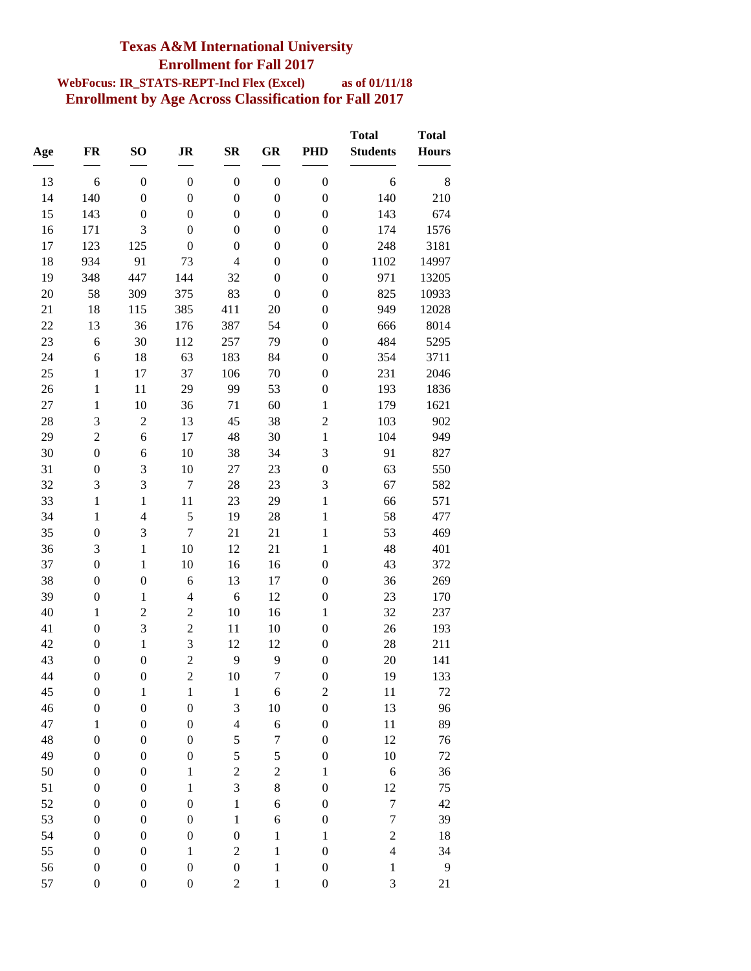### **Texas A&M International University Enrollment for Fall 2017**

#### **WebFocus: IR\_STATS-REPT-Incl Flex (Excel) as of 01/11/18 Enrollment by Age Across Classification for Fall 2017**

| Age      | <b>FR</b>                            | SO <sub>1</sub>                      | <b>JR</b>                            | $S_{\mathbf{R}}$                     | GR                                   | <b>PHD</b>                           | <b>Total</b><br><b>Students</b> | <b>Total</b><br><b>Hours</b> |
|----------|--------------------------------------|--------------------------------------|--------------------------------------|--------------------------------------|--------------------------------------|--------------------------------------|---------------------------------|------------------------------|
|          |                                      |                                      |                                      |                                      |                                      |                                      |                                 |                              |
| 13<br>14 | 6<br>140                             | $\boldsymbol{0}$<br>$\boldsymbol{0}$ | $\boldsymbol{0}$<br>$\boldsymbol{0}$ | $\boldsymbol{0}$<br>$\boldsymbol{0}$ | $\boldsymbol{0}$<br>$\boldsymbol{0}$ | $\boldsymbol{0}$<br>$\boldsymbol{0}$ | 6<br>140                        | 8<br>210                     |
| 15       | 143                                  | $\boldsymbol{0}$                     | $\boldsymbol{0}$                     | $\boldsymbol{0}$                     | $\boldsymbol{0}$                     | $\boldsymbol{0}$                     | 143                             | 674                          |
| 16       | 171                                  | 3                                    | $\boldsymbol{0}$                     | $\boldsymbol{0}$                     | $\boldsymbol{0}$                     | $\boldsymbol{0}$                     | 174                             | 1576                         |
| 17       | 123                                  | 125                                  | $\boldsymbol{0}$                     | $\boldsymbol{0}$                     | $\boldsymbol{0}$                     | $\boldsymbol{0}$                     | 248                             | 3181                         |
| 18       | 934                                  | 91                                   | 73                                   | $\overline{4}$                       | $\boldsymbol{0}$                     | $\boldsymbol{0}$                     | 1102                            | 14997                        |
| 19       | 348                                  | 447                                  | 144                                  | 32                                   | $\boldsymbol{0}$                     | $\boldsymbol{0}$                     | 971                             | 13205                        |
| 20       | 58                                   | 309                                  | 375                                  | 83                                   | $\boldsymbol{0}$                     | $\boldsymbol{0}$                     | 825                             | 10933                        |
| 21       | 18                                   | 115                                  | 385                                  | 411                                  | 20                                   | $\boldsymbol{0}$                     | 949                             | 12028                        |
| 22       | 13                                   | 36                                   | 176                                  | 387                                  | 54                                   | $\boldsymbol{0}$                     | 666                             | 8014                         |
| 23       | 6                                    | 30                                   | 112                                  | 257                                  | 79                                   | $\boldsymbol{0}$                     | 484                             | 5295                         |
| 24       | 6                                    | $18\,$                               | 63                                   | 183                                  | 84                                   | $\boldsymbol{0}$                     | 354                             | 3711                         |
| 25       | $\mathbf{1}$                         | 17                                   | 37                                   | 106                                  | 70                                   | $\boldsymbol{0}$                     | 231                             | 2046                         |
| 26       | $\mathbf{1}$                         | 11                                   | 29                                   | 99                                   | 53                                   | $\boldsymbol{0}$                     | 193                             | 1836                         |
| 27       | $\mathbf{1}$                         | 10                                   | 36                                   | 71                                   | 60                                   | $\mathbf 1$                          | 179                             | 1621                         |
| 28       | 3                                    | $\overline{2}$                       | 13                                   | 45                                   | 38                                   | $\overline{c}$                       | 103                             | 902                          |
| 29       | $\overline{c}$                       | 6                                    | 17                                   | 48                                   | 30                                   | $\mathbf{1}$                         | 104                             | 949                          |
| 30       | $\boldsymbol{0}$                     | 6                                    | 10                                   | 38                                   | 34                                   | 3                                    | 91                              | 827                          |
| 31       | $\boldsymbol{0}$                     | 3                                    | 10                                   | 27                                   | 23                                   | $\boldsymbol{0}$                     | 63                              | 550                          |
| 32       | 3                                    | 3                                    | $\boldsymbol{7}$                     | 28                                   | 23                                   | 3                                    | 67                              | 582                          |
| 33       | $\mathbf{1}$                         | $\mathbf{1}$                         | 11                                   | 23                                   | 29                                   | $\mathbf{1}$                         | 66                              | 571                          |
| 34       | $\mathbf{1}$                         | $\overline{4}$                       | 5                                    | 19                                   | 28                                   | $\mathbf{1}$                         | 58                              | 477                          |
| 35       | $\boldsymbol{0}$                     | 3                                    | $\overline{7}$                       | 21                                   | 21                                   | $\mathbf{1}$                         | 53                              | 469                          |
| 36       | 3                                    | $\mathbf{1}$                         | 10                                   | 12                                   | 21                                   | $\mathbf{1}$                         | 48                              | 401                          |
| 37       | $\boldsymbol{0}$                     | $\mathbf{1}$                         | 10                                   | 16                                   | 16                                   | $\boldsymbol{0}$                     | 43                              | 372                          |
| 38       | $\boldsymbol{0}$                     | $\boldsymbol{0}$                     | 6                                    | 13                                   | 17                                   | $\boldsymbol{0}$                     | 36                              | 269                          |
| 39       | $\boldsymbol{0}$                     | $\mathbf{1}$                         | $\overline{4}$                       | 6                                    | 12                                   | $\boldsymbol{0}$                     | 23                              | 170                          |
| 40       | $\mathbf{1}$                         | $\overline{2}$                       | $\overline{c}$                       | 10                                   | 16                                   | $\mathbf{1}$                         | 32                              | 237                          |
| 41       | $\boldsymbol{0}$                     | 3                                    | $\overline{c}$                       | 11                                   | 10                                   | $\boldsymbol{0}$                     | 26                              | 193                          |
| 42       | $\boldsymbol{0}$                     | $\mathbf{1}$                         | 3                                    | 12                                   | 12                                   | $\boldsymbol{0}$                     | 28                              | 211                          |
| 43       | $\boldsymbol{0}$                     | $\boldsymbol{0}$                     | $\overline{c}$                       | 9                                    | 9                                    | $\boldsymbol{0}$                     | 20                              | 141                          |
| 44       | $\boldsymbol{0}$                     | $\boldsymbol{0}$                     | $\overline{c}$                       | 10                                   | $\overline{7}$                       | $\boldsymbol{0}$                     | 19                              | 133                          |
| 45       | $\boldsymbol{0}$                     | $\mathbf{1}$                         | $\,1$                                | $\,1$                                | 6                                    | $\overline{c}$                       | 11                              | 72                           |
| 46       | $\boldsymbol{0}$                     | $\boldsymbol{0}$                     | $\boldsymbol{0}$                     | 3                                    | 10                                   | $\boldsymbol{0}$                     | 13                              | 96                           |
| 47       | $\mathbf{1}$                         | $\boldsymbol{0}$                     | $\boldsymbol{0}$                     | $\overline{4}$                       | 6                                    | $\boldsymbol{0}$                     | 11                              | 89                           |
| 48       | $\boldsymbol{0}$                     | $\boldsymbol{0}$                     | $\boldsymbol{0}$                     | 5                                    | $\overline{7}$                       | $\boldsymbol{0}$                     | 12                              | 76                           |
| 49       | $\boldsymbol{0}$                     | $\boldsymbol{0}$                     | $\boldsymbol{0}$                     | 5                                    | 5                                    | $\boldsymbol{0}$                     | 10                              | 72                           |
| 50       | $\boldsymbol{0}$                     | $\boldsymbol{0}$                     | $\,1$                                | $\overline{\mathbf{c}}$              | $\overline{c}$                       | $\,1$                                | 6                               | 36                           |
| 51       | $\boldsymbol{0}$                     | $\boldsymbol{0}$<br>$\boldsymbol{0}$ | $\,1$                                | 3                                    | $\,8$                                | $\boldsymbol{0}$                     | 12<br>$\boldsymbol{7}$          | 75                           |
| 52<br>53 | $\boldsymbol{0}$                     |                                      | $\boldsymbol{0}$<br>$\boldsymbol{0}$ | $\mathbf{1}$                         | $\boldsymbol{6}$<br>6                | $\boldsymbol{0}$                     | $\boldsymbol{7}$                | 42                           |
| 54       | $\boldsymbol{0}$<br>$\boldsymbol{0}$ | $\boldsymbol{0}$<br>$\boldsymbol{0}$ | $\boldsymbol{0}$                     | $\,1$<br>$\boldsymbol{0}$            | $\mathbf{1}$                         | $\boldsymbol{0}$<br>$\,1$            | $\overline{c}$                  | 39<br>18                     |
| 55       | $\boldsymbol{0}$                     | $\boldsymbol{0}$                     | $\,1$                                | $\overline{\mathbf{c}}$              | $\mathbf{1}$                         | $\boldsymbol{0}$                     | $\overline{4}$                  | 34                           |
| 56       | $\boldsymbol{0}$                     | $\boldsymbol{0}$                     | $\boldsymbol{0}$                     | $\boldsymbol{0}$                     | $\mathbf{1}$                         | $\boldsymbol{0}$                     | $\mathbf 1$                     | 9                            |
| 57       | $\boldsymbol{0}$                     | $\boldsymbol{0}$                     | $\boldsymbol{0}$                     | $\overline{\mathbf{c}}$              | $\mathbf{1}$                         | $\boldsymbol{0}$                     | 3                               | 21                           |
|          |                                      |                                      |                                      |                                      |                                      |                                      |                                 |                              |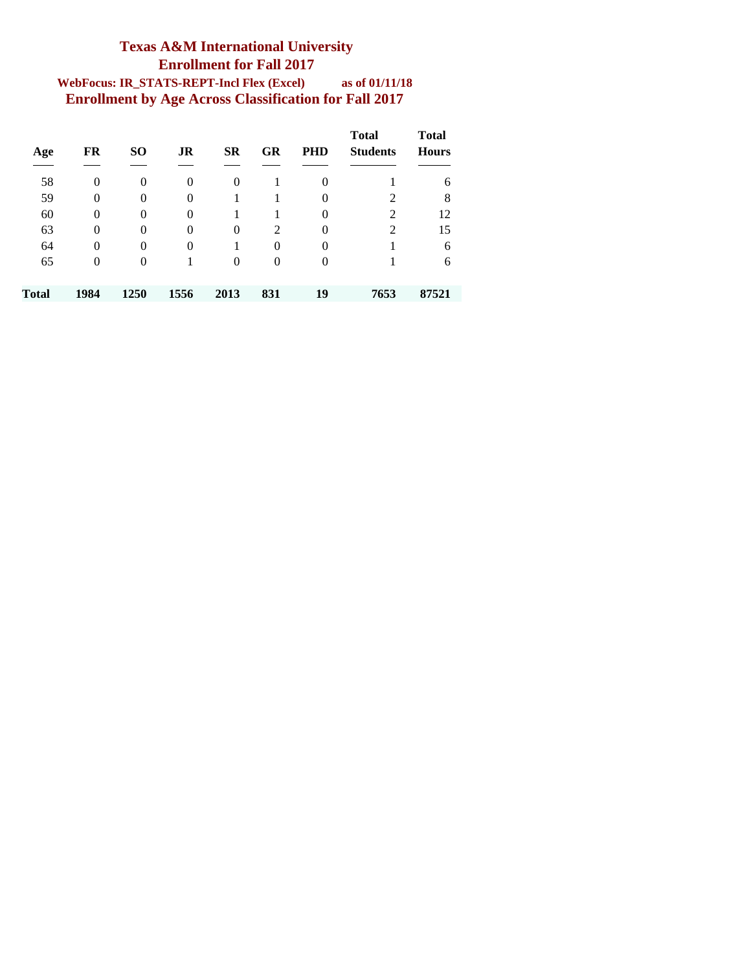#### **Texas A&M International University Enrollment for Fall 2017 WebFocus: IR\_STATS-REPT-Incl Flex (Excel) as of 01/11/18 Enrollment by Age Across Classification for Fall 2017**

| Age   | FR             | <b>SO</b>      | JR       | <b>SR</b> | GR       | <b>PHD</b>     | <b>Total</b><br><b>Students</b> | <b>Total</b><br><b>Hours</b> |
|-------|----------------|----------------|----------|-----------|----------|----------------|---------------------------------|------------------------------|
| 58    | 0              | $\theta$       | $\Omega$ | $\Omega$  |          | $\overline{0}$ |                                 | 6                            |
| 59    | 0              | $\overline{0}$ | $\Omega$ |           |          | $\overline{0}$ | 2                               | 8                            |
| 60    | $\theta$       | $\theta$       | $\Omega$ |           |          | $\overline{0}$ | 2                               | 12                           |
| 63    | 0              | $\theta$       | $\Omega$ | $\Omega$  | 2        | $\overline{0}$ | 2                               | 15                           |
| 64    | 0              | $\theta$       | $\Omega$ |           | $\theta$ | $\overline{0}$ |                                 | 6                            |
| 65    | $\overline{0}$ | $\theta$       |          | $\Omega$  | 0        | $\overline{0}$ |                                 | 6                            |
| Total | 1984           | 1250           | 1556     | 2013      | 831      | 19             | 7653                            | 87521                        |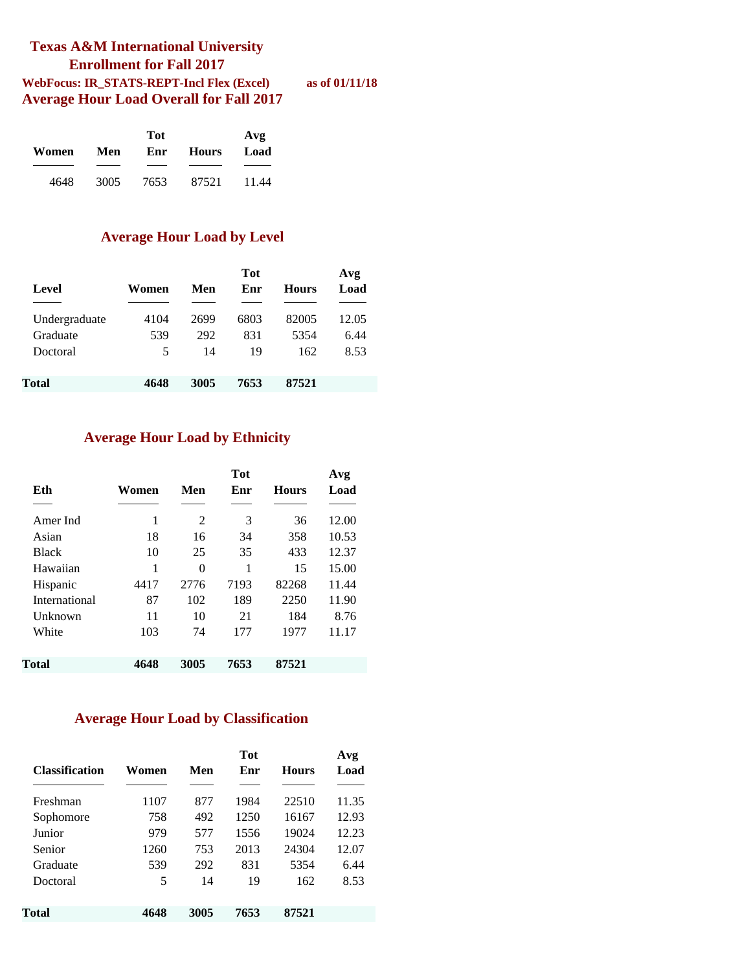#### **Texas A&M International University Enrollment for Fall 2017 WebFocus: IR\_STATS-REPT-Incl Flex (Excel) as of 01/11/18 Average Hour Load Overall for Fall 2017**

|       |      | Tot  |       |       |  |  |  |  |  |
|-------|------|------|-------|-------|--|--|--|--|--|
| Women | Men  | Enr  | Hours | Load  |  |  |  |  |  |
|       |      |      |       |       |  |  |  |  |  |
| 4648  | 3005 | 7653 | 87521 | 11.44 |  |  |  |  |  |

#### **Average Hour Load by Level**

| Level         | Women | Men  | <b>Tot</b><br>Enr | <b>Hours</b> | Avg<br>Load |
|---------------|-------|------|-------------------|--------------|-------------|
|               |       |      |                   |              |             |
| Undergraduate | 4104  | 2699 | 6803              | 82005        | 12.05       |
| Graduate      | 539   | 292  | 831               | 5354         | 6.44        |
| Doctoral      | 5     | 14   | 19                | 162          | 8.53        |
|               |       |      |                   |              |             |
| Total         | 4648  | 3005 | 7653              | 87521        |             |

#### **Average Hour Load by Ethnicity**

| Eth           | Women | Men  | Tot<br>Enr | <b>Hours</b> | Avg<br>Load |
|---------------|-------|------|------------|--------------|-------------|
| Amer Ind      | 1     | 2    | 3          | 36           | 12.00       |
| Asian         | 18    | 16   | 34         | 358          | 10.53       |
| <b>Black</b>  | 10    | 25   | 35         | 433          | 12.37       |
| Hawaiian      | 1     | 0    | 1          | 15           | 15.00       |
| Hispanic      | 4417  | 2776 | 7193       | 82268        | 11.44       |
| International | 87    | 102  | 189        | 2250         | 11.90       |
| Unknown       | 11    | 10   | 21         | 184          | 8.76        |
| White         | 103   | 74   | 177        | 1977         | 11.17       |
| Total         | 4648  | 3005 | 7653       | 87521        |             |

#### **Average Hour Load by Classification**

| <b>Classification</b> | Women | Men  | <b>Tot</b><br>Enr | <b>Hours</b> | Avg<br>Load |
|-----------------------|-------|------|-------------------|--------------|-------------|
| Freshman              | 1107  | 877  | 1984              | 22510        | 11.35       |
| Sophomore             | 758   | 492  | 1250              | 16167        | 12.93       |
| Junior                | 979   | 577  | 1556              | 19024        | 12.23       |
| Senior                | 1260  | 753  | 2013              | 24304        | 12.07       |
| Graduate              | 539   | 292  | 831               | 5354         | 6.44        |
| Doctoral              | 5     | 14   | 19                | 162          | 8.53        |
| Total                 | 4648  | 3005 | 7653              | 87521        |             |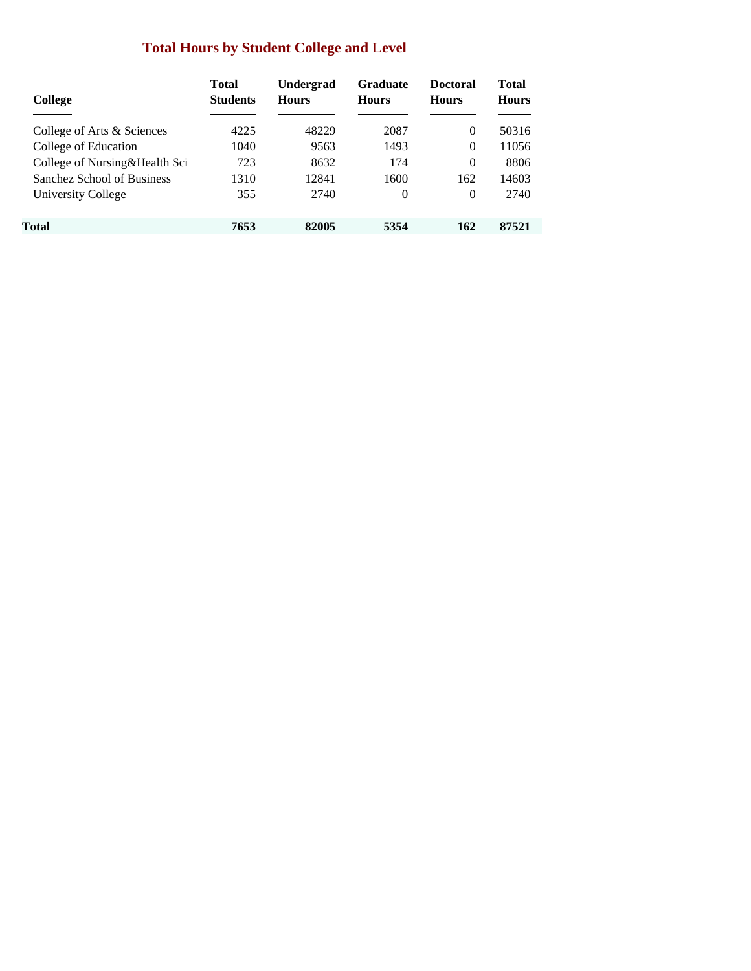### **Total Hours by Student College and Level**

| College                       | <b>Total</b><br><b>Students</b> | <b>Undergrad</b><br><b>Hours</b> | <b>Graduate</b><br><b>Hours</b> | <b>Doctoral</b><br><b>Hours</b> | <b>Total</b><br><b>Hours</b> |
|-------------------------------|---------------------------------|----------------------------------|---------------------------------|---------------------------------|------------------------------|
| College of Arts & Sciences    | 4225                            | 48229                            | 2087                            | $\Omega$                        | 50316                        |
| College of Education          | 1040                            | 9563                             | 1493                            | $\Omega$                        | 11056                        |
| College of Nursing&Health Sci | 723                             | 8632                             | 174                             | $\Omega$                        | 8806                         |
| Sanchez School of Business    | 1310                            | 12841                            | 1600                            | 162                             | 14603                        |
| University College            | 355                             | 2740                             | 0                               | $\Omega$                        | 2740                         |
| Total                         | 7653                            | 82005                            | 5354                            | 162                             | 87521                        |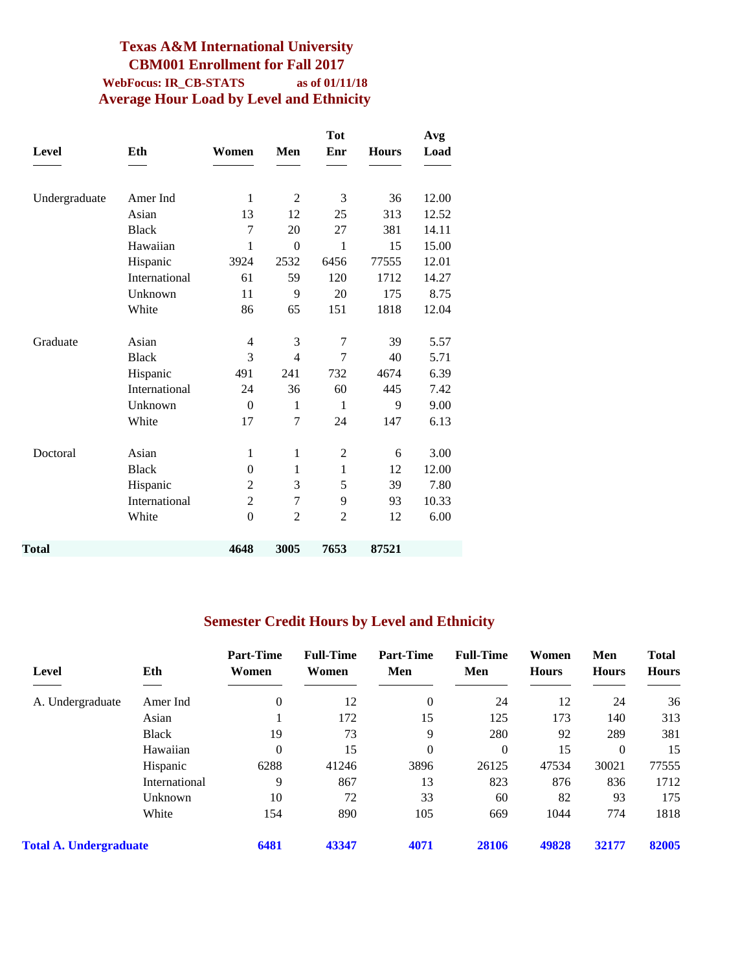### **Texas A&M International University CBM001 Enrollment for Fall 2017 WebFocus: IR\_CB-STATS as of 01/11/18 Average Hour Load by Level and Ethnicity**

|               |               |                |                  | <b>Tot</b>     |              | Avg   |
|---------------|---------------|----------------|------------------|----------------|--------------|-------|
| <b>Level</b>  | Eth           | Women          | Men              | Enr            | <b>Hours</b> | Load  |
|               |               |                |                  |                |              |       |
| Undergraduate | Amer Ind      | $\mathbf{1}$   | $\overline{2}$   | 3              | 36           | 12.00 |
|               | Asian         | 13             | 12               | 25             | 313          | 12.52 |
|               | <b>Black</b>  | 7              | 20               | 27             | 381          | 14.11 |
|               | Hawaiian      | 1              | $\boldsymbol{0}$ | 1              | 15           | 15.00 |
|               | Hispanic      | 3924           | 2532             | 6456           | 77555        | 12.01 |
|               | International | 61             | 59               | 120            | 1712         | 14.27 |
|               | Unknown       | 11             | 9                | 20             | 175          | 8.75  |
|               | White         | 86             | 65               | 151            | 1818         | 12.04 |
| Graduate      | Asian         | 4              | 3                | 7              | 39           | 5.57  |
|               | <b>Black</b>  | 3              | $\overline{4}$   | 7              | 40           | 5.71  |
|               | Hispanic      | 491            | 241              | 732            | 4674         | 6.39  |
|               | International | 24             | 36               | 60             | 445          | 7.42  |
|               | Unknown       | $\theta$       | 1                | $\mathbf{1}$   | 9            | 9.00  |
|               | White         | 17             | 7                | 24             | 147          | 6.13  |
| Doctoral      | Asian         | $\mathbf{1}$   | $\mathbf{1}$     | $\overline{c}$ | 6            | 3.00  |
|               | <b>Black</b>  | $\theta$       | $\mathbf{1}$     | $\mathbf{1}$   | 12           | 12.00 |
|               | Hispanic      | $\overline{c}$ | 3                | 5              | 39           | 7.80  |
|               | International | $\overline{2}$ | 7                | 9              | 93           | 10.33 |
|               | White         | $\theta$       | $\overline{2}$   | $\overline{2}$ | 12           | 6.00  |
| Total         |               | 4648           | 3005             | 7653           | 87521        |       |
|               |               |                |                  |                |              |       |

### **Semester Credit Hours by Level and Ethnicity**

| Level                         | Eth           | <b>Part-Time</b><br>Women | <b>Full-Time</b><br>Women | <b>Part-Time</b><br>Men | <b>Full-Time</b><br>Men | Women<br><b>Hours</b> | Men<br><b>Hours</b> | <b>Total</b><br><b>Hours</b> |
|-------------------------------|---------------|---------------------------|---------------------------|-------------------------|-------------------------|-----------------------|---------------------|------------------------------|
| A. Undergraduate              | Amer Ind      | $\theta$                  | 12                        | $\theta$                | 24                      | 12                    | 24                  | 36                           |
|                               | Asian         |                           | 172                       | 15                      | 125                     | 173                   | 140                 | 313                          |
|                               | <b>Black</b>  | 19                        | 73                        | 9                       | 280                     | 92                    | 289                 | 381                          |
|                               | Hawaiian      | $\theta$                  | 15                        | 0                       | $\theta$                | 15                    | $\theta$            | 15                           |
|                               | Hispanic      | 6288                      | 41246                     | 3896                    | 26125                   | 47534                 | 30021               | 77555                        |
|                               | International | 9                         | 867                       | 13                      | 823                     | 876                   | 836                 | 1712                         |
|                               | Unknown       | 10                        | 72                        | 33                      | 60                      | 82                    | 93                  | 175                          |
|                               | White         | 154                       | 890                       | 105                     | 669                     | 1044                  | 774                 | 1818                         |
| <b>Total A. Undergraduate</b> |               | 6481                      | 43347                     | 4071                    | 28106                   | 49828                 | 32177               | 82005                        |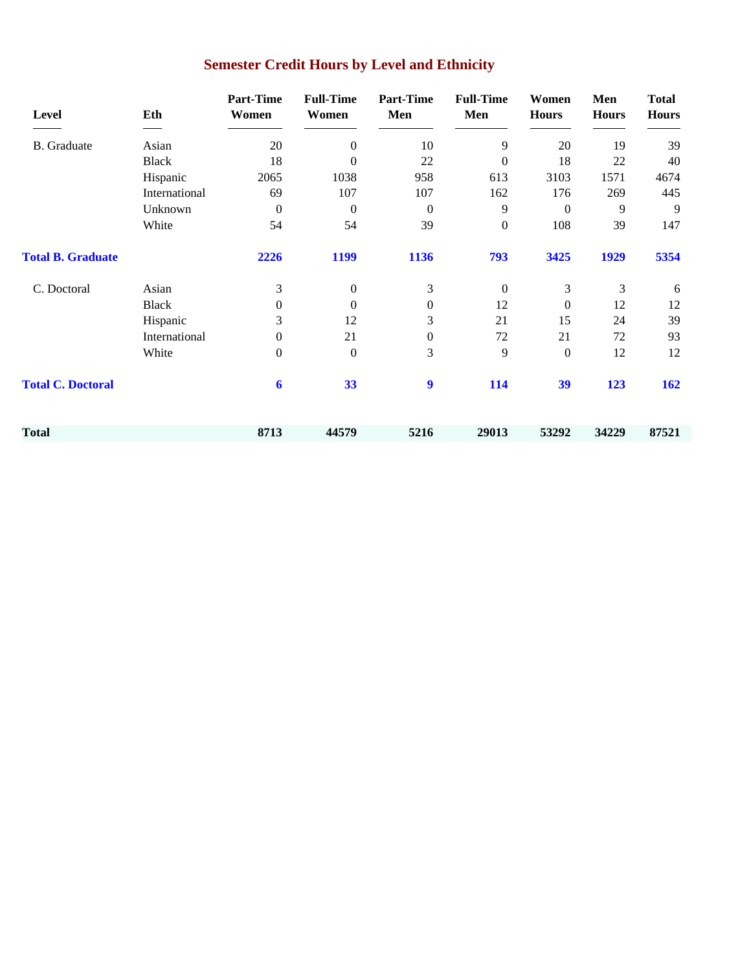| Level                    | Eth           | <b>Part-Time</b><br>Women | <b>Full-Time</b><br>Women | <b>Part-Time</b><br>Men | <b>Full-Time</b><br>Men | Women<br><b>Hours</b> | Men<br><b>Hours</b> | <b>Total</b><br><b>Hours</b> |
|--------------------------|---------------|---------------------------|---------------------------|-------------------------|-------------------------|-----------------------|---------------------|------------------------------|
| <b>B.</b> Graduate       | Asian         | 20                        | $\Omega$                  | 10                      | 9                       | 20                    | 19                  | 39                           |
|                          | <b>Black</b>  | 18                        | $\theta$                  | 22                      | $\boldsymbol{0}$        | 18                    | 22                  | 40                           |
|                          | Hispanic      | 2065                      | 1038                      | 958                     | 613                     | 3103                  | 1571                | 4674                         |
|                          | International | 69                        | 107                       | 107                     | 162                     | 176                   | 269                 | 445                          |
|                          | Unknown       | $\theta$                  | $\theta$                  | $\Omega$                | 9                       | $\Omega$              | 9                   | 9                            |
|                          | White         | 54                        | 54                        | 39                      | $\boldsymbol{0}$        | 108                   | 39                  | 147                          |
| <b>Total B. Graduate</b> |               | 2226                      | 1199                      | 1136                    | 793                     | 3425                  | 1929                | 5354                         |
| C. Doctoral              | Asian         | 3                         | $\mathbf{0}$              | 3                       | $\boldsymbol{0}$        | 3                     | 3                   | 6                            |
|                          | <b>Black</b>  | $\mathbf{0}$              | $\mathbf{0}$              | $\boldsymbol{0}$        | 12                      | $\mathbf{0}$          | 12                  | 12                           |
|                          | Hispanic      | 3                         | 12                        | 3                       | 21                      | 15                    | 24                  | 39                           |
|                          | International | $\overline{0}$            | 21                        | $\boldsymbol{0}$        | 72                      | 21                    | 72                  | 93                           |
|                          | White         | $\mathbf{0}$              | $\theta$                  | 3                       | 9                       | $\mathbf{0}$          | 12                  | 12                           |
| <b>Total C. Doctoral</b> |               | 6                         | 33                        | $\boldsymbol{9}$        | 114                     | 39                    | 123                 | 162                          |
| Total                    |               | 8713                      | 44579                     | 5216                    | 29013                   | 53292                 | 34229               | 87521                        |

# **Semester Credit Hours by Level and Ethnicity**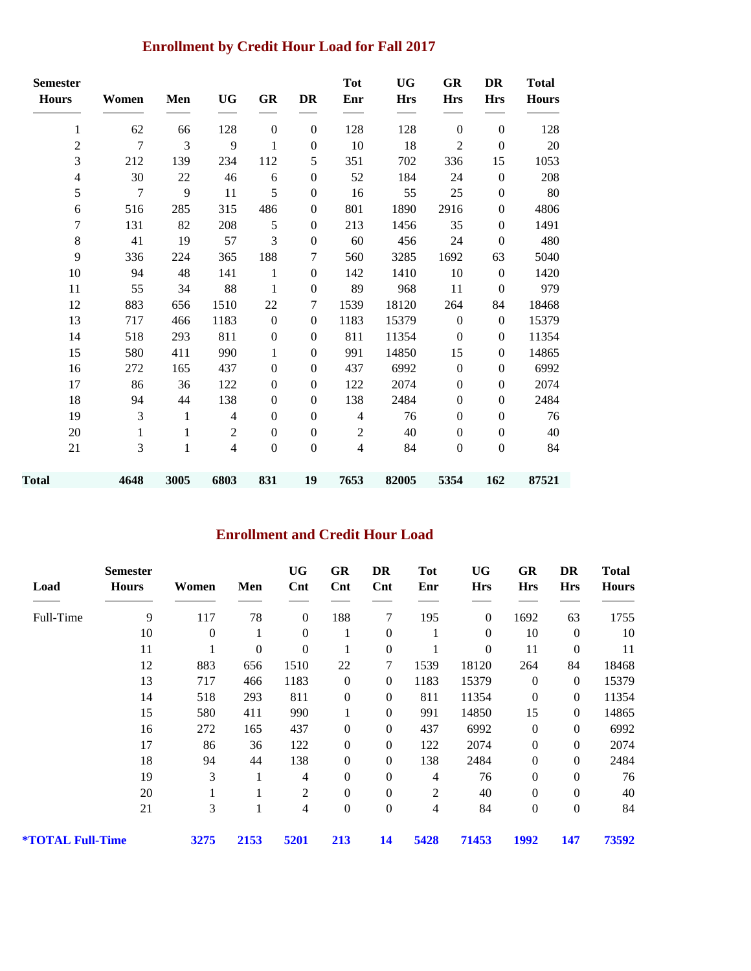### **Enrollment by Credit Hour Load for Fall 2017**

| <b>Semester</b><br><b>Hours</b> | Women          | Men          | <b>UG</b>      | GR               | <b>DR</b>        | <b>Tot</b><br>Enr | <b>UG</b><br><b>Hrs</b> | GR<br><b>Hrs</b> | DR<br><b>Hrs</b> | <b>Total</b><br><b>Hours</b> |
|---------------------------------|----------------|--------------|----------------|------------------|------------------|-------------------|-------------------------|------------------|------------------|------------------------------|
| $\mathbf{1}$                    | 62             | 66           | 128            | $\boldsymbol{0}$ | $\mathbf{0}$     | 128               | 128                     | $\mathbf{0}$     | $\boldsymbol{0}$ | 128                          |
| $\overline{c}$                  | $\overline{7}$ | 3            | 9              | 1                | $\mathbf{0}$     | $10\,$            | 18                      | $\mathfrak{2}$   | $\boldsymbol{0}$ | 20                           |
| 3                               | 212            | 139          | 234            | 112              | 5                | 351               | 702                     | 336              | 15               | 1053                         |
| $\overline{4}$                  | 30             | $22\,$       | 46             | 6                | $\boldsymbol{0}$ | 52                | 184                     | 24               | $\boldsymbol{0}$ | 208                          |
| 5                               | $\tau$         | 9            | 11             | 5                | $\boldsymbol{0}$ | 16                | 55                      | 25               | $\boldsymbol{0}$ | 80                           |
| 6                               | 516            | 285          | 315            | 486              | $\boldsymbol{0}$ | 801               | 1890                    | 2916             | $\boldsymbol{0}$ | 4806                         |
| 7                               | 131            | 82           | 208            | 5                | $\boldsymbol{0}$ | 213               | 1456                    | 35               | $\mathbf{0}$     | 1491                         |
| 8                               | 41             | 19           | 57             | 3                | $\mathbf{0}$     | 60                | 456                     | 24               | $\mathbf{0}$     | 480                          |
| 9                               | 336            | 224          | 365            | 188              | 7                | 560               | 3285                    | 1692             | 63               | 5040                         |
| 10                              | 94             | 48           | 141            | 1                | $\mathbf{0}$     | 142               | 1410                    | 10               | $\mathbf{0}$     | 1420                         |
| 11                              | 55             | 34           | 88             | $\mathbf{1}$     | $\mathbf{0}$     | 89                | 968                     | 11               | $\boldsymbol{0}$ | 979                          |
| 12                              | 883            | 656          | 1510           | 22               | 7                | 1539              | 18120                   | 264              | 84               | 18468                        |
| 13                              | 717            | 466          | 1183           | $\boldsymbol{0}$ | $\boldsymbol{0}$ | 1183              | 15379                   | $\boldsymbol{0}$ | $\mathbf{0}$     | 15379                        |
| 14                              | 518            | 293          | 811            | $\boldsymbol{0}$ | $\boldsymbol{0}$ | 811               | 11354                   | $\bf{0}$         | $\boldsymbol{0}$ | 11354                        |
| 15                              | 580            | 411          | 990            | 1                | $\mathbf{0}$     | 991               | 14850                   | 15               | $\mathbf{0}$     | 14865                        |
| 16                              | 272            | 165          | 437            | $\boldsymbol{0}$ | $\mathbf{0}$     | 437               | 6992                    | $\boldsymbol{0}$ | $\boldsymbol{0}$ | 6992                         |
| 17                              | 86             | 36           | 122            | $\mathbf{0}$     | $\mathbf{0}$     | 122               | 2074                    | $\mathbf{0}$     | $\boldsymbol{0}$ | 2074                         |
| 18                              | 94             | 44           | 138            | $\boldsymbol{0}$ | $\boldsymbol{0}$ | 138               | 2484                    | $\boldsymbol{0}$ | $\boldsymbol{0}$ | 2484                         |
| 19                              | 3              | $\mathbf{1}$ | $\overline{4}$ | $\mathbf{0}$     | $\mathbf{0}$     | $\overline{4}$    | 76                      | $\mathbf{0}$     | $\mathbf{0}$     | 76                           |
| 20                              | 1              | $\mathbf{1}$ | $\overline{c}$ | $\boldsymbol{0}$ | $\boldsymbol{0}$ | $\mathfrak{2}$    | 40                      | $\boldsymbol{0}$ | $\boldsymbol{0}$ | 40                           |
| 21                              | 3              | $\mathbf{1}$ | $\overline{4}$ | $\boldsymbol{0}$ | $\boldsymbol{0}$ | $\overline{4}$    | 84                      | $\boldsymbol{0}$ | $\boldsymbol{0}$ | 84                           |
| Total                           | 4648           | 3005         | 6803           | 831              | 19               | 7653              | 82005                   | 5354             | 162              | 87521                        |

### **Enrollment and Credit Hour Load**

| Load                           | <b>Semester</b><br><b>Hours</b> | Women    | Men              | <b>UG</b><br>$\mathbf{Cnt}$ | GR<br>$\mathbf{C}$ nt | DR<br>$\mathbf{Cnt}$ | <b>Tot</b><br>Enr | UG<br><b>Hrs</b> | GR<br><b>Hrs</b> | DR<br><b>Hrs</b> | <b>Total</b><br><b>Hours</b> |
|--------------------------------|---------------------------------|----------|------------------|-----------------------------|-----------------------|----------------------|-------------------|------------------|------------------|------------------|------------------------------|
| Full-Time                      | 9                               | 117      | 78               | $\boldsymbol{0}$            | 188                   | 7                    | 195               | $\boldsymbol{0}$ | 1692             | 63               | 1755                         |
|                                | 10                              | $\theta$ | 1                | $\mathbf{0}$                |                       | $\boldsymbol{0}$     | 1                 | $\overline{0}$   | 10               | $\theta$         | 10                           |
|                                | 11                              |          | $\boldsymbol{0}$ | $\boldsymbol{0}$            |                       | $\boldsymbol{0}$     |                   | $\theta$         | 11               | $\boldsymbol{0}$ | 11                           |
|                                | 12                              | 883      | 656              | 1510                        | 22                    | 7                    | 1539              | 18120            | 264              | 84               | 18468                        |
|                                | 13                              | 717      | 466              | 1183                        | $\theta$              | $\mathbf{0}$         | 1183              | 15379            | $\boldsymbol{0}$ | $\theta$         | 15379                        |
|                                | 14                              | 518      | 293              | 811                         | $\boldsymbol{0}$      | $\overline{0}$       | 811               | 11354            | $\boldsymbol{0}$ | $\boldsymbol{0}$ | 11354                        |
|                                | 15                              | 580      | 411              | 990                         | 1                     | $\boldsymbol{0}$     | 991               | 14850            | 15               | $\boldsymbol{0}$ | 14865                        |
|                                | 16                              | 272      | 165              | 437                         | $\overline{0}$        | $\mathbf{0}$         | 437               | 6992             | $\boldsymbol{0}$ | $\overline{0}$   | 6992                         |
|                                | 17                              | 86       | 36               | 122                         | $\boldsymbol{0}$      | $\overline{0}$       | 122               | 2074             | $\boldsymbol{0}$ | $\boldsymbol{0}$ | 2074                         |
|                                | 18                              | 94       | 44               | 138                         | $\boldsymbol{0}$      | $\overline{0}$       | 138               | 2484             | $\boldsymbol{0}$ | $\theta$         | 2484                         |
|                                | 19                              | 3        | 1                | 4                           | $\overline{0}$        | $\overline{0}$       | 4                 | 76               | $\theta$         | $\theta$         | 76                           |
|                                | 20                              |          |                  | 2                           | $\theta$              | $\overline{0}$       | 2                 | 40               | $\boldsymbol{0}$ | $\theta$         | 40                           |
|                                | 21                              | 3        | 1                | 4                           | $\mathbf{0}$          | $\boldsymbol{0}$     | 4                 | 84               | $\boldsymbol{0}$ | $\boldsymbol{0}$ | 84                           |
| <i><b>*TOTAL Full-Time</b></i> |                                 | 3275     | 2153             | 5201                        | 213                   | 14                   | 5428              | 71453            | 1992             | 147              | 73592                        |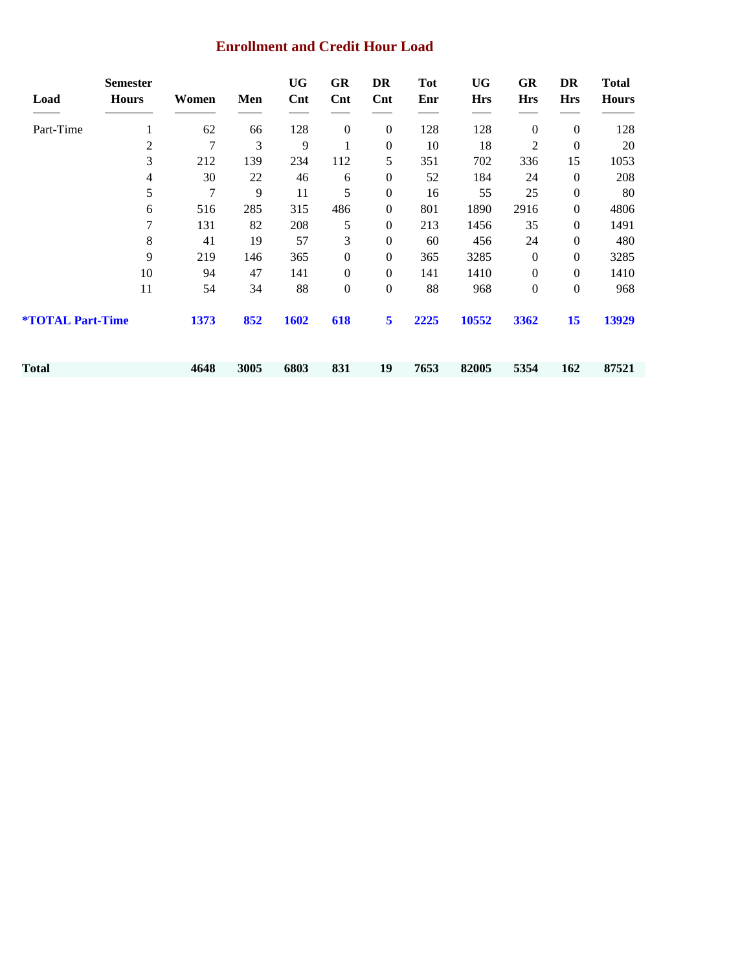#### **Enrollment and Credit Hour Load**

| Load                           | <b>Semester</b><br><b>Hours</b> | Women | Men  | <b>UG</b><br>$\mathbf{Cnt}$ | <b>GR</b><br>$\mathbf{Cnt}$ | DR<br>$\mathbf{Cnt}$ | <b>Tot</b><br>Enr | <b>UG</b><br><b>Hrs</b> | GR<br><b>Hrs</b> | DR<br><b>Hrs</b> | <b>Total</b><br><b>Hours</b> |
|--------------------------------|---------------------------------|-------|------|-----------------------------|-----------------------------|----------------------|-------------------|-------------------------|------------------|------------------|------------------------------|
| Part-Time                      | 1                               | 62    | 66   | 128                         | $\boldsymbol{0}$            | $\mathbf{0}$         | 128               | 128                     | $\boldsymbol{0}$ | $\boldsymbol{0}$ | 128                          |
|                                | 2                               | 7     | 3    | 9                           | 1                           | $\boldsymbol{0}$     | 10                | 18                      | 2                | $\boldsymbol{0}$ | $20\,$                       |
|                                | 3                               | 212   | 139  | 234                         | 112                         | 5                    | 351               | 702                     | 336              | 15               | 1053                         |
|                                | 4                               | 30    | 22   | 46                          | 6                           | $\boldsymbol{0}$     | 52                | 184                     | 24               | $\theta$         | 208                          |
|                                | 5                               | 7     | 9    | 11                          | 5                           | $\boldsymbol{0}$     | 16                | 55                      | 25               | $\boldsymbol{0}$ | 80                           |
|                                | 6                               | 516   | 285  | 315                         | 486                         | $\boldsymbol{0}$     | 801               | 1890                    | 2916             | $\overline{0}$   | 4806                         |
|                                | 7                               | 131   | 82   | 208                         | 5                           | $\boldsymbol{0}$     | 213               | 1456                    | 35               | $\overline{0}$   | 1491                         |
|                                | 8                               | 41    | 19   | 57                          | 3                           | $\boldsymbol{0}$     | 60                | 456                     | 24               | $\overline{0}$   | 480                          |
|                                | 9                               | 219   | 146  | 365                         | $\boldsymbol{0}$            | $\boldsymbol{0}$     | 365               | 3285                    | $\boldsymbol{0}$ | $\overline{0}$   | 3285                         |
|                                | 10                              | 94    | 47   | 141                         | $\boldsymbol{0}$            | $\mathbf{0}$         | 141               | 1410                    | $\boldsymbol{0}$ | $\overline{0}$   | 1410                         |
|                                | 11                              | 54    | 34   | 88                          | $\boldsymbol{0}$            | $\boldsymbol{0}$     | 88                | 968                     | $\boldsymbol{0}$ | $\boldsymbol{0}$ | 968                          |
| <b><i>*TOTAL Part-Time</i></b> |                                 | 1373  | 852  | 1602                        | 618                         | 5                    | 2225              | 10552                   | 3362             | 15               | 13929                        |
| Total                          |                                 | 4648  | 3005 | 6803                        | 831                         | 19                   | 7653              | 82005                   | 5354             | 162              | 87521                        |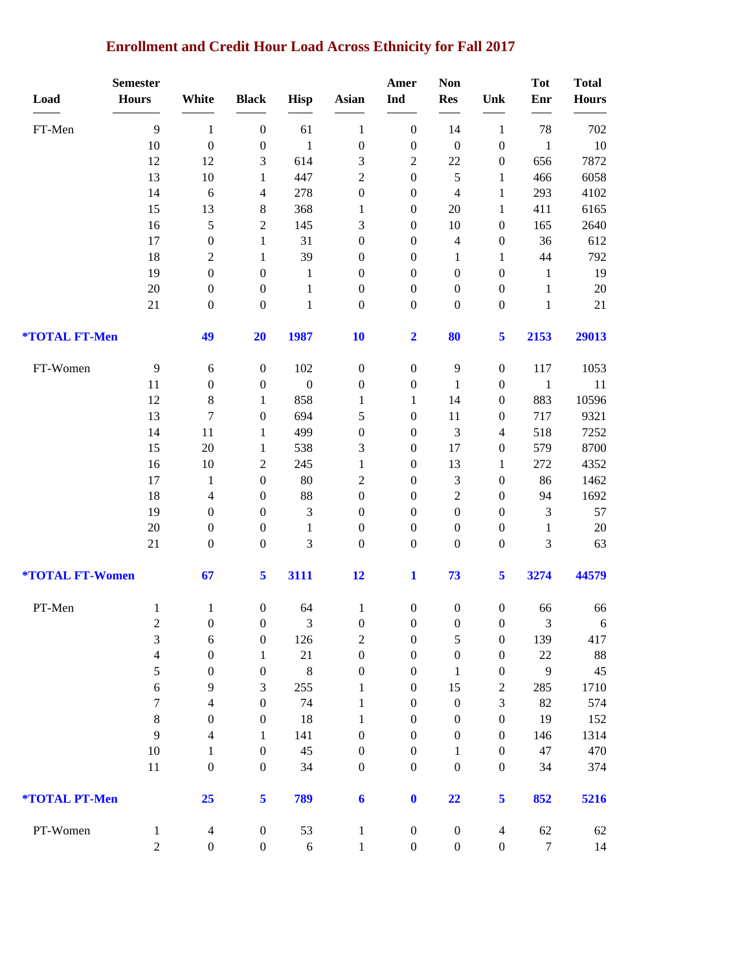# **Enrollment and Credit Hour Load Across Ethnicity for Fall 2017**

|                               | <b>Semester</b>  |                                      |                                      |                                |                                      | Amer                                 | <b>Non</b>                           |                                      | <b>Tot</b>                  | <b>Total</b> |
|-------------------------------|------------------|--------------------------------------|--------------------------------------|--------------------------------|--------------------------------------|--------------------------------------|--------------------------------------|--------------------------------------|-----------------------------|--------------|
| Load                          | <b>Hours</b>     | White                                | <b>Black</b>                         | <b>Hisp</b>                    | Asian                                | Ind                                  | <b>Res</b>                           | Unk                                  | Enr                         | <b>Hours</b> |
| FT-Men                        | 9                | $\mathbf{1}$                         | $\boldsymbol{0}$                     | 61                             | $\mathbf{1}$                         | $\boldsymbol{0}$                     | 14                                   | $\mathbf{1}$                         | 78                          | 702          |
|                               | 10               | $\boldsymbol{0}$                     | $\boldsymbol{0}$                     | $\mathbf{1}$                   | $\boldsymbol{0}$                     | $\boldsymbol{0}$                     | $\boldsymbol{0}$                     | $\boldsymbol{0}$                     | $\mathbf{1}$                | 10           |
|                               | 12               | 12                                   | 3                                    | 614                            | 3                                    | $\boldsymbol{2}$                     | 22                                   | $\boldsymbol{0}$                     | 656                         | 7872         |
|                               | 13               | 10                                   | $\mathbf{1}$                         | 447                            | $\sqrt{2}$                           | $\boldsymbol{0}$                     | 5                                    | 1                                    | 466                         | 6058         |
|                               | 14               | 6                                    | 4                                    | 278                            | $\boldsymbol{0}$                     | $\boldsymbol{0}$                     | $\overline{4}$                       | 1                                    | 293                         | 4102         |
|                               | 15               | 13                                   | 8                                    | 368                            | 1                                    | $\boldsymbol{0}$                     | 20                                   | 1                                    | 411                         | 6165         |
|                               | 16               | 5                                    | $\overline{c}$                       | 145                            | 3                                    | $\boldsymbol{0}$                     | 10                                   | $\boldsymbol{0}$                     | 165                         | 2640         |
|                               | 17               | $\boldsymbol{0}$                     | $\mathbf{1}$                         | 31                             | $\boldsymbol{0}$                     | $\boldsymbol{0}$                     | $\overline{4}$                       | $\boldsymbol{0}$                     | 36                          | 612          |
|                               | 18               | $\boldsymbol{2}$                     | $\mathbf{1}$                         | 39                             | $\boldsymbol{0}$                     | $\boldsymbol{0}$                     | $\mathbf{1}$                         | $\mathbf{1}$                         | 44                          | 792          |
|                               | 19               | $\boldsymbol{0}$                     | $\boldsymbol{0}$                     | $\mathbf{1}$                   | $\boldsymbol{0}$                     | $\boldsymbol{0}$                     | $\boldsymbol{0}$                     | $\boldsymbol{0}$                     | 1                           | 19           |
|                               | $20\,$           | $\boldsymbol{0}$                     | $\boldsymbol{0}$                     | $\mathbf{1}$                   | $\boldsymbol{0}$                     | $\boldsymbol{0}$                     | $\boldsymbol{0}$                     | $\boldsymbol{0}$                     | 1                           | $20\,$       |
|                               | 21               | $\boldsymbol{0}$                     | $\boldsymbol{0}$                     | $\mathbf{1}$                   | $\boldsymbol{0}$                     | $\boldsymbol{0}$                     | $\boldsymbol{0}$                     | $\boldsymbol{0}$                     | $\mathbf{1}$                | 21           |
| *TOTAL FT-Men                 |                  | 49                                   | 20                                   | 1987                           | 10                                   | $\overline{\mathbf{2}}$              | 80                                   | 5                                    | 2153                        | 29013        |
| FT-Women                      | $\overline{9}$   | 6                                    | $\boldsymbol{0}$                     | 102                            | $\boldsymbol{0}$                     | $\boldsymbol{0}$                     | 9                                    | $\boldsymbol{0}$                     | 117                         | 1053         |
|                               | 11               | $\boldsymbol{0}$                     | $\boldsymbol{0}$                     | $\boldsymbol{0}$               | $\boldsymbol{0}$                     | $\boldsymbol{0}$                     | $\mathbf{1}$                         | $\boldsymbol{0}$                     | $\mathbf{1}$                | 11           |
|                               | 12               | $\,8\,$                              | 1                                    | 858                            | 1                                    | $\mathbf{1}$                         | 14                                   | $\boldsymbol{0}$                     | 883                         | 10596        |
|                               | 13               | $\overline{7}$                       | $\boldsymbol{0}$                     | 694                            | 5                                    | $\boldsymbol{0}$                     | 11                                   | $\boldsymbol{0}$                     | 717                         | 9321         |
|                               | 14               | 11                                   | $\mathbf{1}$                         | 499                            | $\boldsymbol{0}$                     | $\boldsymbol{0}$                     | $\mathfrak{Z}$                       | $\overline{4}$                       | 518                         | 7252         |
|                               | 15               | 20                                   | $\mathbf{1}$                         | 538                            | 3                                    | $\boldsymbol{0}$                     | 17                                   | $\boldsymbol{0}$                     | 579                         | 8700         |
|                               | 16               | 10                                   | 2                                    | 245                            | $\mathbf{1}$                         | $\boldsymbol{0}$                     | 13                                   | $\mathbf{1}$                         | 272                         | 4352         |
|                               | 17               | $\mathbf{1}$                         | $\boldsymbol{0}$                     | 80                             | $\sqrt{2}$                           | $\boldsymbol{0}$                     | $\mathfrak 3$                        | $\boldsymbol{0}$                     | 86                          | 1462         |
|                               | 18               | 4                                    | $\boldsymbol{0}$                     | 88                             | $\boldsymbol{0}$                     | $\boldsymbol{0}$                     | $\sqrt{2}$                           | $\boldsymbol{0}$                     | 94                          | 1692         |
|                               | 19<br>20         | $\boldsymbol{0}$<br>$\boldsymbol{0}$ | $\boldsymbol{0}$<br>$\boldsymbol{0}$ | $\mathfrak{Z}$<br>$\mathbf{1}$ | $\boldsymbol{0}$<br>$\boldsymbol{0}$ | $\boldsymbol{0}$<br>$\boldsymbol{0}$ | $\boldsymbol{0}$<br>$\boldsymbol{0}$ | $\boldsymbol{0}$<br>$\boldsymbol{0}$ | $\mathfrak{Z}$              | 57<br>$20\,$ |
|                               | 21               | $\boldsymbol{0}$                     | $\boldsymbol{0}$                     | $\mathfrak{Z}$                 | $\boldsymbol{0}$                     | $\boldsymbol{0}$                     | $\boldsymbol{0}$                     | $\boldsymbol{0}$                     | $\mathbf{1}$<br>3           | 63           |
| <b><i>*TOTAL FT-Women</i></b> |                  | 67                                   | 5                                    | 3111                           | 12                                   | $\mathbf{1}$                         | 73                                   | 5                                    | 3274                        | 44579        |
| PT-Men                        | $\mathbf{1}$     | $\mathbf{1}$                         | $\boldsymbol{0}$                     | 64                             | $\mathbf{1}$                         | $\boldsymbol{0}$                     | $\boldsymbol{0}$                     | $\boldsymbol{0}$                     | 66                          | 66           |
|                               | $\overline{c}$   | $\boldsymbol{0}$                     | $\boldsymbol{0}$                     | 3                              | $\boldsymbol{0}$                     | $\boldsymbol{0}$                     | $\boldsymbol{0}$                     | $\boldsymbol{0}$                     | $\ensuremath{\mathfrak{Z}}$ | 6            |
|                               | 3                | $\sqrt{6}$                           | $\boldsymbol{0}$                     | 126                            | $\sqrt{2}$                           | $\boldsymbol{0}$                     | $\mathfrak{S}$                       | $\boldsymbol{0}$                     | 139                         | 417          |
|                               | $\overline{4}$   | $\boldsymbol{0}$                     | $\mathbf{1}$                         | $21\,$                         | $\boldsymbol{0}$                     | $\boldsymbol{0}$                     | $\boldsymbol{0}$                     | $\boldsymbol{0}$                     | $22\,$                      | 88           |
|                               | 5                | $\boldsymbol{0}$                     | $\boldsymbol{0}$                     | $\,8\,$                        | $\boldsymbol{0}$                     | $\boldsymbol{0}$                     | $\mathbf{1}$                         | $\boldsymbol{0}$                     | 9                           | $45\,$       |
|                               | $\sqrt{6}$       | 9                                    | 3                                    | 255                            | 1                                    | $\boldsymbol{0}$                     | 15                                   | $\boldsymbol{2}$                     | 285                         | 1710         |
|                               | $\overline{7}$   | $\overline{4}$                       | $\boldsymbol{0}$                     | 74                             | 1                                    | $\boldsymbol{0}$                     | $\boldsymbol{0}$                     | $\mathfrak{Z}$                       | 82                          | 574          |
|                               | $8\,$            | $\boldsymbol{0}$                     | $\boldsymbol{0}$                     | 18                             | $\mathbf{1}$                         | $\boldsymbol{0}$                     | $\boldsymbol{0}$                     | $\boldsymbol{0}$                     | 19                          | 152          |
|                               | 9                | $\overline{4}$                       | $\mathbf{1}$                         | 141                            | $\boldsymbol{0}$                     | $\boldsymbol{0}$                     | $\boldsymbol{0}$                     | $\boldsymbol{0}$                     | 146                         | 1314         |
|                               | $10\,$<br>$11\,$ | $\mathbf{1}$<br>$\boldsymbol{0}$     | $\boldsymbol{0}$<br>$\boldsymbol{0}$ | 45<br>34                       | $\boldsymbol{0}$<br>$\boldsymbol{0}$ | $\boldsymbol{0}$<br>$\boldsymbol{0}$ | $\mathbf{1}$<br>$\boldsymbol{0}$     | $\boldsymbol{0}$<br>$\overline{0}$   | $47\,$<br>34                | 470<br>374   |
| *TOTAL PT-Men                 |                  | 25                                   | 5                                    | 789                            | 6                                    | $\mathbf 0$                          | 22                                   | 5                                    | 852                         | 5216         |
| PT-Women                      | $\mathbf{1}$     | $\overline{4}$                       | $\boldsymbol{0}$                     | 53                             | $\mathbf{1}$                         | $\boldsymbol{0}$                     | $\boldsymbol{0}$                     | $\overline{4}$                       | 62                          | 62           |
|                               | $\overline{c}$   | $\boldsymbol{0}$                     | $\boldsymbol{0}$                     | $\sqrt{6}$                     | $\,1$                                | $\boldsymbol{0}$                     | $\boldsymbol{0}$                     | $\boldsymbol{0}$                     | $\tau$                      | 14           |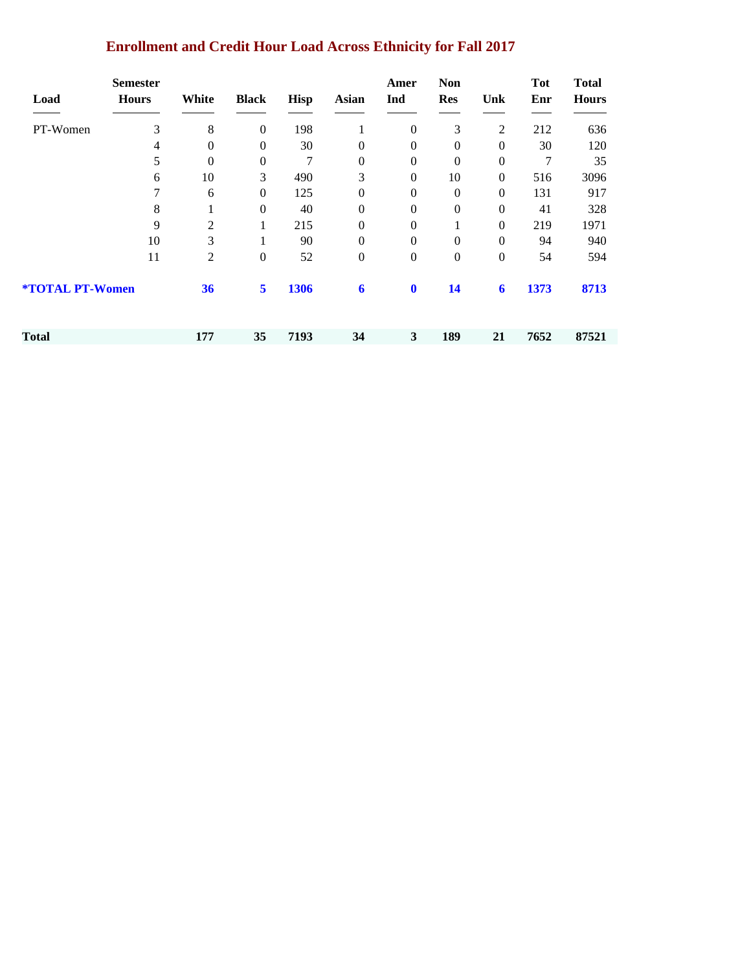# **Enrollment and Credit Hour Load Across Ethnicity for Fall 2017**

| Load                          | <b>Semester</b><br><b>Hours</b> | White          | <b>Black</b>     | <b>Hisp</b> | <b>Asian</b>   | Amer<br>Ind      | <b>Non</b><br><b>Res</b> | Unk            | <b>Tot</b><br>Enr | <b>Total</b><br><b>Hours</b> |
|-------------------------------|---------------------------------|----------------|------------------|-------------|----------------|------------------|--------------------------|----------------|-------------------|------------------------------|
| PT-Women                      | 3                               | 8              | $\boldsymbol{0}$ | 198         |                | $\overline{0}$   | 3                        | $\overline{2}$ | 212               | 636                          |
|                               | 4                               | $\mathbf{0}$   | $\boldsymbol{0}$ | 30          | $\theta$       | $\mathbf{0}$     | 0                        | $\theta$       | 30                | 120                          |
|                               | 5                               | $\theta$       | $\boldsymbol{0}$ | 7           | $\Omega$       | $\boldsymbol{0}$ | $\boldsymbol{0}$         | $\theta$       | 7                 | 35                           |
|                               | 6                               | 10             | 3                | 490         | 3              | $\boldsymbol{0}$ | 10                       | $\overline{0}$ | 516               | 3096                         |
|                               | 7                               | 6              | $\mathbf{0}$     | 125         | $\theta$       | $\mathbf{0}$     | $\Omega$                 | $\Omega$       | 131               | 917                          |
|                               | 8                               |                | $\boldsymbol{0}$ | 40          | $\Omega$       | $\mathbf{0}$     | 0                        | $\theta$       | 41                | 328                          |
|                               | 9                               | 2              | 1                | 215         | $\theta$       | $\boldsymbol{0}$ |                          | $\overline{0}$ | 219               | 1971                         |
|                               | 10                              | 3              |                  | 90          | $\Omega$       | $\mathbf{0}$     | $\overline{0}$           | $\theta$       | 94                | 940                          |
|                               | 11                              | $\overline{c}$ | $\boldsymbol{0}$ | 52          | $\overline{0}$ | $\boldsymbol{0}$ | $\boldsymbol{0}$         | $\theta$       | 54                | 594                          |
| <b><i>*TOTAL PT-Women</i></b> |                                 | 36             | 5                | 1306        | 6              | $\mathbf 0$      | 14                       | 6              | 1373              | 8713                         |
| Total                         |                                 | 177            | 35               | 7193        | 34             | 3                | 189                      | 21             | 7652              | 87521                        |
|                               |                                 |                |                  |             |                |                  |                          |                |                   |                              |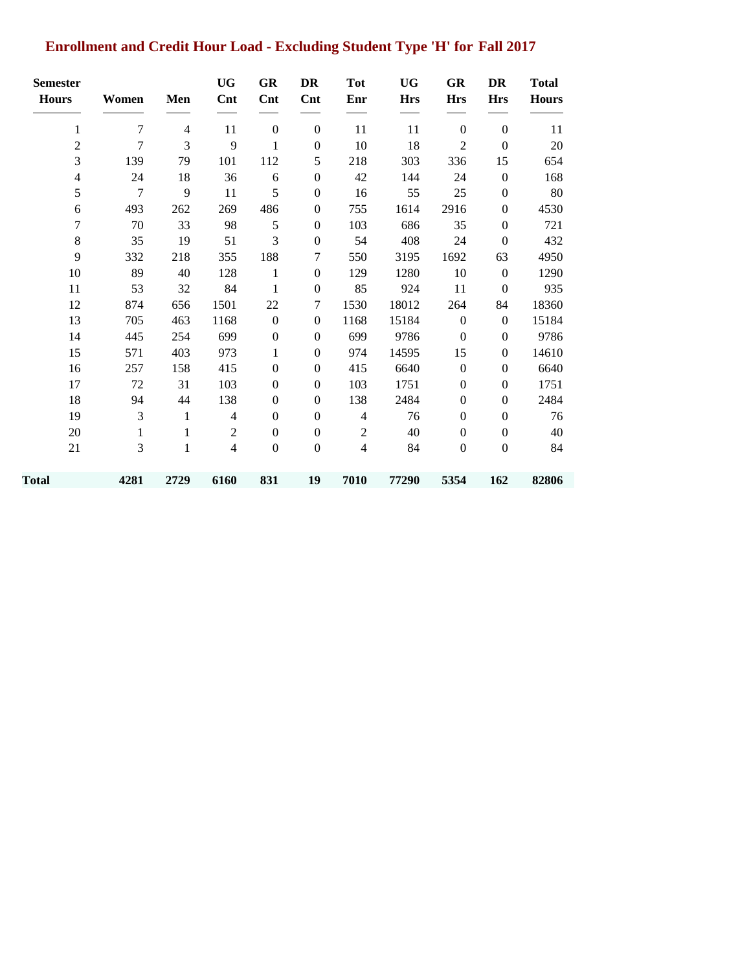# **Enrollment and Credit Hour Load - Excluding Student Type 'H' for Fall 2017**

| <b>Semester</b><br><b>Hours</b> | Women        | Men          | <b>UG</b><br>Cnt | GR<br>Cnt        | DR<br>Cnt        | <b>Tot</b><br>Enr | <b>UG</b><br><b>Hrs</b> | GR<br><b>Hrs</b> | DR<br><b>Hrs</b> | <b>Total</b><br><b>Hours</b> |
|---------------------------------|--------------|--------------|------------------|------------------|------------------|-------------------|-------------------------|------------------|------------------|------------------------------|
|                                 |              |              |                  |                  |                  |                   |                         |                  |                  |                              |
| 1                               | 7            | 4            | 11               | $\boldsymbol{0}$ | $\boldsymbol{0}$ | 11                | 11                      | $\boldsymbol{0}$ | $\boldsymbol{0}$ | 11                           |
| $\overline{c}$                  | 7            | 3            | 9                | 1                | $\boldsymbol{0}$ | 10                | 18                      | $\mathbf{2}$     | $\overline{0}$   | 20                           |
| 3                               | 139          | 79           | 101              | 112              | 5                | 218               | 303                     | 336              | 15               | 654                          |
| 4                               | 24           | 18           | 36               | 6                | $\boldsymbol{0}$ | 42                | 144                     | 24               | $\boldsymbol{0}$ | 168                          |
| 5                               | $\tau$       | 9            | 11               | 5                | $\boldsymbol{0}$ | 16                | 55                      | 25               | $\boldsymbol{0}$ | 80                           |
| 6                               | 493          | 262          | 269              | 486              | $\boldsymbol{0}$ | 755               | 1614                    | 2916             | $\boldsymbol{0}$ | 4530                         |
| 7                               | 70           | 33           | 98               | 5                | $\boldsymbol{0}$ | 103               | 686                     | 35               | $\boldsymbol{0}$ | 721                          |
| $8\,$                           | 35           | 19           | 51               | 3                | $\mathbf{0}$     | 54                | 408                     | 24               | $\mathbf{0}$     | 432                          |
| 9                               | 332          | 218          | 355              | 188              | 7                | 550               | 3195                    | 1692             | 63               | 4950                         |
| 10                              | 89           | 40           | 128              | 1                | $\boldsymbol{0}$ | 129               | 1280                    | 10               | $\boldsymbol{0}$ | 1290                         |
| 11                              | 53           | 32           | 84               | 1                | $\boldsymbol{0}$ | 85                | 924                     | 11               | $\boldsymbol{0}$ | 935                          |
| 12                              | 874          | 656          | 1501             | 22               | 7                | 1530              | 18012                   | 264              | 84               | 18360                        |
| 13                              | 705          | 463          | 1168             | $\boldsymbol{0}$ | $\boldsymbol{0}$ | 1168              | 15184                   | $\boldsymbol{0}$ | $\boldsymbol{0}$ | 15184                        |
| 14                              | 445          | 254          | 699              | $\boldsymbol{0}$ | $\boldsymbol{0}$ | 699               | 9786                    | $\boldsymbol{0}$ | $\boldsymbol{0}$ | 9786                         |
| 15                              | 571          | 403          | 973              | 1                | $\boldsymbol{0}$ | 974               | 14595                   | 15               | $\boldsymbol{0}$ | 14610                        |
| 16                              | 257          | 158          | 415              | $\boldsymbol{0}$ | $\boldsymbol{0}$ | 415               | 6640                    | $\boldsymbol{0}$ | $\boldsymbol{0}$ | 6640                         |
| 17                              | 72           | 31           | 103              | $\boldsymbol{0}$ | $\boldsymbol{0}$ | 103               | 1751                    | $\boldsymbol{0}$ | $\boldsymbol{0}$ | 1751                         |
| 18                              | 94           | 44           | 138              | $\boldsymbol{0}$ | $\mathbf{0}$     | 138               | 2484                    | $\boldsymbol{0}$ | $\mathbf{0}$     | 2484                         |
| 19                              | 3            | $\mathbf{1}$ | $\overline{4}$   | $\boldsymbol{0}$ | $\boldsymbol{0}$ | $\overline{4}$    | 76                      | $\boldsymbol{0}$ | $\boldsymbol{0}$ | 76                           |
| 20                              | $\mathbf{1}$ | 1            | $\mathbf{2}$     | $\boldsymbol{0}$ | $\boldsymbol{0}$ | $\overline{2}$    | 40                      | $\boldsymbol{0}$ | $\boldsymbol{0}$ | 40                           |
| 21                              | 3            | 1            | $\overline{4}$   | $\boldsymbol{0}$ | $\boldsymbol{0}$ | $\overline{4}$    | 84                      | $\boldsymbol{0}$ | $\boldsymbol{0}$ | 84                           |
| Total                           | 4281         | 2729         | 6160             | 831              | 19               | 7010              | 77290                   | 5354             | 162              | 82806                        |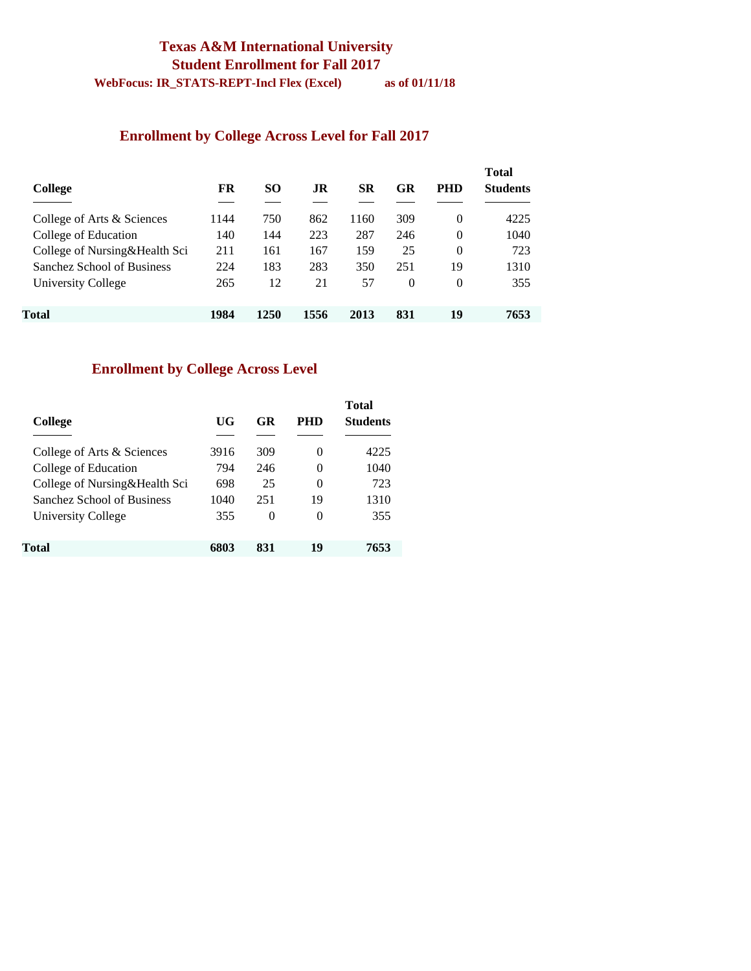#### **Texas A&M International University Student Enrollment for Fall 2017 WebFocus: IR\_STATS-REPT-Incl Flex (Excel) as of 01/11/18**

#### **Enrollment by College Across Level for Fall 2017**

| College                       | FR   | <b>SO</b> | .IR  | SR   | GR       | <b>PHD</b> | <b>Total</b><br><b>Students</b> |
|-------------------------------|------|-----------|------|------|----------|------------|---------------------------------|
| College of Arts & Sciences    | 1144 | 750       | 862  | 1160 | 309      | 0          | 4225                            |
| College of Education          | 140  | 144       | 223  | 287  | 246      | $\Omega$   | 1040                            |
| College of Nursing&Health Sci | 211  | 161       | 167  | 159  | 25       | $\Omega$   | 723                             |
| Sanchez School of Business    | 224  | 183       | 283  | 350  | 251      | 19         | 1310                            |
| University College            | 265  | 12        | 21   | 57   | $\theta$ | $\Omega$   | 355                             |
| Total                         | 1984 | 1250      | 1556 | 2013 | 831      | 19         | 7653                            |

# **Enrollment by College Across Level**

| College                       | UG   | GR  | PHD      | <b>Total</b><br><b>Students</b> |
|-------------------------------|------|-----|----------|---------------------------------|
| College of Arts & Sciences    | 3916 | 309 | $\Omega$ | 4225                            |
| College of Education          | 794  | 246 | 0        | 1040                            |
| College of Nursing&Health Sci | 698  | 25  | 0        | 723                             |
| Sanchez School of Business    | 1040 | 251 | 19       | 1310                            |
| University College            | 355  | 0   | 0        | 355                             |
| Total                         | 6803 | 831 | 19       | 7653                            |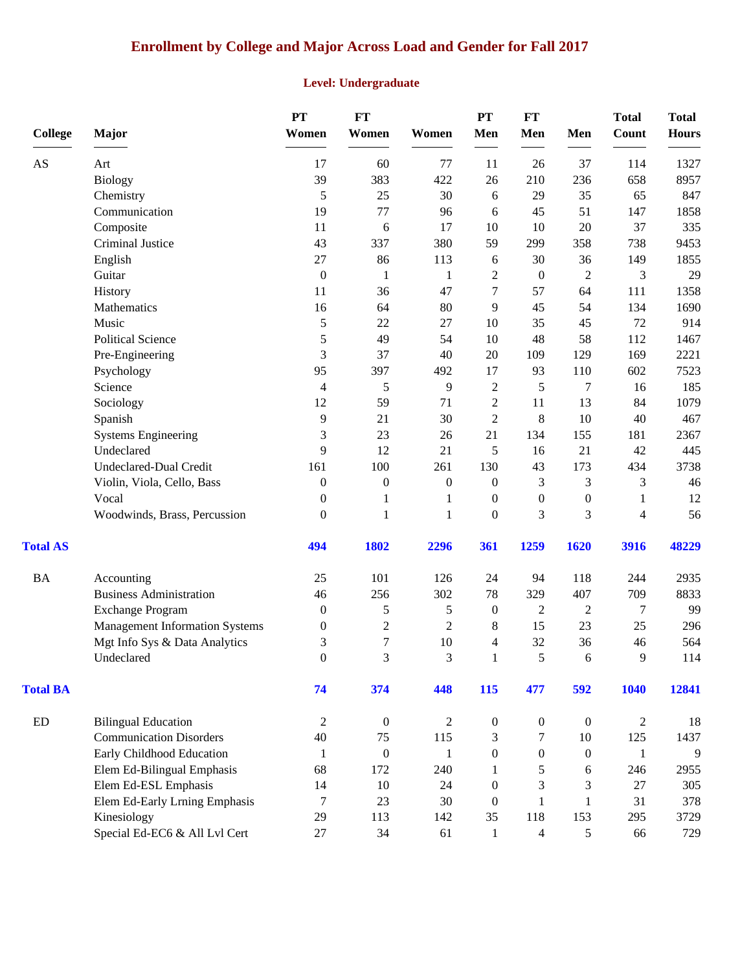# **Enrollment by College and Major Across Load and Gender for Fall 2017**

#### **Level: Undergraduate**

| <b>College</b>  | Major                                 | PT<br>Women      | FT<br>Women      | Women            | PT<br>Men        | $FT$<br>Men      | Men              | <b>Total</b><br><b>Count</b> | <b>Total</b><br><b>Hours</b> |
|-----------------|---------------------------------------|------------------|------------------|------------------|------------------|------------------|------------------|------------------------------|------------------------------|
| AS              | Art                                   | 17               | 60               | 77               | 11               | 26               | 37               | 114                          | 1327                         |
|                 | <b>Biology</b>                        | 39               | 383              | 422              | 26               | 210              | 236              | 658                          | 8957                         |
|                 | Chemistry                             | 5                | 25               | 30               | 6                | 29               | 35               | 65                           | 847                          |
|                 | Communication                         | 19               | 77               | 96               | 6                | 45               | 51               | 147                          | 1858                         |
|                 | Composite                             | 11               | 6                | 17               | 10               | 10               | 20               | 37                           | 335                          |
|                 | Criminal Justice                      | 43               | 337              | 380              | 59               | 299              | 358              | 738                          | 9453                         |
|                 | English                               | 27               | 86               | 113              | 6                | 30               | 36               | 149                          | 1855                         |
|                 | Guitar                                | $\boldsymbol{0}$ | 1                | $\mathbf{1}$     | $\overline{c}$   | $\boldsymbol{0}$ | $\boldsymbol{2}$ | 3                            | 29                           |
|                 | History                               | 11               | 36               | 47               | 7                | 57               | 64               | 111                          | 1358                         |
|                 | Mathematics                           | 16               | 64               | 80               | 9                | 45               | 54               | 134                          | 1690                         |
|                 | Music                                 | 5                | 22               | 27               | 10               | 35               | 45               | 72                           | 914                          |
|                 | <b>Political Science</b>              | 5                | 49               | 54               | 10               | 48               | 58               | 112                          | 1467                         |
|                 | Pre-Engineering                       | 3                | 37               | 40               | 20               | 109              | 129              | 169                          | 2221                         |
|                 | Psychology                            | 95               | 397              | 492              | 17               | 93               | 110              | 602                          | 7523                         |
|                 | Science                               | 4                | 5                | 9                | $\mathfrak{2}$   | 5                | 7                | 16                           | 185                          |
|                 | Sociology                             | 12               | 59               | 71               | $\overline{c}$   | 11               | 13               | 84                           | 1079                         |
|                 | Spanish                               | 9                | 21               | 30               | $\overline{2}$   | 8                | 10               | 40                           | 467                          |
|                 | <b>Systems Engineering</b>            | 3                | 23               | 26               | 21               | 134              | 155              | 181                          | 2367                         |
|                 | Undeclared                            | 9                | 12               | 21               | 5                | 16               | 21               | 42                           | 445                          |
|                 | Undeclared-Dual Credit                | 161              | 100              | 261              | 130              | 43               | 173              | 434                          | 3738                         |
|                 | Violin, Viola, Cello, Bass            | $\boldsymbol{0}$ | $\boldsymbol{0}$ | $\boldsymbol{0}$ | $\boldsymbol{0}$ | 3                | 3                | 3                            | 46                           |
|                 | Vocal                                 | $\mathbf{0}$     | 1                | $\mathbf{1}$     | $\overline{0}$   | $\boldsymbol{0}$ | $\boldsymbol{0}$ | 1                            | 12                           |
|                 | Woodwinds, Brass, Percussion          | $\overline{0}$   | 1                | $\mathbf{1}$     | $\boldsymbol{0}$ | 3                | 3                | $\overline{4}$               | 56                           |
| <b>Total AS</b> |                                       | 494              | 1802             | 2296             | 361              | 1259             | 1620             | 3916                         | 48229                        |
| <b>BA</b>       | Accounting                            | 25               | 101              | 126              | 24               | 94               | 118              | 244                          | 2935                         |
|                 | <b>Business Administration</b>        | 46               | 256              | 302              | 78               | 329              | 407              | 709                          | 8833                         |
|                 | <b>Exchange Program</b>               | $\mathbf{0}$     | 5                | 5                | $\boldsymbol{0}$ | 2                | $\overline{2}$   | 7                            | 99                           |
|                 | <b>Management Information Systems</b> | $\boldsymbol{0}$ | $\sqrt{2}$       | $\mathbf{2}$     | 8                | 15               | 23               | 25                           | 296                          |
|                 | Mgt Info Sys & Data Analytics         | 3                | $\overline{7}$   | $10\,$           | 4                | 32               | 36               | 46                           | 564                          |
|                 | Undeclared                            | $\boldsymbol{0}$ | 3                | $\mathfrak{Z}$   | $\mathbf{1}$     | 5                | $\sqrt{6}$       | $\overline{9}$               | 114                          |
| <b>Total BA</b> |                                       | 74               | 374              | 448              | 115              | 477              | 592              | 1040                         | 12841                        |
| ${\rm ED}$      | <b>Bilingual Education</b>            | $\overline{c}$   | $\boldsymbol{0}$ | $\overline{2}$   | $\boldsymbol{0}$ | $\boldsymbol{0}$ | $\boldsymbol{0}$ | $\overline{c}$               | 18                           |
|                 | <b>Communication Disorders</b>        | 40               | 75               | 115              | 3                | 7                | $10\,$           | 125                          | 1437                         |
|                 | Early Childhood Education             | 1                | $\boldsymbol{0}$ | $\mathbf{1}$     | $\boldsymbol{0}$ | $\boldsymbol{0}$ | $\boldsymbol{0}$ | $\mathbf{1}$                 | 9                            |
|                 | Elem Ed-Bilingual Emphasis            | 68               | 172              | 240              | 1                | 5                | 6                | 246                          | 2955                         |
|                 | Elem Ed-ESL Emphasis                  | 14               | 10               | 24               | $\theta$         | 3                | 3                | 27                           | 305                          |
|                 | Elem Ed-Early Lrning Emphasis         | 7                | 23               | 30               | $\overline{0}$   | 1                | 1                | 31                           | 378                          |
|                 | Kinesiology                           | 29               | 113              | 142              | 35               | 118              | 153              | 295                          | 3729                         |
|                 | Special Ed-EC6 & All Lvl Cert         | 27               | 34               | 61               | $\mathbf{1}$     | 4                | 5                | 66                           | 729                          |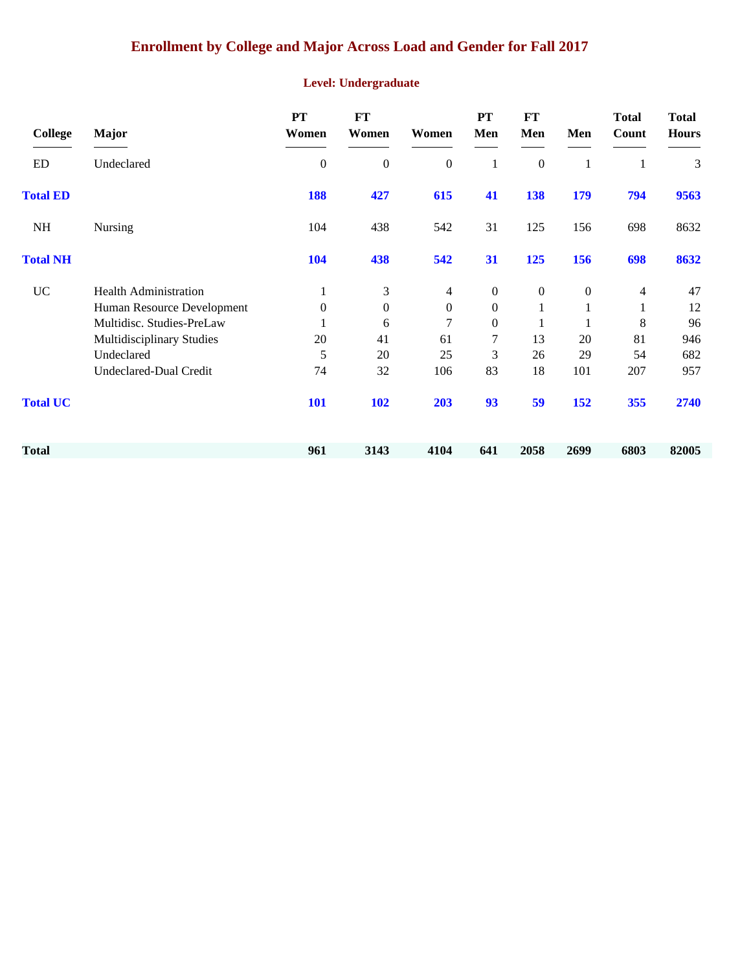# **Enrollment by College and Major Across Load and Gender for Fall 2017**

#### **Level: Undergraduate**

| <b>College</b>  | <b>Major</b>                  | PT<br>Women  | <b>FT</b><br>Women | Women            | <b>PT</b><br>Men | <b>FT</b><br>Men | Men              | <b>Total</b><br>Count | <b>Total</b><br><b>Hours</b> |
|-----------------|-------------------------------|--------------|--------------------|------------------|------------------|------------------|------------------|-----------------------|------------------------------|
| ED              | Undeclared                    | $\mathbf{0}$ | $\boldsymbol{0}$   | $\boldsymbol{0}$ | $\mathbf{1}$     | $\boldsymbol{0}$ | $\mathbf{1}$     | $\mathbf{1}$          | 3                            |
| <b>Total ED</b> |                               | 188          | 427                | 615              | 41               | 138              | 179              | 794                   | 9563                         |
| <b>NH</b>       | <b>Nursing</b>                | 104          | 438                | 542              | 31               | 125              | 156              | 698                   | 8632                         |
| <b>Total NH</b> |                               | 104          | 438                | 542              | 31               | 125              | 156              | 698                   | 8632                         |
| <b>UC</b>       | <b>Health Administration</b>  | 1            | 3                  | 4                | $\boldsymbol{0}$ | $\boldsymbol{0}$ | $\boldsymbol{0}$ | 4                     | 47                           |
|                 | Human Resource Development    | $\mathbf{0}$ | $\boldsymbol{0}$   | $\boldsymbol{0}$ | $\boldsymbol{0}$ | $\mathbf{1}$     |                  | 1                     | 12                           |
|                 | Multidisc. Studies-PreLaw     | 1            | 6                  | 7                | $\overline{0}$   | 1                |                  | 8                     | 96                           |
|                 | Multidisciplinary Studies     | 20           | 41                 | 61               | $\overline{7}$   | 13               | 20               | 81                    | 946                          |
|                 | Undeclared                    | 5            | 20                 | 25               | 3                | 26               | 29               | 54                    | 682                          |
|                 | <b>Undeclared-Dual Credit</b> | 74           | 32                 | 106              | 83               | 18               | 101              | 207                   | 957                          |
| <b>Total UC</b> |                               | <b>101</b>   | <b>102</b>         | 203              | 93               | 59               | 152              | 355                   | 2740                         |
| <b>Total</b>    |                               | 961          | 3143               | 4104             | 641              | 2058             | 2699             | 6803                  | 82005                        |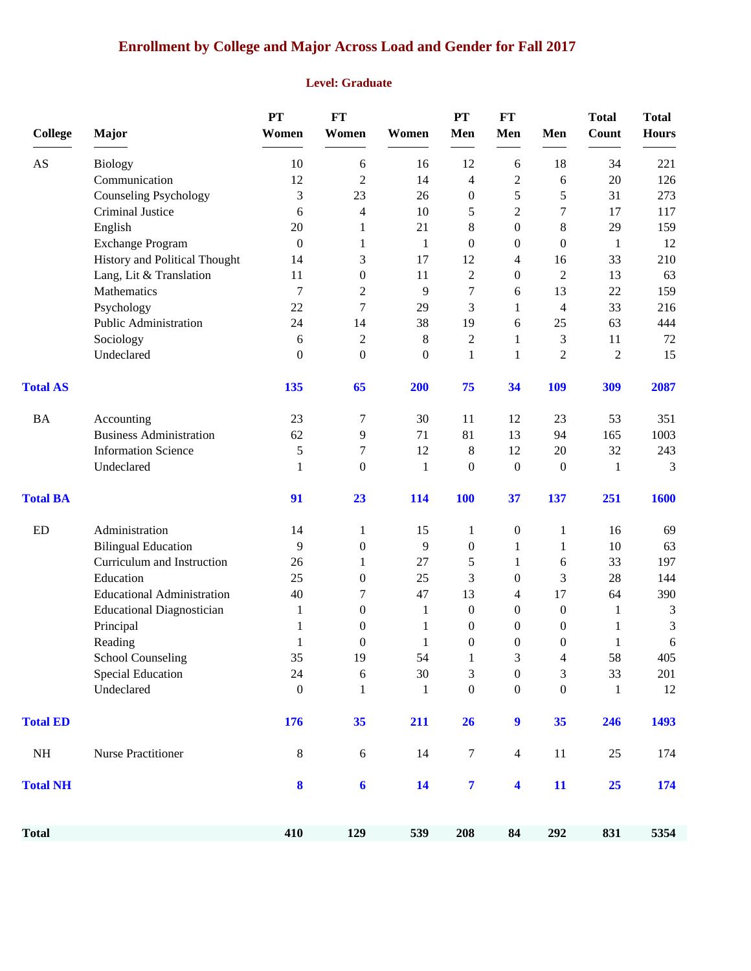# **Enrollment by College and Major Across Load and Gender for Fall 2017**

#### **Level: Graduate**

| <b>College</b>  | Major                             | PT<br>Women      | <b>FT</b><br>Women | Women            | PT<br>Men        | FT<br>Men                | Men                                                          | <b>Total</b><br>Count | <b>Total</b><br><b>Hours</b> |
|-----------------|-----------------------------------|------------------|--------------------|------------------|------------------|--------------------------|--------------------------------------------------------------|-----------------------|------------------------------|
| AS              | <b>Biology</b>                    | 10               | 6                  | 16               | 12               | 6                        | 18                                                           | 34                    | 221                          |
|                 | Communication                     | 12               | $\overline{c}$     | 14               | $\overline{4}$   | $\mathbf{2}$             | 6                                                            | 20                    | 126                          |
|                 | <b>Counseling Psychology</b>      | 3                | 23                 | 26               | $\boldsymbol{0}$ | 5                        | 5                                                            | 31                    | 273                          |
|                 | Criminal Justice                  | 6                | $\overline{4}$     | 10               | 5                | $\mathbf{2}$             | 7                                                            | 17                    | 117                          |
|                 | English                           | 20               | 1                  | 21               | $8\,$            | $\boldsymbol{0}$         | 8                                                            | 29                    | 159                          |
|                 | Exchange Program                  | $\boldsymbol{0}$ | 1                  | $\mathbf{1}$     | $\boldsymbol{0}$ | $\boldsymbol{0}$         | $\boldsymbol{0}$                                             | $\mathbf{1}$          | 12                           |
|                 | History and Political Thought     | 14               | 3                  | 17               | 12               | $\overline{\mathcal{L}}$ | 16                                                           | 33                    | 210                          |
|                 | Lang, Lit & Translation           | 11               | $\boldsymbol{0}$   | 11               | $\overline{c}$   | $\boldsymbol{0}$         | $\mathfrak{2}% =\mathfrak{2}\left( \mathfrak{2}\right) ^{2}$ | 13                    | 63                           |
|                 | Mathematics                       | 7                | $\overline{c}$     | 9                | 7                | 6                        | 13                                                           | 22                    | 159                          |
|                 | Psychology                        | 22               | $\tau$             | 29               | 3                | $\mathbf{1}$             | 4                                                            | 33                    | 216                          |
|                 | Public Administration             | 24               | 14                 | 38               | 19               | 6                        | 25                                                           | 63                    | 444                          |
|                 | Sociology                         | 6                | $\overline{c}$     | 8                | $\overline{2}$   | 1                        | 3                                                            | 11                    | 72                           |
|                 | Undeclared                        | $\boldsymbol{0}$ | $\boldsymbol{0}$   | $\boldsymbol{0}$ | $\mathbf{1}$     | $\mathbf{1}$             | $\overline{2}$                                               | $\overline{2}$        | 15                           |
| <b>Total AS</b> |                                   | 135              | 65                 | 200              | 75               | 34                       | 109                                                          | 309                   | 2087                         |
| <b>BA</b>       | Accounting                        | 23               | 7                  | 30               | 11               | 12                       | 23                                                           | 53                    | 351                          |
|                 | <b>Business Administration</b>    | 62               | 9                  | 71               | 81               | 13                       | 94                                                           | 165                   | 1003                         |
|                 | <b>Information Science</b>        | 5                | 7                  | 12               | $\,8\,$          | 12                       | 20                                                           | 32                    | 243                          |
|                 | Undeclared                        | 1                | $\theta$           | 1                | $\overline{0}$   | $\boldsymbol{0}$         | $\theta$                                                     | 1                     | 3                            |
| <b>Total BA</b> |                                   | 91               | 23                 | 114              | <b>100</b>       | 37                       | 137                                                          | 251                   | 1600                         |
| <b>ED</b>       | Administration                    | 14               | 1                  | 15               | 1                | $\boldsymbol{0}$         | 1                                                            | 16                    | 69                           |
|                 | <b>Bilingual Education</b>        | 9                | $\boldsymbol{0}$   | 9                | $\boldsymbol{0}$ | $\mathbf{1}$             | 1                                                            | 10                    | 63                           |
|                 | Curriculum and Instruction        | 26               | 1                  | 27               | 5                | $\mathbf{1}$             | 6                                                            | 33                    | 197                          |
|                 | Education                         | 25               | $\boldsymbol{0}$   | 25               | 3                | $\boldsymbol{0}$         | 3                                                            | 28                    | 144                          |
|                 | <b>Educational Administration</b> | 40               | 7                  | 47               | 13               | $\overline{\mathcal{L}}$ | 17                                                           | 64                    | 390                          |
|                 | <b>Educational Diagnostician</b>  | 1                | $\boldsymbol{0}$   | 1                | $\boldsymbol{0}$ | $\boldsymbol{0}$         | $\boldsymbol{0}$                                             | 1                     | $\mathfrak{Z}$               |
|                 | Principal                         | 1                | 0                  | 1                | $\boldsymbol{0}$ | 0                        | $\boldsymbol{0}$                                             | 1                     | 3                            |
|                 | Reading                           | 1                | $\boldsymbol{0}$   | 1                | $\boldsymbol{0}$ | $\boldsymbol{0}$         | $\boldsymbol{0}$                                             | 1                     | 6                            |
|                 | <b>School Counseling</b>          | 35               | 19                 | 54               | $\mathbf{1}$     | 3                        | $\Delta$                                                     | 58                    | 405                          |
|                 | <b>Special Education</b>          | 24               | 6                  | 30               | 3                | $\boldsymbol{0}$         | 3                                                            | 33                    | 201                          |
|                 | Undeclared                        | $\boldsymbol{0}$ | $\mathbf{1}$       | $\mathbf{1}$     | $\boldsymbol{0}$ | $\boldsymbol{0}$         | $\boldsymbol{0}$                                             | $\mathbf{1}$          | 12                           |
| <b>Total ED</b> |                                   | 176              | 35                 | 211              | 26               | 9                        | 35                                                           | 246                   | 1493                         |
| $\rm NH$        | Nurse Practitioner                | $\,8\,$          | 6                  | 14               | $\boldsymbol{7}$ | $\overline{4}$           | $11\,$                                                       | $25\,$                | 174                          |
| <b>Total NH</b> |                                   | 8                | $\boldsymbol{6}$   | 14               | $\overline{7}$   | $\overline{\mathbf{4}}$  | 11                                                           | 25                    | 174                          |
| <b>Total</b>    |                                   | 410              | 129                | 539              | 208              | 84                       | 292                                                          | 831                   | 5354                         |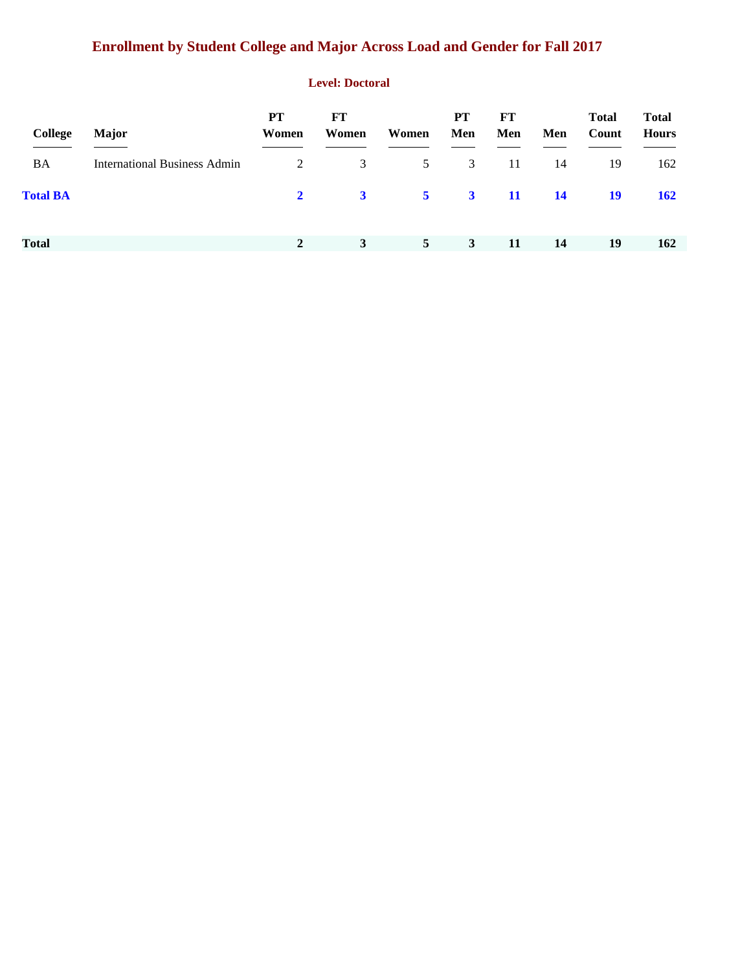# **Enrollment by Student College and Major Across Load and Gender for Fall 2017**

#### **Level: Doctoral**

| <b>College</b>  | <b>Major</b>                        | <b>PT</b><br>Women | FT<br>Women | Women          | PT<br>Men               | FT<br>Men | Men       | <b>Total</b><br>Count | <b>Total</b><br><b>Hours</b> |
|-----------------|-------------------------------------|--------------------|-------------|----------------|-------------------------|-----------|-----------|-----------------------|------------------------------|
| BA              | <b>International Business Admin</b> | 2                  | 3           | 5              | 3                       | -11       | 14        | 19                    | 162                          |
| <b>Total BA</b> |                                     | $2^{\circ}$        | $3^{\circ}$ | $5^{\circ}$    | $\overline{\mathbf{3}}$ | -11       | <b>14</b> | 19                    | <b>162</b>                   |
| <b>Total</b>    |                                     | $\mathbf{2}$       | 3           | 5 <sup>5</sup> | 3                       | 11        | 14        | 19                    | 162                          |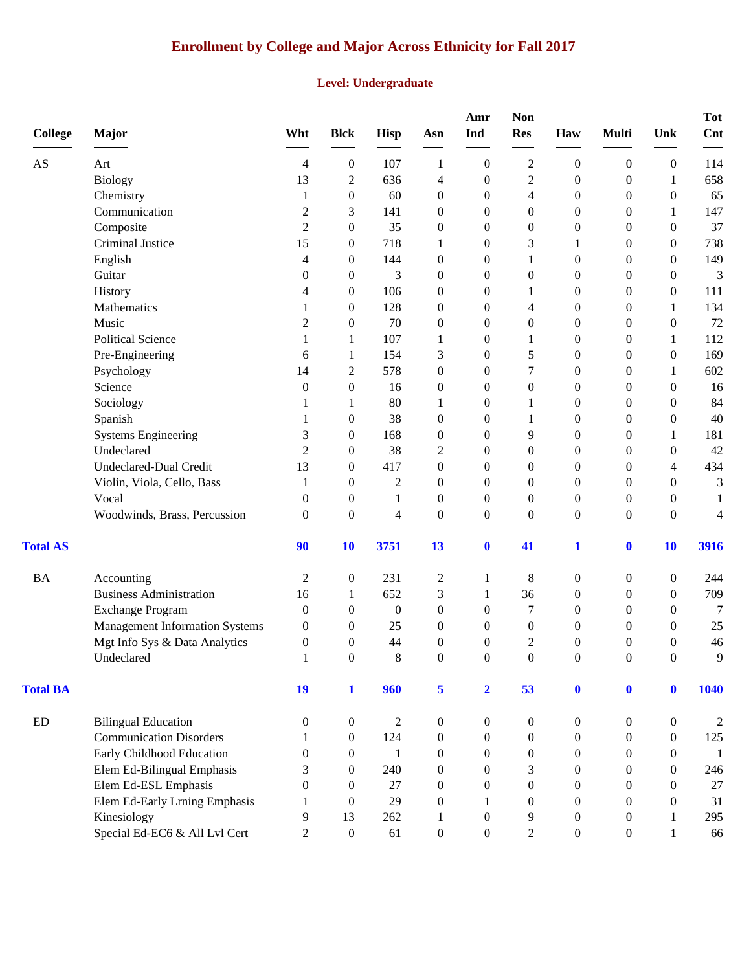# **Enrollment by College and Major Across Ethnicity for Fall 2017**

#### **Level: Undergraduate**

| <b>College</b>         | <b>Major</b>                          | Wht              | <b>Blck</b>      | <b>Hisp</b>      | Asn              | Amr<br>Ind              | <b>Non</b><br><b>Res</b> | Haw              | <b>Multi</b>     | Unk              | <b>Tot</b><br>Cnt |
|------------------------|---------------------------------------|------------------|------------------|------------------|------------------|-------------------------|--------------------------|------------------|------------------|------------------|-------------------|
| $\mathbf{A}\mathbf{S}$ | Art                                   | 4                | $\boldsymbol{0}$ | 107              | 1                | $\overline{0}$          | $\overline{c}$           | $\boldsymbol{0}$ | $\boldsymbol{0}$ | $\boldsymbol{0}$ | 114               |
|                        | <b>Biology</b>                        | 13               | $\overline{c}$   | 636              | 4                | $\boldsymbol{0}$        | $\overline{c}$           | $\boldsymbol{0}$ | $\boldsymbol{0}$ | 1                | 658               |
|                        | Chemistry                             | 1                | $\boldsymbol{0}$ | 60               | $\boldsymbol{0}$ | $\boldsymbol{0}$        | 4                        | $\mathbf{0}$     | $\boldsymbol{0}$ | $\boldsymbol{0}$ | 65                |
|                        | Communication                         | $\overline{c}$   | 3                | 141              | $\boldsymbol{0}$ | $\boldsymbol{0}$        | 0                        | $\boldsymbol{0}$ | $\boldsymbol{0}$ | 1                | 147               |
|                        | Composite                             | $\overline{c}$   | $\boldsymbol{0}$ | 35               | $\boldsymbol{0}$ | $\theta$                | 0                        | $\mathbf{0}$     | $\boldsymbol{0}$ | $\overline{0}$   | 37                |
|                        | Criminal Justice                      | 15               | $\boldsymbol{0}$ | 718              | 1                | $\boldsymbol{0}$        | 3                        |                  | $\boldsymbol{0}$ | $\overline{0}$   | 738               |
|                        | English                               | 4                | $\boldsymbol{0}$ | 144              | $\boldsymbol{0}$ | $\boldsymbol{0}$        | 1                        | $\mathbf{0}$     | $\boldsymbol{0}$ | $\theta$         | 149               |
|                        | Guitar                                | 0                | $\boldsymbol{0}$ | 3                | $\boldsymbol{0}$ | $\overline{0}$          | 0                        | $\mathbf{0}$     | $\mathbf{0}$     | $\overline{0}$   | 3                 |
|                        | History                               | 4                | $\boldsymbol{0}$ | 106              | $\boldsymbol{0}$ | $\boldsymbol{0}$        |                          | $\boldsymbol{0}$ | $\mathbf{0}$     | $\boldsymbol{0}$ | 111               |
|                        | Mathematics                           | 1                | $\boldsymbol{0}$ | 128              | $\boldsymbol{0}$ | $\boldsymbol{0}$        | 4                        | $\boldsymbol{0}$ | $\boldsymbol{0}$ | 1                | 134               |
|                        | Music                                 | 2                | $\boldsymbol{0}$ | 70               | $\boldsymbol{0}$ | $\theta$                | 0                        | $\theta$         | $\boldsymbol{0}$ | $\theta$         | 72                |
|                        | <b>Political Science</b>              | 1                | 1                | 107              | 1                | $\theta$                | 1                        | $\mathbf{0}$     | $\boldsymbol{0}$ | 1                | 112               |
|                        | Pre-Engineering                       | 6                | 1                | 154              | 3                | $\theta$                | 5                        | $\boldsymbol{0}$ | $\boldsymbol{0}$ | $\mathbf{0}$     | 169               |
|                        | Psychology                            | 14               | $\overline{c}$   | 578              | $\boldsymbol{0}$ | $\overline{0}$          | 7                        | $\mathbf{0}$     | $\mathbf{0}$     | 1                | 602               |
|                        | Science                               | $\boldsymbol{0}$ | $\boldsymbol{0}$ | 16               | $\boldsymbol{0}$ | $\boldsymbol{0}$        | $\boldsymbol{0}$         | $\boldsymbol{0}$ | $\mathbf{0}$     | $\boldsymbol{0}$ | 16                |
|                        | Sociology                             | 1                | 1                | 80               | 1                | $\boldsymbol{0}$        | 1                        | $\boldsymbol{0}$ | $\boldsymbol{0}$ | $\boldsymbol{0}$ | 84                |
|                        | Spanish                               | 1                | $\boldsymbol{0}$ | 38               | $\boldsymbol{0}$ | $\theta$                | 1                        | $\mathbf{0}$     | $\boldsymbol{0}$ | $\theta$         | 40                |
|                        | <b>Systems Engineering</b>            | 3                | $\boldsymbol{0}$ | 168              | $\boldsymbol{0}$ | $\boldsymbol{0}$        | 9                        | $\boldsymbol{0}$ | $\boldsymbol{0}$ | 1                | 181               |
|                        | Undeclared                            | $\overline{2}$   | $\boldsymbol{0}$ | 38               | $\overline{c}$   | $\theta$                | 0                        | $\mathbf{0}$     | $\boldsymbol{0}$ | $\theta$         | 42                |
|                        | <b>Undeclared-Dual Credit</b>         | 13               | $\boldsymbol{0}$ | 417              | $\boldsymbol{0}$ | $\overline{0}$          | 0                        | $\mathbf{0}$     | $\mathbf{0}$     | 4                | 434               |
|                        | Violin, Viola, Cello, Bass            | 1                | $\boldsymbol{0}$ | $\overline{c}$   | $\boldsymbol{0}$ | $\boldsymbol{0}$        | 0                        | $\boldsymbol{0}$ | $\boldsymbol{0}$ | $\theta$         | 3                 |
|                        | Vocal                                 | $\theta$         | $\boldsymbol{0}$ | 1                | $\boldsymbol{0}$ | $\boldsymbol{0}$        | $\boldsymbol{0}$         | $\boldsymbol{0}$ | $\boldsymbol{0}$ | $\boldsymbol{0}$ | 1                 |
|                        | Woodwinds, Brass, Percussion          | $\theta$         | $\mathbf{0}$     | $\overline{4}$   | $\boldsymbol{0}$ | $\theta$                | $\overline{0}$           | $\mathbf{0}$     | $\overline{0}$   | $\Omega$         | 4                 |
| <b>Total AS</b>        |                                       | 90               | 10               | 3751             | 13               | $\bf{0}$                | 41                       | 1                | $\boldsymbol{0}$ | 10               | 3916              |
| <b>BA</b>              | Accounting                            | $\overline{c}$   | $\boldsymbol{0}$ | 231              | $\overline{c}$   | 1                       | 8                        | $\boldsymbol{0}$ | $\boldsymbol{0}$ | $\boldsymbol{0}$ | 244               |
|                        | <b>Business Administration</b>        | 16               | 1                | 652              | 3                | $\mathbf{1}$            | 36                       | $\boldsymbol{0}$ | $\boldsymbol{0}$ | $\boldsymbol{0}$ | 709               |
|                        | <b>Exchange Program</b>               | $\mathbf{0}$     | $\boldsymbol{0}$ | $\boldsymbol{0}$ | $\boldsymbol{0}$ | $\theta$                | 7                        | $\theta$         | $\mathbf{0}$     | $\theta$         | 7                 |
|                        | <b>Management Information Systems</b> | 0                | 0                | 25               | $\boldsymbol{0}$ | $\boldsymbol{0}$        | 0                        | $\theta$         | $\theta$         | $\overline{0}$   | 25                |
|                        | Mgt Info Sys & Data Analytics         | $\boldsymbol{0}$ | $\boldsymbol{0}$ | 44               | $\boldsymbol{0}$ | $\boldsymbol{0}$        | $\overline{c}$           | $\mathbf{0}$     | $\boldsymbol{0}$ | $\theta$         | 46                |
|                        | Undeclared                            | $\mathbf{1}$     | $\boldsymbol{0}$ | 8                | $\Omega$         | $\boldsymbol{0}$        | $\boldsymbol{0}$         | $\boldsymbol{0}$ | $\Omega$         | $\boldsymbol{0}$ | 9                 |
| <b>Total BA</b>        |                                       | 19               | $\mathbf{1}$     | 960              | 5                | $\overline{\mathbf{2}}$ | 53                       | $\mathbf{0}$     | $\mathbf{0}$     | $\mathbf{0}$     | 1040              |
| ED                     | <b>Bilingual Education</b>            | $\mathbf{0}$     | $\boldsymbol{0}$ | $\overline{2}$   | $\boldsymbol{0}$ | $\boldsymbol{0}$        | 0                        | $\boldsymbol{0}$ | $\boldsymbol{0}$ | $\boldsymbol{0}$ | $\overline{c}$    |
|                        | <b>Communication Disorders</b>        | 1                | $\boldsymbol{0}$ | 124              | $\boldsymbol{0}$ | $\overline{0}$          | 0                        | $\boldsymbol{0}$ | $\overline{0}$   | $\theta$         | 125               |
|                        | Early Childhood Education             | $\overline{0}$   | $\boldsymbol{0}$ | 1                | $\boldsymbol{0}$ | $\overline{0}$          | 0                        | $\boldsymbol{0}$ | $\overline{0}$   | $\theta$         | -1                |
|                        | Elem Ed-Bilingual Emphasis            | 3                | $\boldsymbol{0}$ | 240              | $\boldsymbol{0}$ | $\overline{0}$          | 3                        | $\boldsymbol{0}$ | $\boldsymbol{0}$ | $\theta$         | 246               |
|                        | Elem Ed-ESL Emphasis                  | $\overline{0}$   | $\boldsymbol{0}$ | 27               | $\boldsymbol{0}$ | $\overline{0}$          | $\boldsymbol{0}$         | $\boldsymbol{0}$ | $\mathbf{0}$     | $\theta$         | 27                |
|                        | Elem Ed-Early Lrning Emphasis         | 1                | $\theta$         | 29               | $\boldsymbol{0}$ | 1                       | $\theta$                 | $\overline{0}$   | $\theta$         | $\Omega$         | 31                |
|                        | Kinesiology                           | 9                | 13               | 262              | $\mathbf{1}$     | $\overline{0}$          | 9                        | $\boldsymbol{0}$ | $\boldsymbol{0}$ | 1                | 295               |
|                        | Special Ed-EC6 & All Lvl Cert         | $\overline{2}$   | $\boldsymbol{0}$ | 61               | $\boldsymbol{0}$ | $\boldsymbol{0}$        | $\overline{2}$           | $\boldsymbol{0}$ | $\boldsymbol{0}$ | 1                | 66                |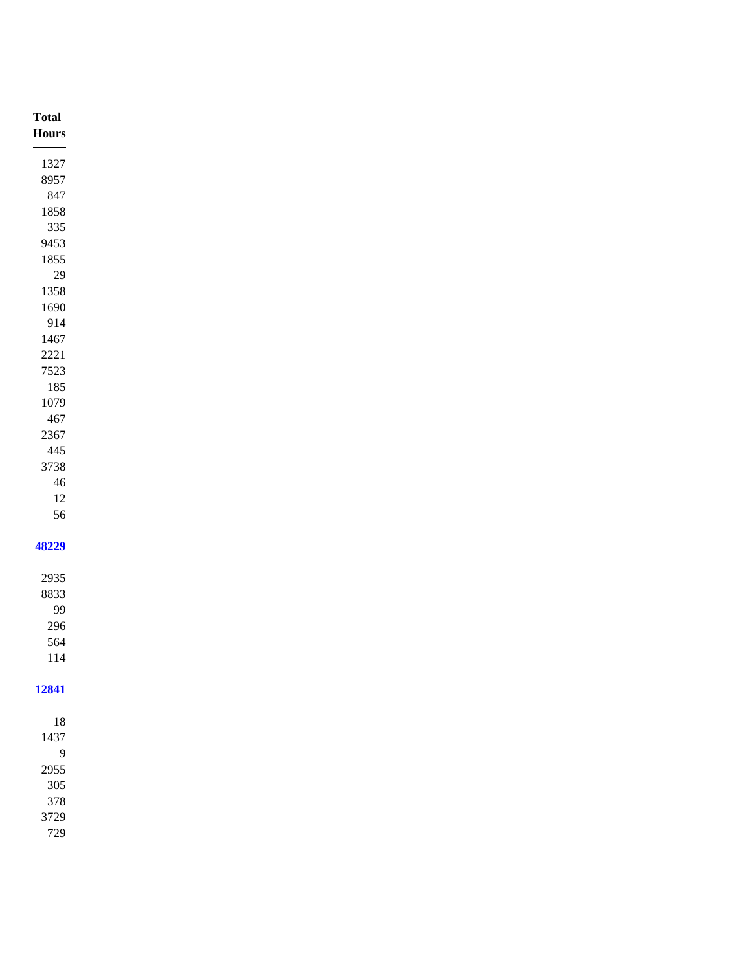| <b>Total</b>   |
|----------------|
| $\bold{Hours}$ |
|                |
| 1327           |
| 8957           |
| 847            |
| 1858           |
| $335\,$        |
| 9453           |
| 1855           |
| $29\,$         |
| 1358           |
| 1690           |
| 914            |
| 1467           |
| 2221           |
| 7523           |
| 185            |
| 1079           |
| 467            |
| 2367           |
| 445            |
| 3738           |
| $\sqrt{46}$    |
| $12\,$         |
| 56             |
|                |
| 48229          |
|                |
| 2935           |
| 8833           |
| 99             |
| 296            |
| 564            |
| $114\,$        |
|                |
| 12841          |
|                |
|                |
| 18             |
| 1437           |
| $\overline{9}$ |
| 2955           |
| $305\,$        |
| 378            |
| 3729           |
| 729            |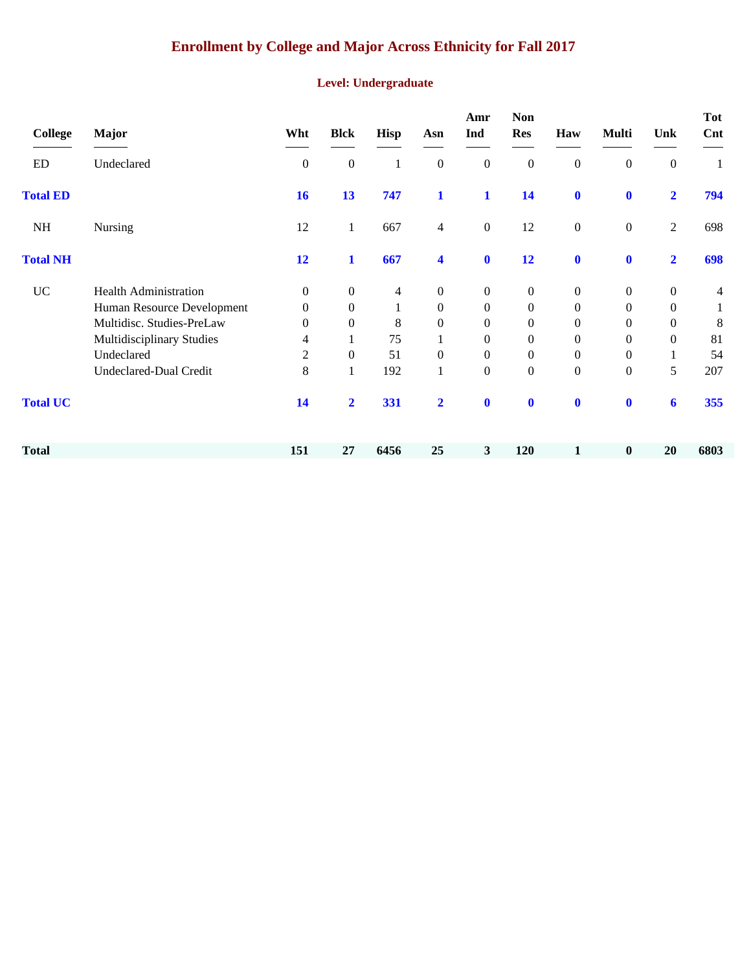# **Enrollment by College and Major Across Ethnicity for Fall 2017**

#### **Level: Undergraduate**

| <b>College</b>  | <b>Major</b>                  | Wht              | <b>Blck</b>      | <b>Hisp</b>  | Asn                     | Amr<br>Ind       | <b>Non</b><br><b>Res</b> | Haw              | <b>Multi</b>     | Unk              | <b>Tot</b><br>Cnt |
|-----------------|-------------------------------|------------------|------------------|--------------|-------------------------|------------------|--------------------------|------------------|------------------|------------------|-------------------|
| ED              | Undeclared                    | $\boldsymbol{0}$ | $\boldsymbol{0}$ | 1            | $\boldsymbol{0}$        | $\boldsymbol{0}$ | $\boldsymbol{0}$         | $\boldsymbol{0}$ | $\boldsymbol{0}$ | $\boldsymbol{0}$ |                   |
| <b>Total ED</b> |                               | 16               | 13               | 747          | $\mathbf{1}$            | $\mathbf{1}$     | 14                       | $\mathbf 0$      | $\mathbf{0}$     | $\mathbf{2}$     | 794               |
| NH              | <b>Nursing</b>                | 12               | $\mathbf{1}$     | 667          | $\overline{4}$          | $\boldsymbol{0}$ | 12                       | $\boldsymbol{0}$ | $\boldsymbol{0}$ | $\overline{2}$   | 698               |
| <b>Total NH</b> |                               | 12               | 1                | 667          | $\overline{\mathbf{4}}$ | $\mathbf 0$      | 12                       | $\mathbf 0$      | $\mathbf{0}$     | $\overline{2}$   | 698               |
| <b>UC</b>       | <b>Health Administration</b>  | $\boldsymbol{0}$ | $\overline{0}$   | 4            | $\boldsymbol{0}$        | $\boldsymbol{0}$ | $\overline{0}$           | $\mathbf{0}$     | $\boldsymbol{0}$ | $\theta$         | 4                 |
|                 | Human Resource Development    | $\boldsymbol{0}$ | $\overline{0}$   | $\mathbf{1}$ | $\boldsymbol{0}$        | $\mathbf{0}$     | $\mathbf{0}$             | $\mathbf{0}$     | $\boldsymbol{0}$ | $\Omega$         |                   |
|                 | Multidisc. Studies-PreLaw     | $\theta$         | $\theta$         | 8            | $\boldsymbol{0}$        | $\mathbf{0}$     | $\theta$                 | 0                | $\overline{0}$   | $\theta$         | 8                 |
|                 | Multidisciplinary Studies     | 4                |                  | 75           |                         | $\mathbf{0}$     | $\theta$                 | $\overline{0}$   | $\boldsymbol{0}$ | $\Omega$         | 81                |
|                 | Undeclared                    | 2                | $\theta$         | 51           | $\boldsymbol{0}$        | $\boldsymbol{0}$ | $\theta$                 | 0                | $\mathbf{0}$     | 1                | 54                |
|                 | <b>Undeclared-Dual Credit</b> | $8\,$            | 1                | 192          | $\mathbf{1}$            | $\boldsymbol{0}$ | $\mathbf{0}$             | $\mathbf{0}$     | $\boldsymbol{0}$ | 5                | 207               |
| <b>Total UC</b> |                               | 14               | $\overline{2}$   | 331          | $\overline{2}$          | $\mathbf{0}$     | $\bf{0}$                 | $\mathbf 0$      | $\mathbf{0}$     | 6                | 355               |
| <b>Total</b>    |                               | 151              | 27               | 6456         | 25                      | 3                | 120                      |                  | $\bf{0}$         | 20               | 6803              |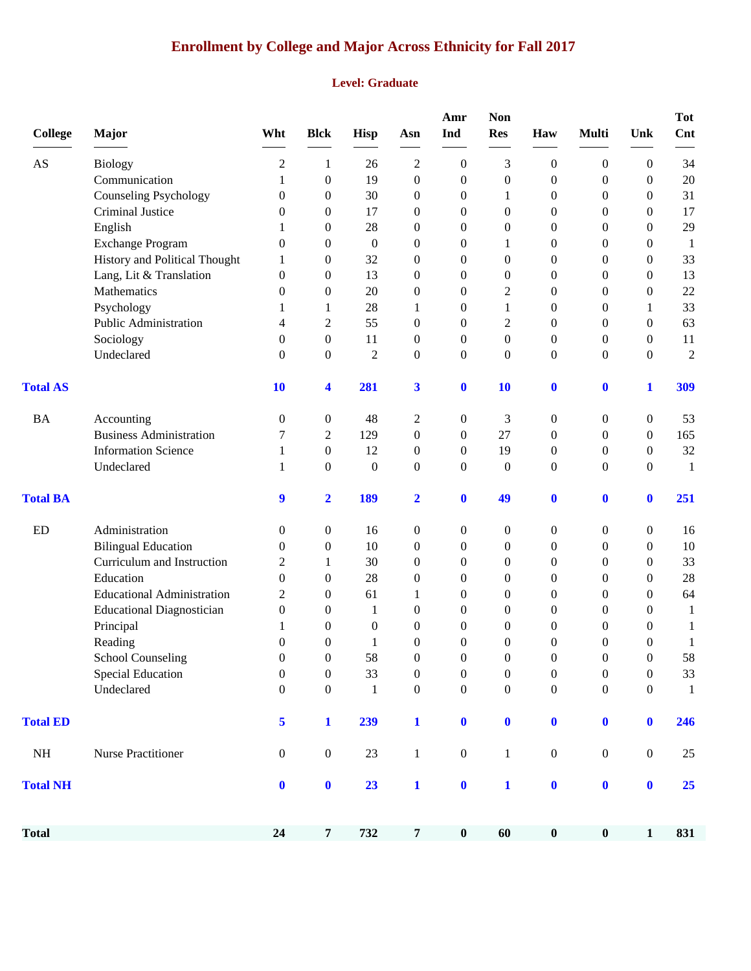# **Enrollment by College and Major Across Ethnicity for Fall 2017**

#### **Level: Graduate**

| <b>College</b>  | <b>Major</b>                      | Wht                     | <b>Blck</b>      | Hisp             | Asn                     | Amr<br>Ind       | Non<br><b>Res</b> | Haw              | <b>Multi</b>     | Unk              | Tot<br>Cnt     |
|-----------------|-----------------------------------|-------------------------|------------------|------------------|-------------------------|------------------|-------------------|------------------|------------------|------------------|----------------|
| AS              | <b>Biology</b>                    | 2                       | 1                | 26               | $\overline{c}$          | $\boldsymbol{0}$ | 3                 | $\boldsymbol{0}$ | $\boldsymbol{0}$ | $\boldsymbol{0}$ | 34             |
|                 | Communication                     | 1                       | $\overline{0}$   | 19               | $\boldsymbol{0}$        | $\boldsymbol{0}$ | $\boldsymbol{0}$  | $\boldsymbol{0}$ | $\boldsymbol{0}$ | $\mathbf{0}$     | $20\,$         |
|                 | <b>Counseling Psychology</b>      | $\boldsymbol{0}$        | $\overline{0}$   | 30               | $\overline{0}$          | $\boldsymbol{0}$ | 1                 | $\boldsymbol{0}$ | $\boldsymbol{0}$ | $\boldsymbol{0}$ | 31             |
|                 | Criminal Justice                  | $\mathbf{0}$            | 0                | 17               | $\theta$                | $\boldsymbol{0}$ | $\boldsymbol{0}$  | $\boldsymbol{0}$ | $\boldsymbol{0}$ | 0                | 17             |
|                 | ${\bf English}$                   | 1                       | 0                | 28               | $\boldsymbol{0}$        | 0                | $\overline{0}$    | $\boldsymbol{0}$ | $\boldsymbol{0}$ | $\theta$         | 29             |
|                 | <b>Exchange Program</b>           | $\mathbf{0}$            | 0                | $\boldsymbol{0}$ | $\theta$                | $\bf{0}$         | 1                 | $\mathbf{0}$     | $\theta$         | 0                | -1             |
|                 | History and Political Thought     | 1                       | $\overline{0}$   | 32               | $\mathbf{0}$            | $\boldsymbol{0}$ | $\overline{0}$    | $\boldsymbol{0}$ | $\theta$         | $\overline{0}$   | 33             |
|                 | Lang, Lit & Translation           | $\mathbf{0}$            | 0                | 13               | $\mathbf{0}$            | 0                | $\boldsymbol{0}$  | $\boldsymbol{0}$ | $\boldsymbol{0}$ | $\overline{0}$   | 13             |
|                 | Mathematics                       | 0                       | 0                | 20               | $\overline{0}$          | 0                | $\overline{2}$    | $\boldsymbol{0}$ | $\theta$         | $\boldsymbol{0}$ | 22             |
|                 | Psychology                        | 1                       | 1                | 28               | 1                       | $\boldsymbol{0}$ | 1                 | $\boldsymbol{0}$ | $\boldsymbol{0}$ | 1                | 33             |
|                 | Public Administration             | 4                       | 2                | 55               | $\boldsymbol{0}$        | 0                | $\overline{c}$    | $\boldsymbol{0}$ | $\boldsymbol{0}$ | $\boldsymbol{0}$ | 63             |
|                 | Sociology                         | $\mathbf{0}$            | $\boldsymbol{0}$ | 11               | $\mathbf{0}$            | $\boldsymbol{0}$ | $\overline{0}$    | $\boldsymbol{0}$ | $\theta$         | $\theta$         | 11             |
|                 | Undeclared                        | $\overline{0}$          | $\overline{0}$   | $\mathbf{2}$     | $\mathbf{0}$            | $\boldsymbol{0}$ | $\overline{0}$    | $\boldsymbol{0}$ | $\boldsymbol{0}$ | $\overline{0}$   | $\overline{2}$ |
| <b>Total AS</b> |                                   | 10                      | 4                | 281              | $\overline{\mathbf{3}}$ | $\boldsymbol{0}$ | 10                | $\boldsymbol{0}$ | $\boldsymbol{0}$ | $\mathbf{1}$     | 309            |
| <b>BA</b>       | Accounting                        | $\boldsymbol{0}$        | $\boldsymbol{0}$ | 48               | $\overline{c}$          | $\boldsymbol{0}$ | 3                 | 0                | $\boldsymbol{0}$ | $\boldsymbol{0}$ | 53             |
|                 | <b>Business Administration</b>    | 7                       | 2                | 129              | $\boldsymbol{0}$        | $\mathbf{0}$     | 27                | $\mathbf{0}$     | $\mathbf{0}$     | $\theta$         | 165            |
|                 | <b>Information Science</b>        | 1                       | 0                | 12               | $\mathbf{0}$            | $\boldsymbol{0}$ | 19                | $\boldsymbol{0}$ | $\boldsymbol{0}$ | $\theta$         | 32             |
|                 | Undeclared                        | 1                       | $\overline{0}$   | $\boldsymbol{0}$ | $\boldsymbol{0}$        | $\boldsymbol{0}$ | $\mathbf{0}$      | $\mathbf{0}$     | $\mathbf{0}$     | $\theta$         | $\mathbf{1}$   |
| <b>Total BA</b> |                                   | 9                       | $\overline{2}$   | 189              | $\overline{2}$          | $\boldsymbol{0}$ | 49                | $\bf{0}$         | $\mathbf 0$      | $\bf{0}$         | 251            |
| <b>ED</b>       | Administration                    | $\theta$                | $\mathbf{0}$     | 16               | $\boldsymbol{0}$        | $\boldsymbol{0}$ | $\boldsymbol{0}$  | $\boldsymbol{0}$ | $\boldsymbol{0}$ | 0                | 16             |
|                 | <b>Bilingual Education</b>        | $\mathbf{0}$            | $\boldsymbol{0}$ | 10               | $\theta$                | $\boldsymbol{0}$ | $\mathbf{0}$      | $\boldsymbol{0}$ | $\boldsymbol{0}$ | $\overline{0}$   | 10             |
|                 | Curriculum and Instruction        | 2                       | 1                | 30               | $\mathbf{0}$            | $\boldsymbol{0}$ | $\theta$          | $\boldsymbol{0}$ | $\boldsymbol{0}$ | $\overline{0}$   | 33             |
|                 | Education                         | $\theta$                | $\overline{0}$   | 28               | $\boldsymbol{0}$        | $\boldsymbol{0}$ | $\theta$          | $\boldsymbol{0}$ | $\boldsymbol{0}$ | $\overline{0}$   | $28\,$         |
|                 | <b>Educational Administration</b> | 2                       | 0                | 61               | 1                       | $\boldsymbol{0}$ | $\overline{0}$    | $\boldsymbol{0}$ | $\boldsymbol{0}$ | $\overline{0}$   | 64             |
|                 | <b>Educational Diagnostician</b>  | $\boldsymbol{0}$        | 0                | 1                | $\boldsymbol{0}$        | 0                | $\theta$          | 0                | $\boldsymbol{0}$ | $\overline{0}$   | $\mathbf{1}$   |
|                 | Principal                         |                         | $\Omega$         | $\overline{0}$   | $\overline{0}$          | 0                | $\theta$          | 0                | $\theta$         | $\Omega$         | 1              |
|                 | Reading                           | 0                       | $\overline{0}$   | 1                | $\overline{0}$          | 0                | $\overline{0}$    | 0                | $\theta$         | 0                | 1              |
|                 | <b>School Counseling</b>          | $\boldsymbol{0}$        | $\boldsymbol{0}$ | 58               | $\boldsymbol{0}$        | $\boldsymbol{0}$ | $\boldsymbol{0}$  | $\boldsymbol{0}$ | $\Omega$         | $\boldsymbol{0}$ | 58             |
|                 | <b>Special Education</b>          | $\boldsymbol{0}$        | $\boldsymbol{0}$ | 33               | $\boldsymbol{0}$        | $\boldsymbol{0}$ | $\boldsymbol{0}$  | $\boldsymbol{0}$ | $\boldsymbol{0}$ | $\boldsymbol{0}$ | 33             |
|                 | Undeclared                        | $\boldsymbol{0}$        | $\boldsymbol{0}$ | $\mathbf{1}$     | $\boldsymbol{0}$        | $\boldsymbol{0}$ | $\boldsymbol{0}$  | $\boldsymbol{0}$ | $\boldsymbol{0}$ | $\boldsymbol{0}$ | $\mathbf{1}$   |
| <b>Total ED</b> |                                   | $\overline{\mathbf{5}}$ | $\mathbf{1}$     | 239              | $\mathbf{1}$            | $\boldsymbol{0}$ | $\mathbf 0$       | $\bf{0}$         | $\mathbf 0$      | $\bf{0}$         | 246            |
| <b>NH</b>       | <b>Nurse Practitioner</b>         | $\boldsymbol{0}$        | $\boldsymbol{0}$ | $23\,$           | $\mathbf 1$             | $\boldsymbol{0}$ | $\mathbf{1}$      | $\boldsymbol{0}$ | $\boldsymbol{0}$ | $\boldsymbol{0}$ | 25             |
| <b>Total NH</b> |                                   | $\mathbf 0$             | $\mathbf 0$      | 23               | $\mathbf{1}$            | $\mathbf 0$      | $\mathbf{1}$      | $\mathbf 0$      | $\mathbf 0$      | $\mathbf{0}$     | 25             |
| <b>Total</b>    |                                   | 24                      | $\boldsymbol{7}$ | 732              | $\overline{7}$          | $\boldsymbol{0}$ | 60                | $\pmb{0}$        | $\pmb{0}$        | $\mathbf{1}$     | 831            |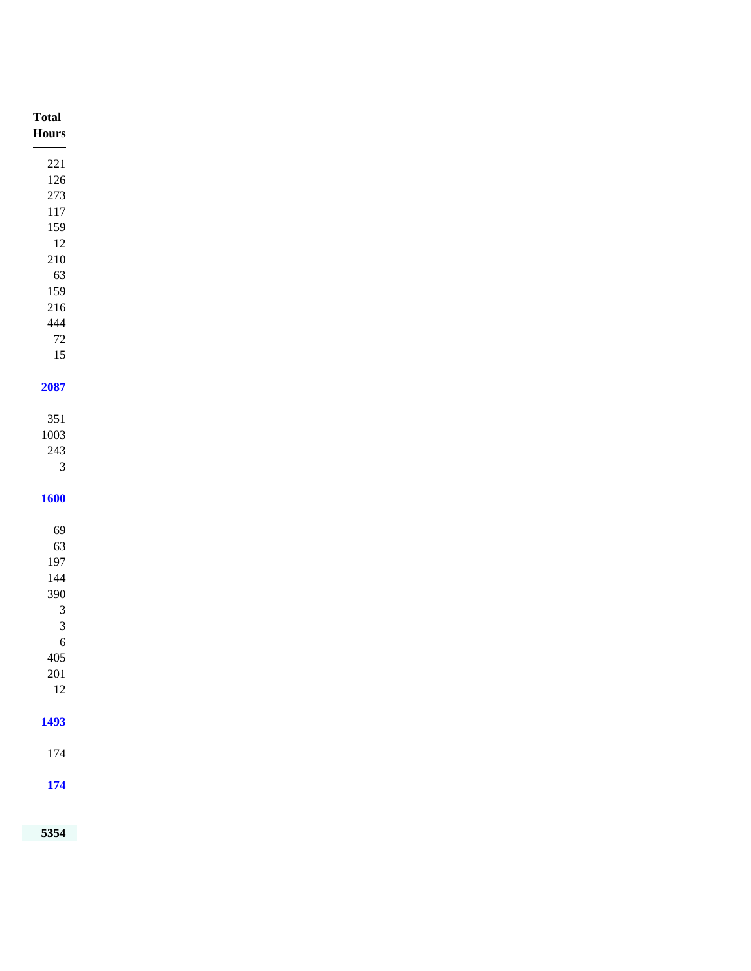| <b>Total</b><br>$\bold{Flours}$ |
|---------------------------------|
| $\frac{1}{1}$                   |
| $221\,$                         |
| 126<br>$273\,$                  |
| $117\,$                         |
| 159                             |
| 12                              |
| $210\,$                         |
| 63                              |
| 159                             |
| $216\,$                         |
| 444                             |
| $72\,$                          |
| $15\,$                          |
| 2087                            |
|                                 |
| 351                             |
| 1003                            |
| $243\,$                         |
| $\mathfrak{Z}$                  |
| <b>1600</b>                     |
|                                 |
| 69                              |
| 63                              |
| 197                             |
| 144                             |
| 390                             |
| $\mathfrak{Z}$                  |
| $\mathfrak{Z}$                  |
| $6\phantom{.0}$<br>$405\,$      |
| $201\,$                         |
| $12\,$                          |
|                                 |
| 1493                            |
|                                 |
| 174                             |
| <b>174</b>                      |
|                                 |
|                                 |
| 5354                            |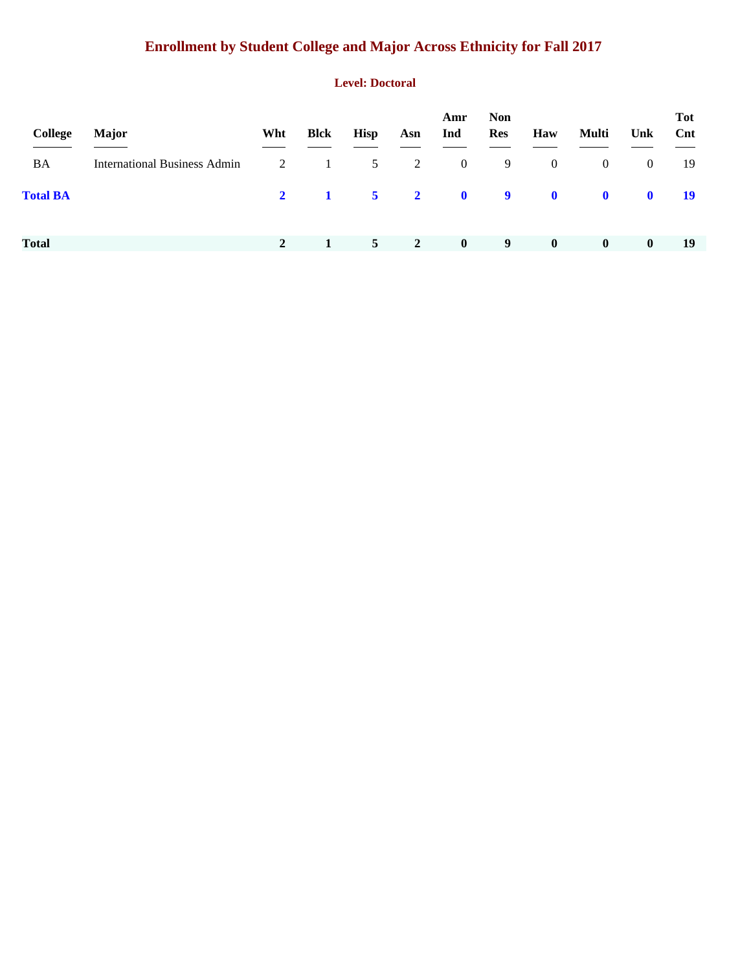# **Enrollment by Student College and Major Across Ethnicity for Fall 2017**

#### **Level: Doctoral**

| College         | <b>Major</b>                        | Wht          | <b>Blck</b>                          | <b>Hisp</b>                | Asn          | Amr<br>Ind     | <b>Non</b><br>Res | Haw            | Multi        | Unk            | <b>Tot</b><br>$\mathbf{Cnt}$ |
|-----------------|-------------------------------------|--------------|--------------------------------------|----------------------------|--------------|----------------|-------------------|----------------|--------------|----------------|------------------------------|
| BA              | <b>International Business Admin</b> | 2            | $\begin{array}{ccc} & 1 \end{array}$ | 5                          | 2            | $\overline{0}$ | -9                | $\overline{0}$ | $\bf{0}$     | $\overline{0}$ | -19                          |
| <b>Total BA</b> |                                     | $2^{\circ}$  | $\blacksquare$                       | $\overline{\phantom{0}}$ 5 |              | $2 \t 0 \t 9$  |                   | $\mathbf{0}$   | $\mathbf{0}$ | $\mathbf 0$    | - 19                         |
|                 |                                     |              |                                      |                            |              |                |                   |                |              |                |                              |
| <b>Total</b>    |                                     | $\mathbf{2}$ |                                      | 5 <sup>5</sup>             | <sup>2</sup> | $\mathbf{0}$   | 9                 | $\bf{0}$       | $\bf{0}$     | $\bf{0}$       | 19                           |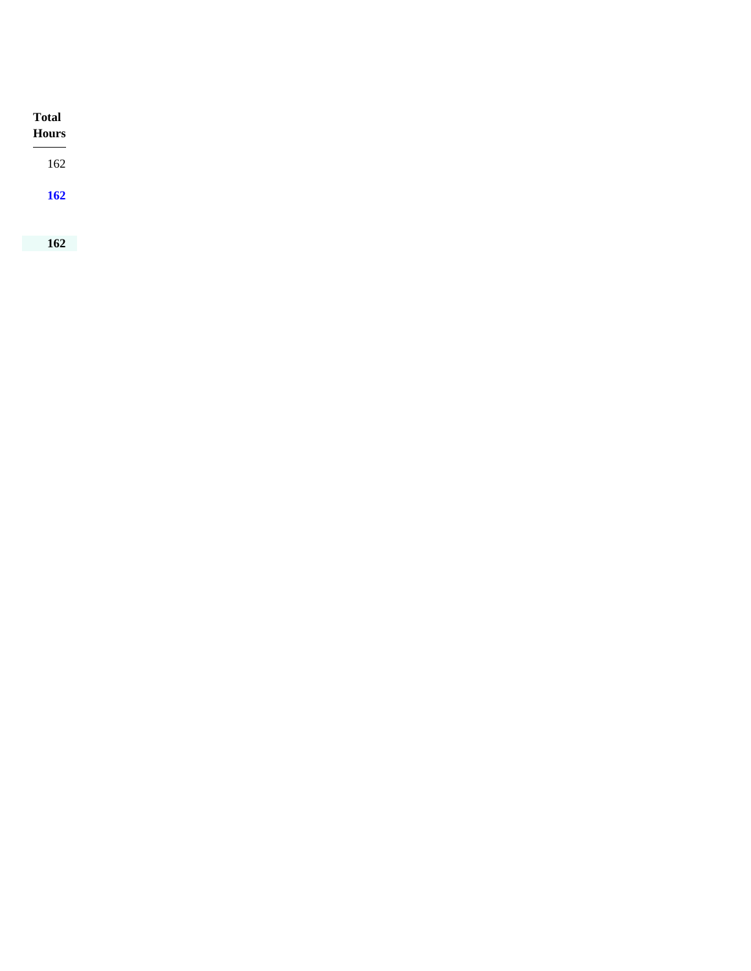| <b>Total</b><br><b>Hours</b> |  |  |  |
|------------------------------|--|--|--|
| 162                          |  |  |  |
| 162                          |  |  |  |
|                              |  |  |  |
| 162                          |  |  |  |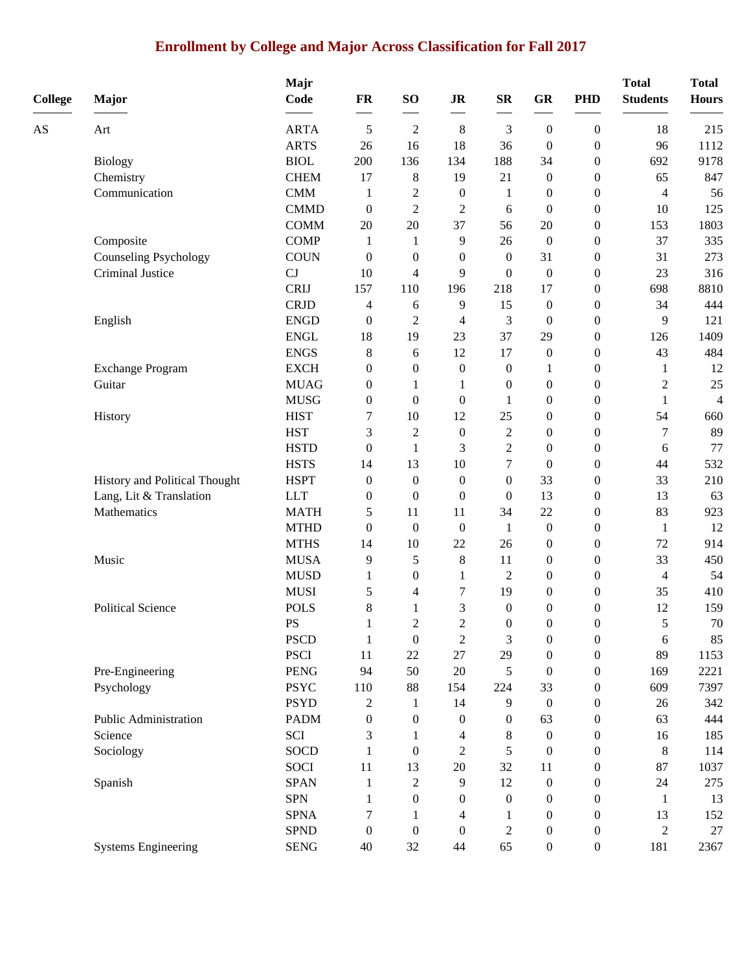# **Enrollment by College and Major Across Classification for Fall 2017**

| <b>College</b> | Major                         | Majr<br>Code               | FR                     | SO <sub>1</sub>  | <b>JR</b>        | ${\bf SR}$              | <b>GR</b>              | <b>PHD</b>                         | <b>Total</b><br><b>Students</b> | <b>Total</b><br><b>Hours</b> |
|----------------|-------------------------------|----------------------------|------------------------|------------------|------------------|-------------------------|------------------------|------------------------------------|---------------------------------|------------------------------|
|                |                               |                            |                        |                  |                  |                         |                        |                                    |                                 |                              |
| AS             | Art                           | <b>ARTA</b>                | 5                      | $\overline{c}$   | $\,8\,$          | 3                       | $\boldsymbol{0}$       | $\boldsymbol{0}$                   | 18                              | 215                          |
|                |                               | <b>ARTS</b>                | 26                     | 16               | 18               | 36                      | $\boldsymbol{0}$       | $\boldsymbol{0}$                   | 96                              | 1112                         |
|                | <b>Biology</b>                | <b>BIOL</b>                | 200                    | 136              | 134              | 188                     | 34                     | $\boldsymbol{0}$                   | 692                             | 9178                         |
|                | Chemistry                     | <b>CHEM</b>                | 17                     | 8                | 19               | 21                      | $\boldsymbol{0}$       | $\boldsymbol{0}$                   | 65                              | 847                          |
|                | Communication                 | CMM                        | $\mathbf{1}$           | $\overline{c}$   | $\boldsymbol{0}$ | 1                       | $\boldsymbol{0}$       | $\boldsymbol{0}$                   | $\overline{4}$                  | 56                           |
|                |                               | <b>CMMD</b>                | $\boldsymbol{0}$       | $\overline{2}$   | $\overline{c}$   | 6                       | $\boldsymbol{0}$       | $\boldsymbol{0}$                   | 10                              | 125                          |
|                |                               | <b>COMM</b>                | $20\,$                 | 20               | 37               | 56                      | 20                     | $\boldsymbol{0}$                   | 153                             | 1803                         |
|                | Composite                     | <b>COMP</b>                | $\mathbf{1}$           | 1                | 9                | 26                      | $\boldsymbol{0}$       | $\boldsymbol{0}$                   | 37                              | 335                          |
|                | <b>Counseling Psychology</b>  | <b>COUN</b>                | $\boldsymbol{0}$       | $\boldsymbol{0}$ | $\boldsymbol{0}$ | $\mathbf{0}$            | 31                     | $\boldsymbol{0}$                   | 31                              | 273                          |
|                | Criminal Justice              | CJ                         | 10                     | 4                | 9                | $\boldsymbol{0}$<br>218 | $\boldsymbol{0}$       | $\boldsymbol{0}$                   | 23                              | 316                          |
|                |                               | <b>CRIJ</b><br><b>CRJD</b> | 157                    | 110              | 196              | 15                      | 17                     | $\boldsymbol{0}$                   | 698<br>34                       | 8810<br>444                  |
|                |                               | <b>ENGD</b>                | 4                      | 6                | 9                |                         | $\boldsymbol{0}$       | $\boldsymbol{0}$                   | 9                               | 121                          |
|                | English                       | <b>ENGL</b>                | $\boldsymbol{0}$<br>18 | 2<br>19          | 4<br>23          | 3<br>37                 | $\boldsymbol{0}$<br>29 | $\boldsymbol{0}$<br>$\overline{0}$ | 126                             | 1409                         |
|                |                               | <b>ENGS</b>                | 8                      | 6                | 12               | 17                      | $\boldsymbol{0}$       | $\boldsymbol{0}$                   | 43                              | 484                          |
|                | <b>Exchange Program</b>       | <b>EXCH</b>                | $\boldsymbol{0}$       | $\boldsymbol{0}$ | $\boldsymbol{0}$ | $\boldsymbol{0}$        | $\mathbf{1}$           | $\boldsymbol{0}$                   | $\mathbf{1}$                    | 12                           |
|                | Guitar                        | <b>MUAG</b>                | 0                      | 1                | $\mathbf{1}$     | $\boldsymbol{0}$        | $\boldsymbol{0}$       | $\boldsymbol{0}$                   | $\overline{c}$                  | 25                           |
|                |                               | <b>MUSG</b>                | $\boldsymbol{0}$       | $\overline{0}$   | $\boldsymbol{0}$ | 1                       | $\boldsymbol{0}$       | $\boldsymbol{0}$                   | $\mathbf{1}$                    | 4                            |
|                | History                       | <b>HIST</b>                | 7                      | 10               | 12               | 25                      | $\boldsymbol{0}$       | $\boldsymbol{0}$                   | 54                              | 660                          |
|                |                               | <b>HST</b>                 | 3                      | $\overline{c}$   | $\boldsymbol{0}$ | $\overline{2}$          | $\boldsymbol{0}$       | $\boldsymbol{0}$                   | 7                               | 89                           |
|                |                               | <b>HSTD</b>                | $\boldsymbol{0}$       | $\mathbf{1}$     | 3                | $\overline{2}$          | $\boldsymbol{0}$       | $\boldsymbol{0}$                   | 6                               | 77                           |
|                |                               | <b>HSTS</b>                | 14                     | 13               | $10\,$           | $\boldsymbol{7}$        | $\boldsymbol{0}$       | $\boldsymbol{0}$                   | 44                              | 532                          |
|                | History and Political Thought | <b>HSPT</b>                | $\boldsymbol{0}$       | $\boldsymbol{0}$ | $\boldsymbol{0}$ | $\boldsymbol{0}$        | 33                     | $\boldsymbol{0}$                   | 33                              | 210                          |
|                | Lang, Lit & Translation       | <b>LLT</b>                 | $\boldsymbol{0}$       | $\overline{0}$   | $\boldsymbol{0}$ | $\mathbf{0}$            | 13                     | $\boldsymbol{0}$                   | 13                              | 63                           |
|                | Mathematics                   | <b>MATH</b>                | 5                      | 11               | 11               | 34                      | 22                     | $\boldsymbol{0}$                   | 83                              | 923                          |
|                |                               | <b>MTHD</b>                | $\boldsymbol{0}$       | $\boldsymbol{0}$ | $\boldsymbol{0}$ | 1                       | $\boldsymbol{0}$       | $\boldsymbol{0}$                   | $\mathbf{1}$                    | 12                           |
|                |                               | <b>MTHS</b>                | 14                     | 10               | 22               | 26                      | $\boldsymbol{0}$       | $\boldsymbol{0}$                   | 72                              | 914                          |
|                | Music                         | <b>MUSA</b>                | 9                      | 5                | $\,8\,$          | 11                      | $\boldsymbol{0}$       | $\boldsymbol{0}$                   | 33                              | 450                          |
|                |                               | <b>MUSD</b>                | 1                      | $\boldsymbol{0}$ | $\mathbf{1}$     | $\overline{2}$          | $\boldsymbol{0}$       | $\boldsymbol{0}$                   | $\overline{4}$                  | 54                           |
|                |                               | <b>MUSI</b>                | 5                      | 4                | 7                | 19                      | $\boldsymbol{0}$       | $\overline{0}$                     | 35                              | 410                          |
|                | <b>Political Science</b>      | <b>POLS</b>                | 8                      | 1                | 3                | $\boldsymbol{0}$        | $\boldsymbol{0}$       | $\boldsymbol{0}$                   | 12                              | 159                          |
|                |                               | PS                         |                        | $\overline{c}$   | $\mathfrak{D}$   | $\boldsymbol{0}$        | $\boldsymbol{0}$       | $\boldsymbol{0}$                   | 5                               | 70                           |
|                |                               | <b>PSCD</b>                | $\mathbf{1}$           | $\boldsymbol{0}$ | $\mathfrak{2}$   | $\mathfrak{Z}$          | $\boldsymbol{0}$       | $\boldsymbol{0}$                   | 6                               | 85                           |
|                |                               | <b>PSCI</b>                | 11                     | $22\,$           | $27\,$           | 29                      | $\boldsymbol{0}$       | $\boldsymbol{0}$                   | 89                              | 1153                         |
|                | Pre-Engineering               | <b>PENG</b>                | 94                     | 50               | $20\,$           | 5                       | $\boldsymbol{0}$       | $\boldsymbol{0}$                   | 169                             | 2221                         |
|                | Psychology                    | <b>PSYC</b>                | 110                    | 88               | 154              | 224                     | 33                     | $\boldsymbol{0}$                   | 609                             | 7397                         |
|                |                               | <b>PSYD</b>                | $\overline{c}$         | 1                | 14               | 9                       | $\boldsymbol{0}$       | 0                                  | 26                              | 342                          |
|                | Public Administration         | <b>PADM</b>                | $\boldsymbol{0}$       | $\boldsymbol{0}$ | $\boldsymbol{0}$ | $\boldsymbol{0}$        | 63                     | $\overline{0}$                     | 63                              | 444                          |
|                | Science                       | SCI                        | 3                      | 1                | 4                | 8                       | $\boldsymbol{0}$       | $\boldsymbol{0}$                   | 16                              | 185                          |
|                | Sociology                     | SOCD                       | 1                      | $\boldsymbol{0}$ | $\mathfrak{2}$   | 5                       | $\boldsymbol{0}$       | $\boldsymbol{0}$                   | $\,8\,$                         | 114                          |
|                |                               | <b>SOCI</b>                | 11                     | 13               | $20\,$           | 32                      | 11                     | 0                                  | 87                              | 1037                         |
|                | Spanish                       | <b>SPAN</b>                | 1                      | 2                | 9                | 12                      | $\boldsymbol{0}$       | 0                                  | 24                              | 275                          |
|                |                               | <b>SPN</b>                 | 1                      | $\boldsymbol{0}$ | $\boldsymbol{0}$ | $\boldsymbol{0}$        | $\boldsymbol{0}$       | 0                                  | $\mathbf{1}$                    | 13                           |
|                |                               | <b>SPNA</b>                | 7                      |                  | 4                | 1                       | $\boldsymbol{0}$       | 0                                  | 13                              | 152                          |
|                |                               | <b>SPND</b>                | $\boldsymbol{0}$       | $\boldsymbol{0}$ | $\boldsymbol{0}$ | $\mathbf{2}$            | $\boldsymbol{0}$       | $\boldsymbol{0}$                   | $\overline{c}$                  | 27                           |
|                | <b>Systems Engineering</b>    | <b>SENG</b>                | 40                     | 32               | 44               | 65                      | $\boldsymbol{0}$       | $\boldsymbol{0}$                   | 181                             | 2367                         |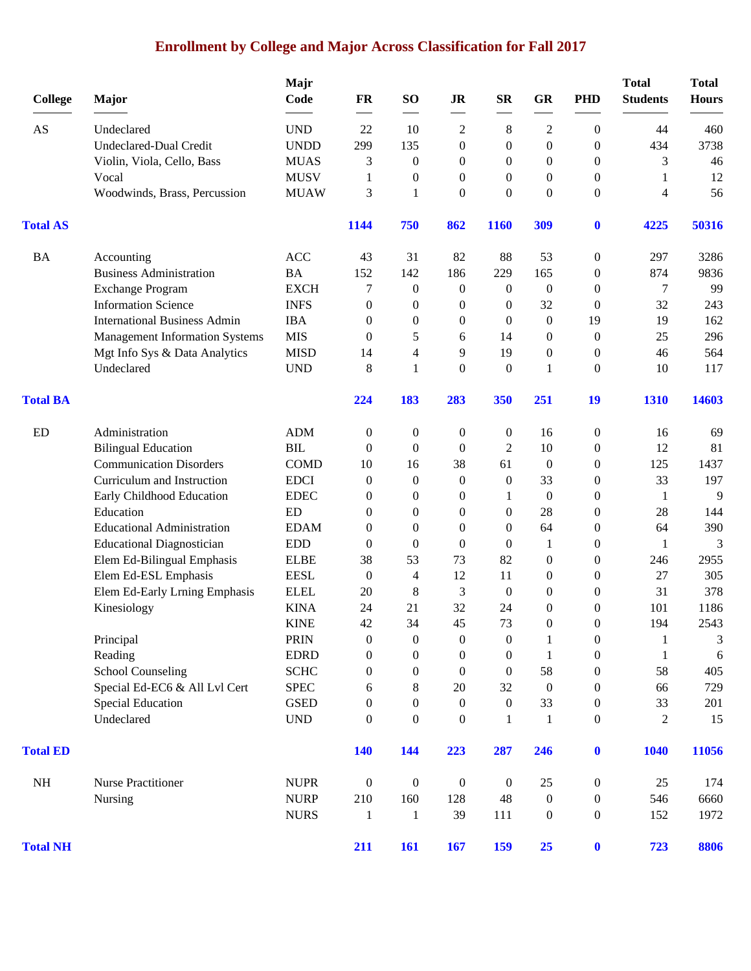# **Enrollment by College and Major Across Classification for Fall 2017**

|                 |                                       | Majr                        |                  |                  |                  |                  |                  |                  | <b>Total</b>    | <b>Total</b> |
|-----------------|---------------------------------------|-----------------------------|------------------|------------------|------------------|------------------|------------------|------------------|-----------------|--------------|
| <b>College</b>  | Major                                 | Code                        | FR               | SO               | <b>JR</b>        | <b>SR</b>        | GR               | <b>PHD</b>       | <b>Students</b> | <b>Hours</b> |
| AS              | Undeclared                            | <b>UND</b>                  | 22               | 10               | 2                | 8                | $\overline{c}$   | $\overline{0}$   | 44              | 460          |
|                 | <b>Undeclared-Dual Credit</b>         | <b>UNDD</b>                 | 299              | 135              | 0                | $\mathbf{0}$     | $\boldsymbol{0}$ | $\overline{0}$   | 434             | 3738         |
|                 | Violin, Viola, Cello, Bass            | <b>MUAS</b>                 | 3                | $\theta$         | $\boldsymbol{0}$ | $\overline{0}$   | $\mathbf{0}$     | $\overline{0}$   | 3               | 46           |
|                 | Vocal                                 | <b>MUSV</b>                 | 1                | $\boldsymbol{0}$ | $\boldsymbol{0}$ | 0                | $\boldsymbol{0}$ | 0                | $\mathbf{1}$    | 12           |
|                 | Woodwinds, Brass, Percussion          | <b>MUAW</b>                 | 3                | 1                | $\boldsymbol{0}$ | $\boldsymbol{0}$ | $\boldsymbol{0}$ | $\boldsymbol{0}$ | 4               | 56           |
| <b>Total AS</b> |                                       |                             | 1144             | 750              | 862              | 1160             | 309              | $\bf{0}$         | 4225            | 50316        |
| <b>BA</b>       | Accounting                            | <b>ACC</b>                  | 43               | 31               | 82               | 88               | 53               | 0                | 297             | 3286         |
|                 | <b>Business Administration</b>        | <b>BA</b>                   | 152              | 142              | 186              | 229              | 165              | $\boldsymbol{0}$ | 874             | 9836         |
|                 | <b>Exchange Program</b>               | <b>EXCH</b>                 | 7                | $\theta$         | $\boldsymbol{0}$ | $\mathbf{0}$     | $\boldsymbol{0}$ | 0                | 7               | 99           |
|                 | <b>Information Science</b>            | <b>INFS</b>                 | $\theta$         | $\theta$         | $\boldsymbol{0}$ | $\Omega$         | 32               | $\Omega$         | 32              | 243          |
|                 | <b>International Business Admin</b>   | <b>IBA</b>                  | 0                | $\theta$         | $\boldsymbol{0}$ | $\Omega$         | $\boldsymbol{0}$ | 19               | 19              | 162          |
|                 | <b>Management Information Systems</b> | <b>MIS</b>                  | $\Omega$         | 5                | 6                | 14               | $\boldsymbol{0}$ | $\boldsymbol{0}$ | 25              | 296          |
|                 | Mgt Info Sys & Data Analytics         | <b>MISD</b>                 | 14               | 4                | 9                | 19               | $\boldsymbol{0}$ | $\boldsymbol{0}$ | 46              | 564          |
|                 | Undeclared                            | <b>UND</b>                  | 8                | $\mathbf{1}$     | $\boldsymbol{0}$ | $\boldsymbol{0}$ | 1                | 0                | 10              | 117          |
| <b>Total BA</b> |                                       |                             | 224              | 183              | 283              | 350              | 251              | 19               | 1310            | 14603        |
| ED              | Administration                        | <b>ADM</b>                  | $\mathbf{0}$     | $\boldsymbol{0}$ | $\boldsymbol{0}$ | $\boldsymbol{0}$ | 16               | $\boldsymbol{0}$ | 16              | 69           |
|                 | <b>Bilingual Education</b>            | $\operatorname{BIL}$        | $\theta$         | $\theta$         | $\mathbf{0}$     | $\overline{2}$   | 10               | $\overline{0}$   | 12              | 81           |
|                 | <b>Communication Disorders</b>        | <b>COMD</b>                 | 10               | 16               | 38               | 61               | $\boldsymbol{0}$ | $\boldsymbol{0}$ | 125             | 1437         |
|                 | Curriculum and Instruction            | <b>EDCI</b>                 | $\mathbf{0}$     | $\theta$         | $\boldsymbol{0}$ | $\mathbf{0}$     | 33               | 0                | 33              | 197          |
|                 | Early Childhood Education             | <b>EDEC</b>                 | $\Omega$         | $\theta$         | $\boldsymbol{0}$ | 1                | $\mathbf{0}$     | 0                | 1               | 9            |
|                 | Education                             | <b>ED</b>                   | 0                | $\theta$         | $\boldsymbol{0}$ | $\Omega$         | 28               | $\overline{0}$   | 28              | 144          |
|                 | <b>Educational Administration</b>     | <b>EDAM</b>                 | $\theta$         | $\theta$         | 0                | $\theta$         | 64               | $\overline{0}$   | 64              | 390          |
|                 | <b>Educational Diagnostician</b>      | <b>EDD</b>                  | $\theta$         | $\overline{0}$   | $\mathbf{0}$     | $\Omega$         | 1                | 0                | 1               | 3            |
|                 | Elem Ed-Bilingual Emphasis            | <b>ELBE</b>                 | 38               | 53               | 73               | 82               | $\boldsymbol{0}$ | 0                | 246             | 2955         |
|                 | Elem Ed-ESL Emphasis                  | <b>EESL</b>                 | $\boldsymbol{0}$ | 4                | 12               | 11               | $\boldsymbol{0}$ | 0                | 27              | 305          |
|                 | Elem Ed-Early Lrning Emphasis         | <b>ELEL</b>                 | 20               | 8                | 3                | $\theta$         | $\mathbf{0}$     | 0                | 31              | 378          |
|                 | Kinesiology                           | <b>KINA</b>                 | 24               | 21               | 32               | 24               | 0                | 0                | 101             | 1186         |
|                 |                                       | <b>KINE</b>                 | 42               | 34               | 45               | 73               | $\boldsymbol{0}$ | 0                | 194             | 2543         |
|                 | Principal                             | <b>PRIN</b>                 | $\boldsymbol{0}$ | $\boldsymbol{0}$ | $\boldsymbol{0}$ | $\boldsymbol{0}$ | 1                | $\boldsymbol{0}$ | $\mathbf{1}$    | 3            |
|                 | Reading                               | <b>EDRD</b>                 | $\boldsymbol{0}$ | $\boldsymbol{0}$ | $\boldsymbol{0}$ | $\boldsymbol{0}$ | 1                | $\boldsymbol{0}$ | $\mathbf{1}$    | 6            |
|                 | <b>School Counseling</b>              | <b>SCHC</b>                 | $\theta$         | $\boldsymbol{0}$ | $\boldsymbol{0}$ | $\mathbf{0}$     | 58               | $\boldsymbol{0}$ | 58              | 405          |
|                 | Special Ed-EC6 & All Lvl Cert         | <b>SPEC</b>                 | 6                | 8                | 20               | 32               | $\boldsymbol{0}$ | $\theta$         | 66              | 729          |
|                 | <b>Special Education</b>              | <b>GSED</b>                 | $\Omega$         | $\overline{0}$   | $\boldsymbol{0}$ | $\mathbf{0}$     | 33               | 0                | 33              | 201          |
|                 | Undeclared                            | $\ensuremath{\mathrm{UND}}$ | $\theta$         | $\boldsymbol{0}$ | $\boldsymbol{0}$ | 1                | $\mathbf{1}$     | $\boldsymbol{0}$ | $\overline{c}$  | 15           |
| <b>Total ED</b> |                                       |                             | <b>140</b>       | 144              | 223              | 287              | 246              | $\bf{0}$         | 1040            | 11056        |
| <b>NH</b>       | <b>Nurse Practitioner</b>             | <b>NUPR</b>                 | $\boldsymbol{0}$ | $\mathbf{0}$     | $\boldsymbol{0}$ | $\boldsymbol{0}$ | 25               | $\boldsymbol{0}$ | 25              | 174          |
|                 | Nursing                               | <b>NURP</b>                 | 210              | 160              | 128              | 48               | $\boldsymbol{0}$ | $\boldsymbol{0}$ | 546             | 6660         |
|                 |                                       | <b>NURS</b>                 | 1                | $\mathbf{1}$     | 39               | 111              | $\boldsymbol{0}$ | $\boldsymbol{0}$ | 152             | 1972         |
| <b>Total NH</b> |                                       |                             | 211              | <b>161</b>       | 167              | 159              | 25               | $\mathbf{0}$     | 723             | 8806         |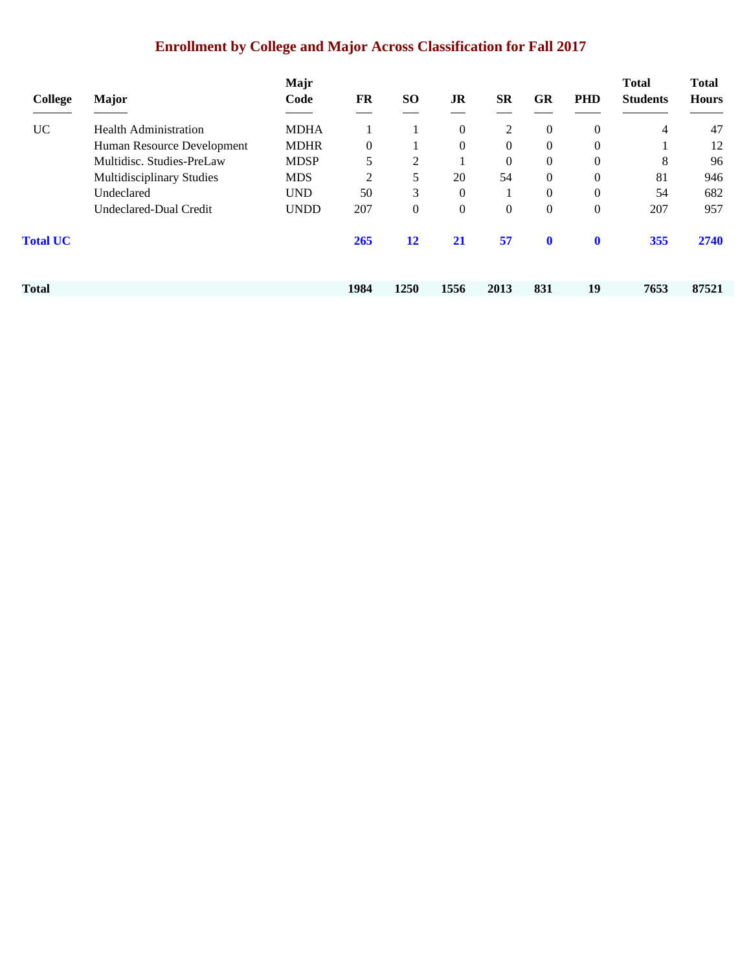# **Enrollment by College and Major Across Classification for Fall 2017**

| College         | <b>Major</b>                     | Majr<br>Code | FR           | SO <sub>1</sub> | JR               | <b>SR</b>      | <b>GR</b>      | <b>PHD</b>     | <b>Total</b><br><b>Students</b> | <b>Total</b><br><b>Hours</b> |
|-----------------|----------------------------------|--------------|--------------|-----------------|------------------|----------------|----------------|----------------|---------------------------------|------------------------------|
|                 |                                  |              |              |                 |                  |                |                |                |                                 |                              |
| <b>UC</b>       | <b>Health Administration</b>     | <b>MDHA</b>  |              |                 | $\theta$         | 2              | $\mathbf{0}$   | $\Omega$       | 4                               | 47                           |
|                 | Human Resource Development       | <b>MDHR</b>  | $\mathbf{0}$ |                 | $\mathbf{0}$     | $\overline{0}$ | $\Omega$       | $\Omega$       |                                 | 12                           |
|                 | Multidisc. Studies-PreLaw        | <b>MDSP</b>  | 5            | 2               |                  | $\overline{0}$ | 0              | $\overline{0}$ | 8                               | 96                           |
|                 | <b>Multidisciplinary Studies</b> | <b>MDS</b>   | 2            | 5               | 20               | 54             | $\Omega$       | $\Omega$       | 81                              | 946                          |
|                 | Undeclared                       | <b>UND</b>   | 50           | 3               | $\theta$         |                | $\Omega$       | $\theta$       | 54                              | 682                          |
|                 | Undeclared-Dual Credit           | <b>UNDD</b>  | 207          | $\theta$        | $\boldsymbol{0}$ | 0              | $\overline{0}$ | $\overline{0}$ | 207                             | 957                          |
| <b>Total UC</b> |                                  |              | 265          | 12              | <b>21</b>        | 57             | $\mathbf{0}$   | $\mathbf 0$    | 355                             | 2740                         |
|                 |                                  |              |              |                 |                  |                |                |                |                                 |                              |
| Total           |                                  |              | 1984         | 1250            | 1556             | 2013           | 831            | 19             | 7653                            | 87521                        |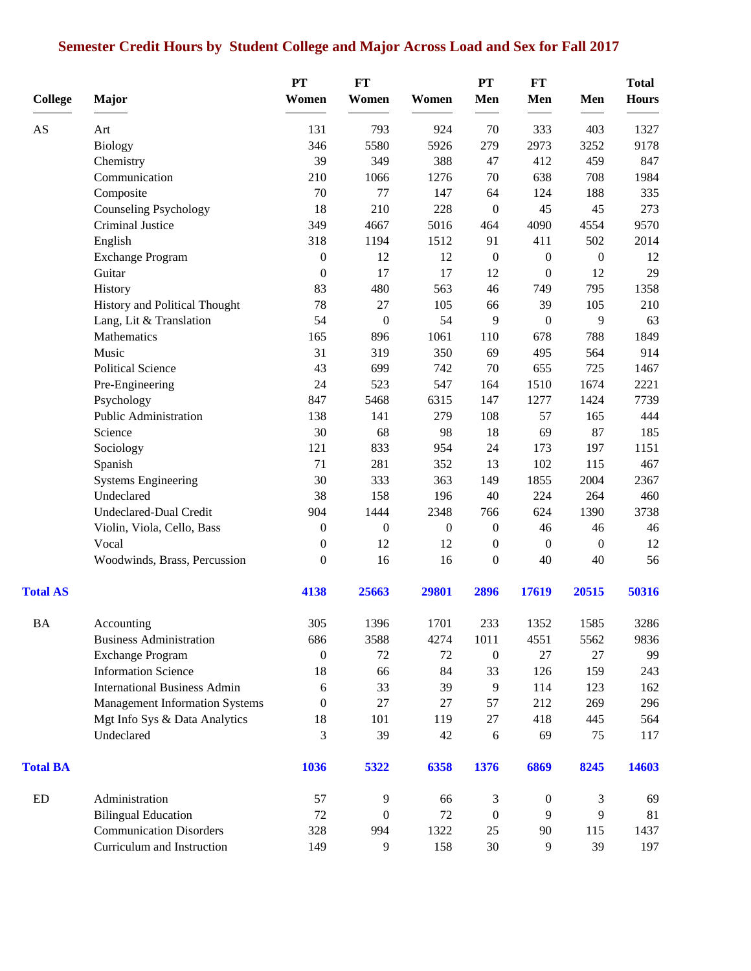# **Semester Credit Hours by Student College and Major Across Load and Sex for Fall 2017**

|                 |                                       | PT               | FT               |                  | PT               | FT               |                  | <b>Total</b> |
|-----------------|---------------------------------------|------------------|------------------|------------------|------------------|------------------|------------------|--------------|
| <b>College</b>  | <b>Major</b>                          | Women            | Women            | Women            | Men              | Men              | Men              | <b>Hours</b> |
| AS              | Art                                   | 131              | 793              | 924              | 70               | 333              | 403              | 1327         |
|                 | <b>Biology</b>                        | 346              | 5580             | 5926             | 279              | 2973             | 3252             | 9178         |
|                 | Chemistry                             | 39               | 349              | 388              | 47               | 412              | 459              | 847          |
|                 | Communication                         | 210              | 1066             | 1276             | 70               | 638              | 708              | 1984         |
|                 | Composite                             | 70               | 77               | 147              | 64               | 124              | 188              | 335          |
|                 | Counseling Psychology                 | 18               | 210              | 228              | $\boldsymbol{0}$ | 45               | 45               | 273          |
|                 | Criminal Justice                      | 349              | 4667             | 5016             | 464              | 4090             | 4554             | 9570         |
|                 | English                               | 318              | 1194             | 1512             | 91               | 411              | 502              | 2014         |
|                 | <b>Exchange Program</b>               | $\boldsymbol{0}$ | 12               | 12               | $\boldsymbol{0}$ | $\boldsymbol{0}$ | $\boldsymbol{0}$ | 12           |
|                 | Guitar                                | $\boldsymbol{0}$ | 17               | 17               | 12               | $\boldsymbol{0}$ | 12               | 29           |
|                 | History                               | 83               | 480              | 563              | 46               | 749              | 795              | 1358         |
|                 | History and Political Thought         | 78               | 27               | 105              | 66               | 39               | 105              | 210          |
|                 | Lang, Lit & Translation               | 54               | $\boldsymbol{0}$ | 54               | 9                | $\boldsymbol{0}$ | 9                | 63           |
|                 | Mathematics                           | 165              | 896              | 1061             | 110              | 678              | 788              | 1849         |
|                 | Music                                 | 31               | 319              | 350              | 69               | 495              | 564              | 914          |
|                 | <b>Political Science</b>              | 43               | 699              | 742              | 70               | 655              | 725              | 1467         |
|                 | Pre-Engineering                       | 24               | 523              | 547              | 164              | 1510             | 1674             | 2221         |
|                 | Psychology                            | 847              | 5468             | 6315             | 147              | 1277             | 1424             | 7739         |
|                 | Public Administration                 | 138              | 141              | 279              | 108              | 57               | 165              | 444          |
|                 | Science                               | 30               | 68               | 98               | 18               | 69               | 87               | 185          |
|                 | Sociology                             | 121              | 833              | 954              | 24               | 173              | 197              | 1151         |
|                 | Spanish                               | 71               | 281              | 352              | 13               | 102              | 115              | 467          |
|                 | <b>Systems Engineering</b>            | 30               | 333              | 363              | 149              | 1855             | 2004             | 2367         |
|                 | Undeclared                            | 38               | 158              | 196              | 40               | 224              | 264              | 460          |
|                 | <b>Undeclared-Dual Credit</b>         | 904              | 1444             | 2348             | 766              | 624              | 1390             | 3738         |
|                 | Violin, Viola, Cello, Bass            | $\boldsymbol{0}$ | $\boldsymbol{0}$ | $\boldsymbol{0}$ | $\boldsymbol{0}$ | 46               | 46               | 46           |
|                 | Vocal                                 | $\boldsymbol{0}$ | 12               | 12               | $\boldsymbol{0}$ | $\boldsymbol{0}$ | $\boldsymbol{0}$ | 12           |
|                 | Woodwinds, Brass, Percussion          | $\overline{0}$   | 16               | 16               | $\mathbf{0}$     | 40               | 40               | 56           |
| <b>Total AS</b> |                                       | 4138             | 25663            | 29801            | 2896             | 17619            | 20515            | 50316        |
| <b>BA</b>       | Accounting                            | 305              | 1396             | 1701             | 233              | 1352             | 1585             | 3286         |
|                 | <b>Business Administration</b>        | 686              | 3588             | 4274             | 1011             | 4551             | 5562             | 9836         |
|                 | <b>Exchange Program</b>               | $\boldsymbol{0}$ | 72               | 72               | $\boldsymbol{0}$ | 27               | 27               | 99           |
|                 | <b>Information Science</b>            | 18               | 66               | 84               | 33               | 126              | 159              | 243          |
|                 | <b>International Business Admin</b>   | 6                | 33               | 39               | 9                | 114              | 123              | 162          |
|                 | <b>Management Information Systems</b> | 0                | 27               | 27               | 57               | 212              | 269              | 296          |
|                 | Mgt Info Sys & Data Analytics         | 18               | 101              | 119              | 27               | 418              | 445              | 564          |
|                 | Undeclared                            | 3                | 39               | 42               | $\sqrt{6}$       | 69               | 75               | 117          |
| <b>Total BA</b> |                                       | 1036             | 5322             | 6358             | 1376             | 6869             | 8245             | 14603        |
| ED              | Administration                        | 57               | 9                | 66               | 3                | $\overline{0}$   | 3                | 69           |
|                 | <b>Bilingual Education</b>            | 72               | $\boldsymbol{0}$ | 72               | $\boldsymbol{0}$ | 9                | 9                | 81           |
|                 | <b>Communication Disorders</b>        | 328              | 994              | 1322             | 25               | 90               | 115              | 1437         |
|                 | Curriculum and Instruction            | 149              | 9                | 158              | 30               | 9                | 39               | 197          |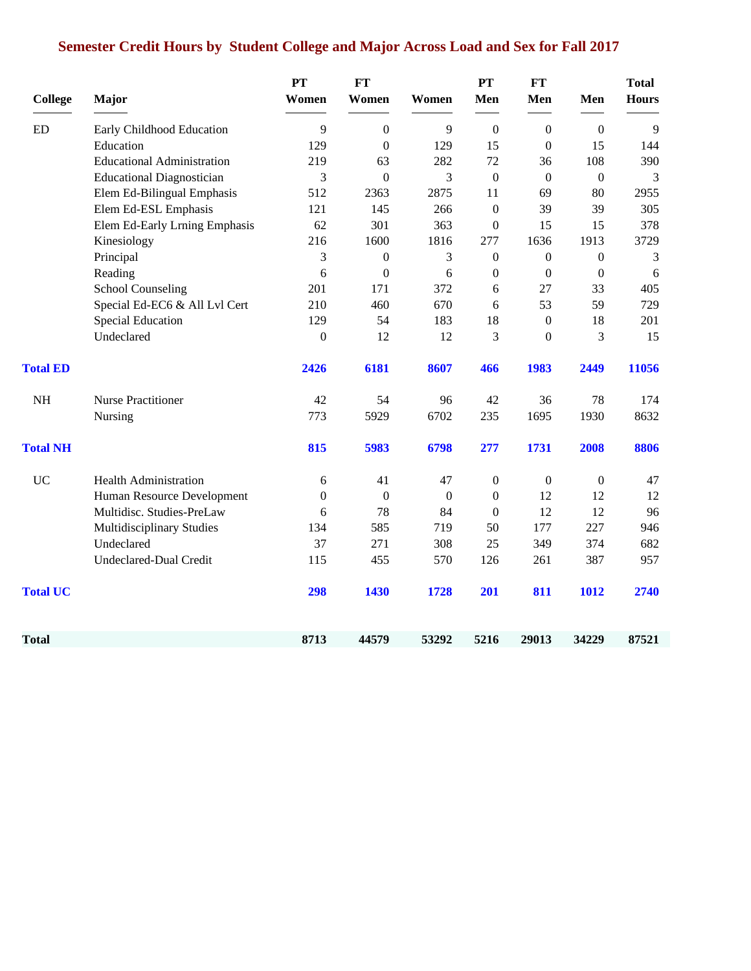# **Semester Credit Hours by Student College and Major Across Load and Sex for Fall 2017**

| <b>College</b>  | Major                             | <b>PT</b><br>Women | <b>FT</b><br>Women | Women            | PT<br>Men        | <b>FT</b><br>Men | Men          | <b>Total</b><br><b>Hours</b> |
|-----------------|-----------------------------------|--------------------|--------------------|------------------|------------------|------------------|--------------|------------------------------|
| <b>ED</b>       | Early Childhood Education         | 9                  | $\boldsymbol{0}$   | 9                | $\boldsymbol{0}$ | $\overline{0}$   | $\mathbf{0}$ | 9                            |
|                 | Education                         | 129                | $\theta$           | 129              | 15               | $\Omega$         | 15           | 144                          |
|                 | <b>Educational Administration</b> | 219                | 63                 | 282              | 72               | 36               | 108          | 390                          |
|                 | <b>Educational Diagnostician</b>  | 3                  | $\overline{0}$     | 3                | $\boldsymbol{0}$ | $\Omega$         | $\mathbf{0}$ | 3                            |
|                 | Elem Ed-Bilingual Emphasis        | 512                | 2363               | 2875             | 11               | 69               | 80           | 2955                         |
|                 | Elem Ed-ESL Emphasis              | 121                | 145                | 266              | $\mathbf{0}$     | 39               | 39           | 305                          |
|                 | Elem Ed-Early Lrning Emphasis     | 62                 | 301                | 363              | $\boldsymbol{0}$ | 15               | 15           | 378                          |
|                 | Kinesiology                       | 216                | 1600               | 1816             | 277              | 1636             | 1913         | 3729                         |
|                 | Principal                         | 3                  | $\boldsymbol{0}$   | 3                | $\boldsymbol{0}$ | $\boldsymbol{0}$ | $\mathbf{0}$ | 3                            |
|                 | Reading                           | 6                  | $\boldsymbol{0}$   | 6                | $\boldsymbol{0}$ | $\overline{0}$   | $\mathbf{0}$ | 6                            |
|                 | <b>School Counseling</b>          | 201                | 171                | 372              | 6                | 27               | 33           | 405                          |
|                 | Special Ed-EC6 & All Lvl Cert     | 210                | 460                | 670              | 6                | 53               | 59           | 729                          |
|                 | <b>Special Education</b>          | 129                | 54                 | 183              | 18               | $\boldsymbol{0}$ | 18           | 201                          |
|                 | Undeclared                        | $\boldsymbol{0}$   | 12                 | 12               | 3                | $\overline{0}$   | 3            | 15                           |
| <b>Total ED</b> |                                   | 2426               | 6181               | 8607             | 466              | 1983             | 2449         | 11056                        |
| $\rm NH$        | Nurse Practitioner                | 42                 | 54                 | 96               | 42               | 36               | 78           | 174                          |
|                 | Nursing                           | 773                | 5929               | 6702             | 235              | 1695             | 1930         | 8632                         |
| <b>Total NH</b> |                                   | 815                | 5983               | 6798             | 277              | 1731             | 2008         | 8806                         |
| <b>UC</b>       | <b>Health Administration</b>      | 6                  | 41                 | 47               | $\boldsymbol{0}$ | $\overline{0}$   | $\mathbf{0}$ | 47                           |
|                 | Human Resource Development        | $\boldsymbol{0}$   | $\boldsymbol{0}$   | $\boldsymbol{0}$ | $\boldsymbol{0}$ | 12               | 12           | 12                           |
|                 | Multidisc. Studies-PreLaw         | 6                  | 78                 | 84               | $\mathbf{0}$     | 12               | 12           | 96                           |
|                 | Multidisciplinary Studies         | 134                | 585                | 719              | 50               | 177              | 227          | 946                          |
|                 | Undeclared                        | 37                 | 271                | 308              | 25               | 349              | 374          | 682                          |
|                 | <b>Undeclared-Dual Credit</b>     | 115                | 455                | 570              | 126              | 261              | 387          | 957                          |
| <b>Total UC</b> |                                   | 298                | 1430               | 1728             | 201              | 811              | 1012         | 2740                         |
| Total           |                                   | 8713               | 44579              | 53292            | 5216             | 29013            | 34229        | 87521                        |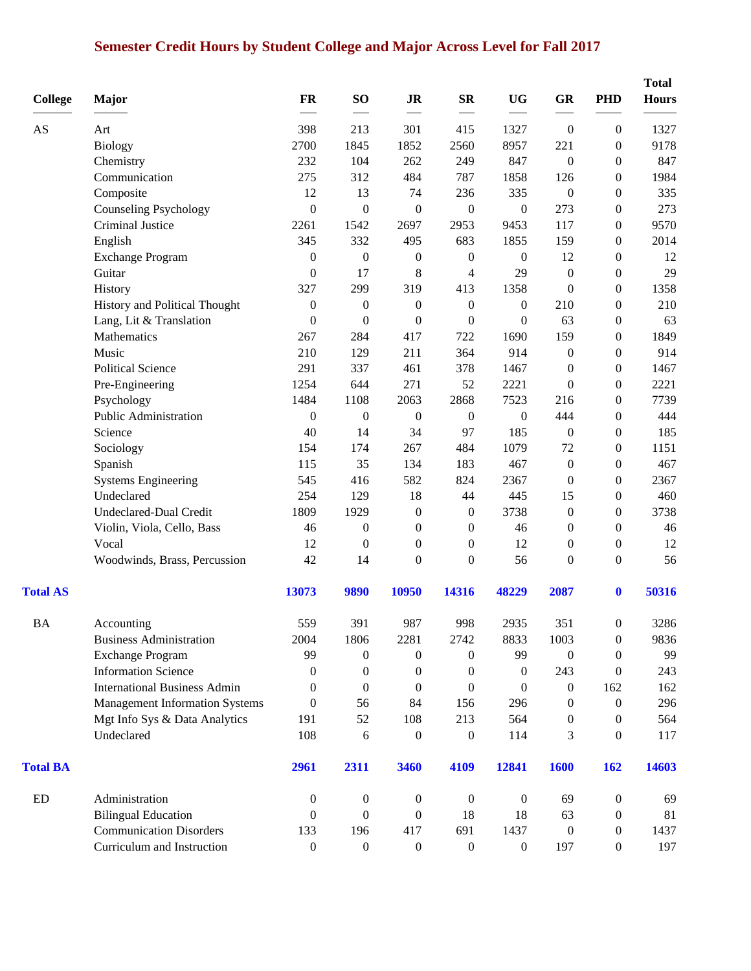# **Semester Credit Hours by Student College and Major Across Level for Fall 2017**

| <b>College</b>  | Major                                 | FR               | SO <sub>1</sub>  | <b>JR</b>        | $S_{\mathbf{R}}$ | <b>UG</b>        | GR               | <b>PHD</b>       | <b>Total</b><br><b>Hours</b> |
|-----------------|---------------------------------------|------------------|------------------|------------------|------------------|------------------|------------------|------------------|------------------------------|
| AS              | Art                                   | 398              | 213              | 301              | 415              | 1327             | $\boldsymbol{0}$ | $\boldsymbol{0}$ | 1327                         |
|                 | <b>Biology</b>                        | 2700             | 1845             | 1852             | 2560             | 8957             | 221              | $\boldsymbol{0}$ | 9178                         |
|                 | Chemistry                             | 232              | 104              | 262              | 249              | 847              | $\boldsymbol{0}$ | $\overline{0}$   | 847                          |
|                 | Communication                         | 275              | 312              | 484              | 787              | 1858             | 126              | $\boldsymbol{0}$ | 1984                         |
|                 | Composite                             | 12               | 13               | 74               | 236              | 335              | $\boldsymbol{0}$ | $\overline{0}$   | 335                          |
|                 | <b>Counseling Psychology</b>          | $\boldsymbol{0}$ | $\boldsymbol{0}$ | $\boldsymbol{0}$ | $\boldsymbol{0}$ | $\boldsymbol{0}$ | 273              | $\boldsymbol{0}$ | 273                          |
|                 | Criminal Justice                      | 2261             | 1542             | 2697             | 2953             | 9453             | 117              | $\boldsymbol{0}$ | 9570                         |
|                 | English                               | 345              | 332              | 495              | 683              | 1855             | 159              | $\boldsymbol{0}$ | 2014                         |
|                 | <b>Exchange Program</b>               | $\boldsymbol{0}$ | $\boldsymbol{0}$ | $\boldsymbol{0}$ | $\boldsymbol{0}$ | $\boldsymbol{0}$ | 12               | $\boldsymbol{0}$ | 12                           |
|                 | Guitar                                | $\boldsymbol{0}$ | 17               | 8                | 4                | 29               | $\boldsymbol{0}$ | $\boldsymbol{0}$ | 29                           |
|                 | History                               | 327              | 299              | 319              | 413              | 1358             | $\boldsymbol{0}$ | $\boldsymbol{0}$ | 1358                         |
|                 | History and Political Thought         | $\boldsymbol{0}$ | $\boldsymbol{0}$ | $\boldsymbol{0}$ | $\boldsymbol{0}$ | $\boldsymbol{0}$ | 210              | $\overline{0}$   | 210                          |
|                 | Lang, Lit & Translation               | $\boldsymbol{0}$ | $\boldsymbol{0}$ | $\boldsymbol{0}$ | $\boldsymbol{0}$ | $\boldsymbol{0}$ | 63               | $\boldsymbol{0}$ | 63                           |
|                 | Mathematics                           | 267              | 284              | 417              | 722              | 1690             | 159              | $\boldsymbol{0}$ | 1849                         |
|                 | Music                                 | 210              | 129              | 211              | 364              | 914              | $\boldsymbol{0}$ | $\overline{0}$   | 914                          |
|                 | <b>Political Science</b>              | 291              | 337              | 461              | 378              | 1467             | $\boldsymbol{0}$ | $\boldsymbol{0}$ | 1467                         |
|                 | Pre-Engineering                       | 1254             | 644              | 271              | 52               | 2221             | $\boldsymbol{0}$ | $\boldsymbol{0}$ | 2221                         |
|                 | Psychology                            | 1484             | 1108             | 2063             | 2868             | 7523             | 216              | $\overline{0}$   | 7739                         |
|                 | Public Administration                 | $\boldsymbol{0}$ | $\boldsymbol{0}$ | $\boldsymbol{0}$ | $\boldsymbol{0}$ | $\boldsymbol{0}$ | 444              | $\boldsymbol{0}$ | 444                          |
|                 | Science                               | 40               | 14               | 34               | 97               | 185              | $\boldsymbol{0}$ | $\boldsymbol{0}$ | 185                          |
|                 | Sociology                             | 154              | 174              | 267              | 484              | 1079             | $72\,$           | $\boldsymbol{0}$ | 1151                         |
|                 | Spanish                               | 115              | 35               | 134              | 183              | 467              | $\boldsymbol{0}$ | $\boldsymbol{0}$ | 467                          |
|                 | <b>Systems Engineering</b>            | 545              | 416              | 582              | 824              | 2367             | $\boldsymbol{0}$ | $\boldsymbol{0}$ | 2367                         |
|                 | Undeclared                            | 254              | 129              | 18               | 44               | 445              | 15               | $\overline{0}$   | 460                          |
|                 | Undeclared-Dual Credit                | 1809             | 1929             | $\boldsymbol{0}$ | $\boldsymbol{0}$ | 3738             | $\boldsymbol{0}$ | $\boldsymbol{0}$ | 3738                         |
|                 | Violin, Viola, Cello, Bass            | 46               | $\boldsymbol{0}$ | $\boldsymbol{0}$ | $\boldsymbol{0}$ | 46               | $\boldsymbol{0}$ | $\boldsymbol{0}$ | 46                           |
|                 | Vocal                                 | 12               | $\boldsymbol{0}$ | $\mathbf{0}$     | $\mathbf{0}$     | 12               | $\boldsymbol{0}$ | $\boldsymbol{0}$ | 12                           |
|                 | Woodwinds, Brass, Percussion          | 42               | 14               | $\boldsymbol{0}$ | $\boldsymbol{0}$ | 56               | $\boldsymbol{0}$ | $\boldsymbol{0}$ | 56                           |
| <b>Total AS</b> |                                       | 13073            | 9890             | 10950            | 14316            | 48229            | 2087             | $\boldsymbol{0}$ | 50316                        |
| <b>BA</b>       | Accounting                            | 559              | 391              | 987              | 998              | 2935             | 351              | $\boldsymbol{0}$ | 3286                         |
|                 | <b>Business Administration</b>        | 2004             | 1806             | 2281             | 2742             | 8833             | 1003             | $\boldsymbol{0}$ | 9836                         |
|                 | <b>Exchange Program</b>               | 99               | $\overline{0}$   | $\boldsymbol{0}$ | $\overline{0}$   | 99               | $\mathbf{0}$     | $\overline{0}$   | 99                           |
|                 | <b>Information Science</b>            | $\theta$         | $\theta$         | $\mathbf{0}$     | $\mathbf{0}$     | $\mathbf{0}$     | 243              | $\left($         | 243                          |
|                 | <b>International Business Admin</b>   | $\theta$         | $\theta$         | $\theta$         | $\mathbf{0}$     | $\mathbf{0}$     | $\boldsymbol{0}$ | 162              | 162                          |
|                 | <b>Management Information Systems</b> | $\boldsymbol{0}$ | 56               | 84               | 156              | 296              | $\boldsymbol{0}$ | $\overline{0}$   | 296                          |
|                 | Mgt Info Sys & Data Analytics         | 191              | 52               | 108              | 213              | 564              | $\boldsymbol{0}$ | $\overline{0}$   | 564                          |
|                 | Undeclared                            | 108              | 6                | $\boldsymbol{0}$ | $\boldsymbol{0}$ | 114              | 3                | $\overline{0}$   | 117                          |
| <b>Total BA</b> |                                       | 2961             | 2311             | 3460             | 4109             | 12841            | <b>1600</b>      | 162              | 14603                        |
| ED              | Administration                        | $\boldsymbol{0}$ | $\boldsymbol{0}$ | $\boldsymbol{0}$ | $\boldsymbol{0}$ | $\boldsymbol{0}$ | 69               | $\boldsymbol{0}$ | 69                           |
|                 | <b>Bilingual Education</b>            | $\overline{0}$   | $\overline{0}$   | $\overline{0}$   | 18               | 18               | 63               | $\boldsymbol{0}$ | 81                           |
|                 | <b>Communication Disorders</b>        | 133              | 196              | 417              | 691              | 1437             | $\boldsymbol{0}$ | $\overline{0}$   | 1437                         |
|                 | Curriculum and Instruction            | $\boldsymbol{0}$ | $\boldsymbol{0}$ | $\boldsymbol{0}$ | $\boldsymbol{0}$ | $\boldsymbol{0}$ | 197              | $\boldsymbol{0}$ | 197                          |